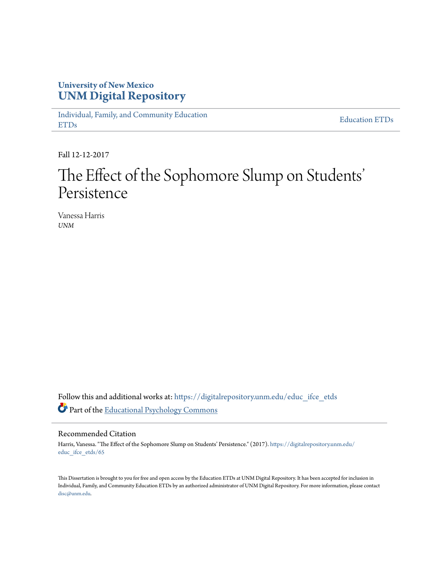## **University of New Mexico [UNM Digital Repository](https://digitalrepository.unm.edu?utm_source=digitalrepository.unm.edu%2Feduc_ifce_etds%2F65&utm_medium=PDF&utm_campaign=PDFCoverPages)**

[Individual, Family, and Community Education](https://digitalrepository.unm.edu/educ_ifce_etds?utm_source=digitalrepository.unm.edu%2Feduc_ifce_etds%2F65&utm_medium=PDF&utm_campaign=PDFCoverPages) [ETDs](https://digitalrepository.unm.edu/educ_ifce_etds?utm_source=digitalrepository.unm.edu%2Feduc_ifce_etds%2F65&utm_medium=PDF&utm_campaign=PDFCoverPages)

[Education ETDs](https://digitalrepository.unm.edu/educ_etds?utm_source=digitalrepository.unm.edu%2Feduc_ifce_etds%2F65&utm_medium=PDF&utm_campaign=PDFCoverPages)

Fall 12-12-2017

# The Effect of the Sophomore Slump on Students' ' Persistence

Vanessa Harris *UNM*

Follow this and additional works at: [https://digitalrepository.unm.edu/educ\\_ifce\\_etds](https://digitalrepository.unm.edu/educ_ifce_etds?utm_source=digitalrepository.unm.edu%2Feduc_ifce_etds%2F65&utm_medium=PDF&utm_campaign=PDFCoverPages) Part of the [Educational Psychology Commons](http://network.bepress.com/hgg/discipline/798?utm_source=digitalrepository.unm.edu%2Feduc_ifce_etds%2F65&utm_medium=PDF&utm_campaign=PDFCoverPages)

### Recommended Citation

Harris, Vanessa. "The Effect of the Sophomore Slump on Students' Persistence." (2017). [https://digitalrepository.unm.edu/](https://digitalrepository.unm.edu/educ_ifce_etds/65?utm_source=digitalrepository.unm.edu%2Feduc_ifce_etds%2F65&utm_medium=PDF&utm_campaign=PDFCoverPages) [educ\\_ifce\\_etds/65](https://digitalrepository.unm.edu/educ_ifce_etds/65?utm_source=digitalrepository.unm.edu%2Feduc_ifce_etds%2F65&utm_medium=PDF&utm_campaign=PDFCoverPages)

This Dissertation is brought to you for free and open access by the Education ETDs at UNM Digital Repository. It has been accepted for inclusion in Individual, Family, and Community Education ETDs by an authorized administrator of UNM Digital Repository. For more information, please contact [disc@unm.edu](mailto:disc@unm.edu).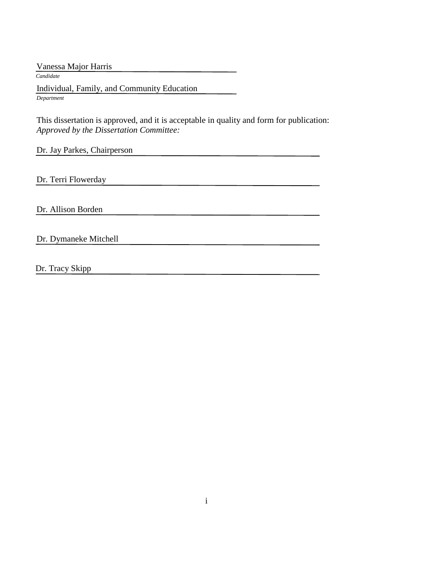Vanessa Major Harris  *Candidate* Individual, Family, and Community Education *Department*

 This dissertation is approved, and it is acceptable in quality and form for publication: *Approved by the Dissertation Committee:*

Dr. Jay Parkes, Chairperson

Dr. Terri Flowerday

Dr. Allison Borden

Dr. Dymaneke Mitchell

Dr. Tracy Skipp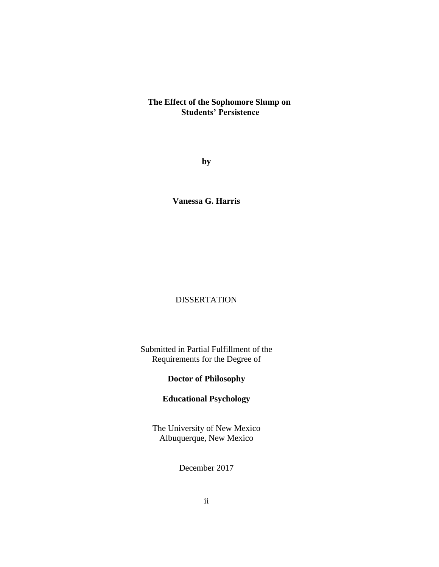### **The Effect of the Sophomore Slump on Students' Persistence**

**by**

**Vanessa G. Harris**

## DISSERTATION

Submitted in Partial Fulfillment of the Requirements for the Degree of

## **Doctor of Philosophy**

## **Educational Psychology**

The University of New Mexico Albuquerque, New Mexico

December 2017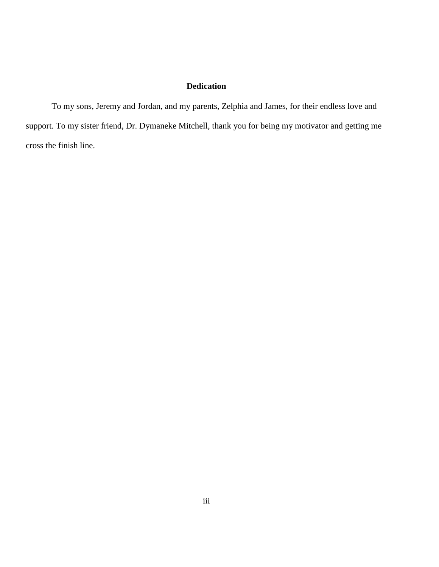### **Dedication**

To my sons, Jeremy and Jordan, and my parents, Zelphia and James, for their endless love and support. To my sister friend, Dr. Dymaneke Mitchell, thank you for being my motivator and getting me cross the finish line.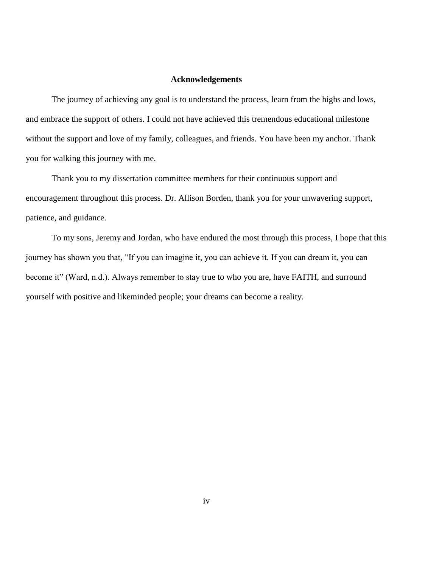### **Acknowledgements**

The journey of achieving any goal is to understand the process, learn from the highs and lows, and embrace the support of others. I could not have achieved this tremendous educational milestone without the support and love of my family, colleagues, and friends. You have been my anchor. Thank you for walking this journey with me.

Thank you to my dissertation committee members for their continuous support and encouragement throughout this process. Dr. Allison Borden, thank you for your unwavering support, patience, and guidance.

To my sons, Jeremy and Jordan, who have endured the most through this process, I hope that this journey has shown you that, "If you can imagine it, you can achieve it. If you can dream it, you can become it" (Ward, n.d.). Always remember to stay true to who you are, have FAITH, and surround yourself with positive and likeminded people; your dreams can become a reality.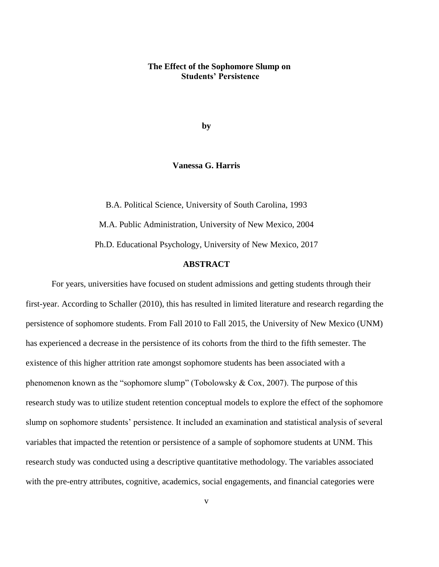### **The Effect of the Sophomore Slump on Students' Persistence**

**by**

### **Vanessa G. Harris**

B.A. Political Science, University of South Carolina, 1993 M.A. Public Administration, University of New Mexico, 2004 Ph.D. Educational Psychology, University of New Mexico, 2017

## **ABSTRACT**

For years, universities have focused on student admissions and getting students through their first-year. According to Schaller (2010), this has resulted in limited literature and research regarding the persistence of sophomore students. From Fall 2010 to Fall 2015, the University of New Mexico (UNM) has experienced a decrease in the persistence of its cohorts from the third to the fifth semester. The existence of this higher attrition rate amongst sophomore students has been associated with a phenomenon known as the "sophomore slump" (Tobolowsky & Cox, 2007). The purpose of this research study was to utilize student retention conceptual models to explore the effect of the sophomore slump on sophomore students' persistence. It included an examination and statistical analysis of several variables that impacted the retention or persistence of a sample of sophomore students at UNM. This research study was conducted using a descriptive quantitative methodology. The variables associated with the pre-entry attributes, cognitive, academics, social engagements, and financial categories were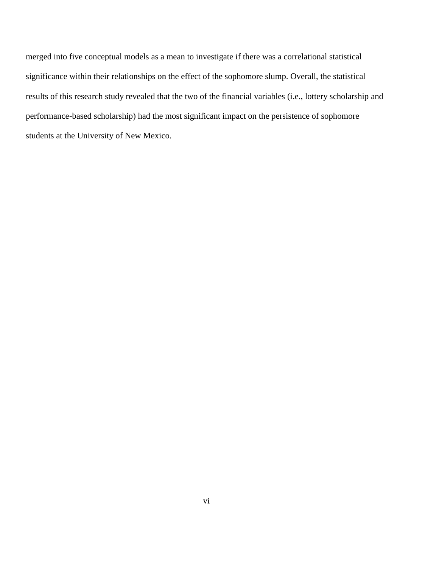merged into five conceptual models as a mean to investigate if there was a correlational statistical significance within their relationships on the effect of the sophomore slump. Overall, the statistical results of this research study revealed that the two of the financial variables (i.e., lottery scholarship and performance-based scholarship) had the most significant impact on the persistence of sophomore students at the University of New Mexico.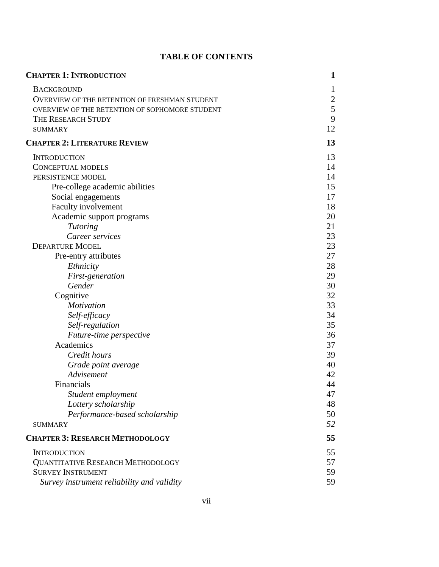## **TABLE OF CONTENTS**

| <b>CHAPTER 1: INTRODUCTION</b>                       | 1            |
|------------------------------------------------------|--------------|
| <b>BACKGROUND</b>                                    | 1            |
| <b>OVERVIEW OF THE RETENTION OF FRESHMAN STUDENT</b> | $\mathbf{2}$ |
| OVERVIEW OF THE RETENTION OF SOPHOMORE STUDENT       | 5            |
| THE RESEARCH STUDY                                   | 9            |
| <b>SUMMARY</b>                                       | 12           |
| <b>CHAPTER 2: LITERATURE REVIEW</b>                  | 13           |
| <b>INTRODUCTION</b>                                  | 13           |
| <b>CONCEPTUAL MODELS</b>                             | 14           |
| PERSISTENCE MODEL                                    | 14           |
| Pre-college academic abilities                       | 15           |
| Social engagements                                   | 17           |
| Faculty involvement                                  | 18           |
| Academic support programs                            | 20           |
| <b>Tutoring</b>                                      | 21           |
| Career services                                      | 23           |
| <b>DEPARTURE MODEL</b>                               | 23           |
| Pre-entry attributes                                 | 27           |
| Ethnicity                                            | 28           |
| First-generation                                     | 29           |
| Gender                                               | 30           |
| Cognitive                                            | 32           |
| Motivation                                           | 33           |
| Self-efficacy                                        | 34           |
| Self-regulation                                      | 35           |
| Future-time perspective                              | 36           |
| Academics                                            | 37           |
| Credit hours                                         | 39           |
| Grade point average                                  | 40           |
| Advisement                                           | 42           |
| Financials                                           | 44           |
| Student employment                                   | 47           |
| Lottery scholarship                                  | 48           |
| Performance-based scholarship                        | 50           |
| <b>SUMMARY</b>                                       | 52           |
| <b>CHAPTER 3: RESEARCH METHODOLOGY</b>               | 55           |
| <b>INTRODUCTION</b>                                  | 55           |
| <b>QUANTITATIVE RESEARCH METHODOLOGY</b>             | 57           |
| <b>SURVEY INSTRUMENT</b>                             | 59           |
| Survey instrument reliability and validity           | 59           |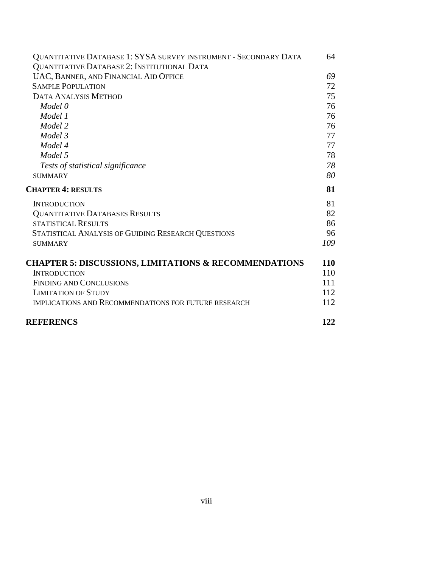| QUANTITATIVE DATABASE 1: SYSA SURVEY INSTRUMENT - SECONDARY DATA | 64  |
|------------------------------------------------------------------|-----|
| QUANTITATIVE DATABASE 2: INSTITUTIONAL DATA -                    |     |
| UAC, BANNER, AND FINANCIAL AID OFFICE                            | 69  |
| <b>SAMPLE POPULATION</b>                                         | 72  |
| <b>DATA ANALYSIS METHOD</b>                                      | 75  |
| Model 0                                                          | 76  |
| Model 1                                                          | 76  |
| Model 2                                                          | 76  |
| Model 3                                                          | 77  |
| Model 4                                                          | 77  |
| Model 5                                                          | 78  |
| Tests of statistical significance                                | 78  |
| <b>SUMMARY</b>                                                   | 80  |
| <b>CHAPTER 4: RESULTS</b>                                        | 81  |
| <b>INTRODUCTION</b>                                              | 81  |
| <b>QUANTITATIVE DATABASES RESULTS</b>                            | 82  |
| <b>STATISTICAL RESULTS</b>                                       | 86  |
| STATISTICAL ANALYSIS OF GUIDING RESEARCH QUESTIONS               | 96  |
| <b>SUMMARY</b>                                                   | 109 |
| <b>CHAPTER 5: DISCUSSIONS, LIMITATIONS &amp; RECOMMENDATIONS</b> | 110 |
| <b>INTRODUCTION</b>                                              | 110 |
| <b>FINDING AND CONCLUSIONS</b>                                   | 111 |
| <b>LIMITATION OF STUDY</b>                                       | 112 |
| IMPLICATIONS AND RECOMMENDATIONS FOR FUTURE RESEARCH             | 112 |
| <b>REFERENCS</b>                                                 | 122 |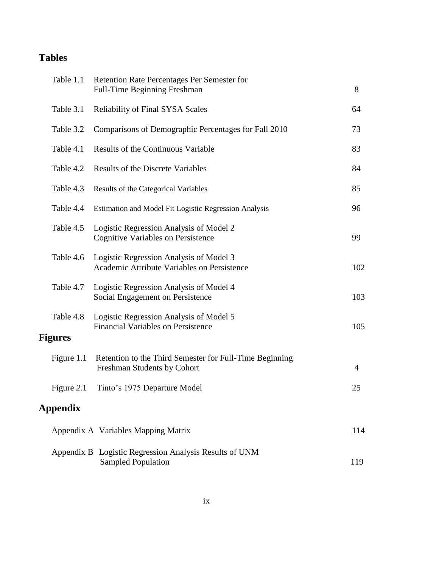# **Tables**

| Table 1.1       | Retention Rate Percentages Per Semester for<br><b>Full-Time Beginning Freshman</b>     | 8              |
|-----------------|----------------------------------------------------------------------------------------|----------------|
| Table 3.1       | <b>Reliability of Final SYSA Scales</b>                                                | 64             |
| Table 3.2       | Comparisons of Demographic Percentages for Fall 2010                                   | 73             |
| Table 4.1       | <b>Results of the Continuous Variable</b>                                              | 83             |
| Table 4.2       | Results of the Discrete Variables                                                      | 84             |
| Table 4.3       | Results of the Categorical Variables                                                   | 85             |
| Table 4.4       | Estimation and Model Fit Logistic Regression Analysis                                  | 96             |
| Table 4.5       | Logistic Regression Analysis of Model 2<br><b>Cognitive Variables on Persistence</b>   | 99             |
| Table 4.6       | Logistic Regression Analysis of Model 3<br>Academic Attribute Variables on Persistence | 102            |
| Table 4.7       | Logistic Regression Analysis of Model 4<br>Social Engagement on Persistence            | 103            |
| Table 4.8       | Logistic Regression Analysis of Model 5<br><b>Financial Variables on Persistence</b>   | 105            |
| <b>Figures</b>  |                                                                                        |                |
| Figure 1.1      | Retention to the Third Semester for Full-Time Beginning<br>Freshman Students by Cohort | $\overline{4}$ |
| Figure 2.1      | Tinto's 1975 Departure Model                                                           | 25             |
| <b>Appendix</b> |                                                                                        |                |
|                 | Appendix A Variables Mapping Matrix                                                    | 114            |
|                 | Appendix B Logistic Regression Analysis Results of UNM<br><b>Sampled Population</b>    | 119            |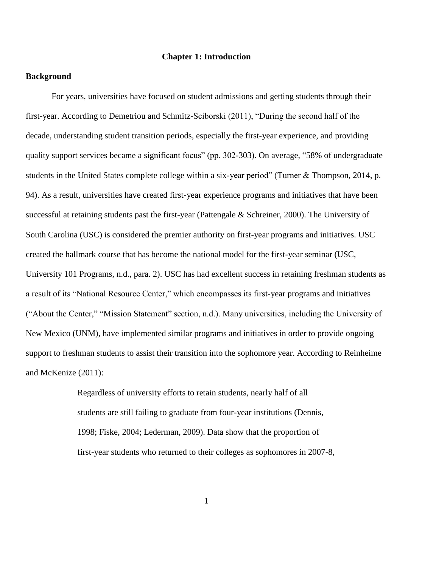### **Chapter 1: Introduction**

### **Background**

For years, universities have focused on student admissions and getting students through their first-year. According to Demetriou and Schmitz-Sciborski (2011), "During the second half of the decade, understanding student transition periods, especially the first-year experience, and providing quality support services became a significant focus" (pp. 302-303). On average, "58% of undergraduate students in the United States complete college within a six-year period" (Turner & Thompson, 2014, p. 94). As a result, universities have created first-year experience programs and initiatives that have been successful at retaining students past the first-year (Pattengale & Schreiner, 2000). The University of South Carolina (USC) is considered the premier authority on first-year programs and initiatives. USC created the hallmark course that has become the national model for the first-year seminar (USC, University 101 Programs, n.d., para. 2). USC has had excellent success in retaining freshman students as a result of its "National Resource Center," which encompasses its first-year programs and initiatives ("About the Center," "Mission Statement" section, n.d.). Many universities, including the University of New Mexico (UNM), have implemented similar programs and initiatives in order to provide ongoing support to freshman students to assist their transition into the sophomore year. According to Reinheime and McKenize (2011):

> Regardless of university efforts to retain students, nearly half of all students are still failing to graduate from four-year institutions (Dennis, 1998; Fiske, 2004; Lederman, 2009). Data show that the proportion of first-year students who returned to their colleges as sophomores in 2007-8,

> > 1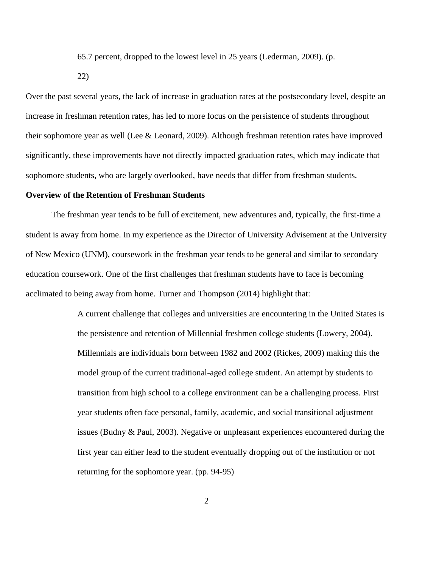65.7 percent, dropped to the lowest level in 25 years (Lederman, 2009). (p.

22)

Over the past several years, the lack of increase in graduation rates at the postsecondary level, despite an increase in freshman retention rates, has led to more focus on the persistence of students throughout their sophomore year as well (Lee & Leonard, 2009). Although freshman retention rates have improved significantly, these improvements have not directly impacted graduation rates, which may indicate that sophomore students, who are largely overlooked, have needs that differ from freshman students.

### **Overview of the Retention of Freshman Students**

The freshman year tends to be full of excitement, new adventures and, typically, the first-time a student is away from home. In my experience as the Director of University Advisement at the University of New Mexico (UNM), coursework in the freshman year tends to be general and similar to secondary education coursework. One of the first challenges that freshman students have to face is becoming acclimated to being away from home. Turner and Thompson (2014) highlight that:

> A current challenge that colleges and universities are encountering in the United States is the persistence and retention of Millennial freshmen college students (Lowery, 2004). Millennials are individuals born between 1982 and 2002 (Rickes, 2009) making this the model group of the current traditional-aged college student. An attempt by students to transition from high school to a college environment can be a challenging process. First year students often face personal, family, academic, and social transitional adjustment issues (Budny & Paul, 2003). Negative or unpleasant experiences encountered during the first year can either lead to the student eventually dropping out of the institution or not returning for the sophomore year. (pp. 94-95)

> > 2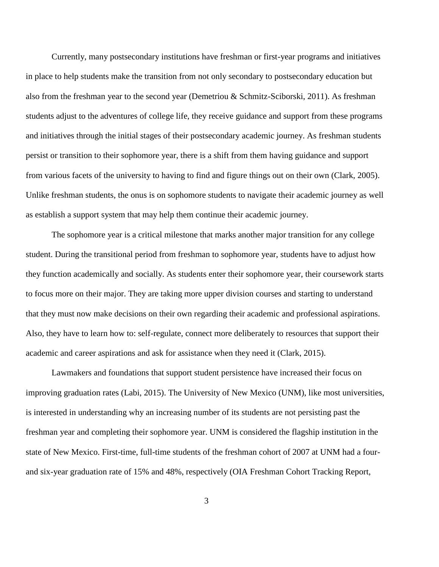Currently, many postsecondary institutions have freshman or first-year programs and initiatives in place to help students make the transition from not only secondary to postsecondary education but also from the freshman year to the second year (Demetriou & Schmitz-Sciborski, 2011). As freshman students adjust to the adventures of college life, they receive guidance and support from these programs and initiatives through the initial stages of their postsecondary academic journey. As freshman students persist or transition to their sophomore year, there is a shift from them having guidance and support from various facets of the university to having to find and figure things out on their own (Clark, 2005). Unlike freshman students, the onus is on sophomore students to navigate their academic journey as well as establish a support system that may help them continue their academic journey.

The sophomore year is a critical milestone that marks another major transition for any college student. During the transitional period from freshman to sophomore year, students have to adjust how they function academically and socially. As students enter their sophomore year, their coursework starts to focus more on their major. They are taking more upper division courses and starting to understand that they must now make decisions on their own regarding their academic and professional aspirations. Also, they have to learn how to: self-regulate, connect more deliberately to resources that support their academic and career aspirations and ask for assistance when they need it (Clark, 2015).

Lawmakers and foundations that support student persistence have increased their focus on improving graduation rates (Labi, 2015). The University of New Mexico (UNM), like most universities, is interested in understanding why an increasing number of its students are not persisting past the freshman year and completing their sophomore year. UNM is considered the flagship institution in the state of New Mexico. First-time, full-time students of the freshman cohort of 2007 at UNM had a fourand six-year graduation rate of 15% and 48%, respectively (OIA Freshman Cohort Tracking Report,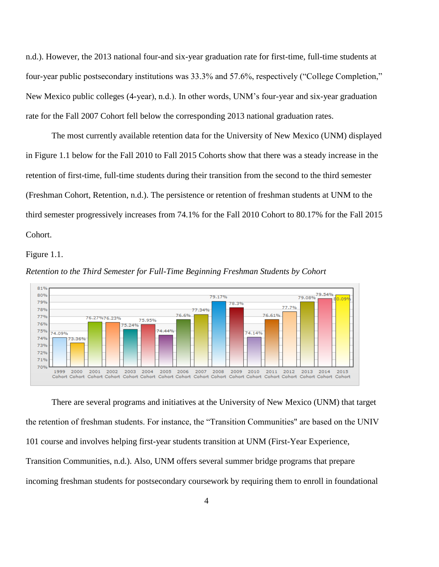n.d.). However, the 2013 national four-and six-year graduation rate for first-time, full-time students at four-year public postsecondary institutions was 33.3% and 57.6%, respectively ("College Completion," New Mexico public colleges (4-year), n.d.). In other words, UNM's four-year and six-year graduation rate for the Fall 2007 Cohort fell below the corresponding 2013 national graduation rates.

The most currently available retention data for the University of New Mexico (UNM) displayed in Figure 1.1 below for the Fall 2010 to Fall 2015 Cohorts show that there was a steady increase in the retention of first-time, full-time students during their transition from the second to the third semester (Freshman Cohort, Retention, n.d.). The persistence or retention of freshman students at UNM to the third semester progressively increases from 74.1% for the Fall 2010 Cohort to 80.17% for the Fall 2015 Cohort.

Figure 1.1.



*Retention to the Third Semester for Full-Time Beginning Freshman Students by Cohort* 

There are several programs and initiatives at the University of New Mexico (UNM) that target the retention of freshman students. For instance, the "Transition Communities" are based on the UNIV 101 course and involves helping first-year students transition at UNM (First-Year Experience, Transition Communities, n.d.). Also, UNM offers several summer bridge programs that prepare incoming freshman students for postsecondary coursework by requiring them to enroll in foundational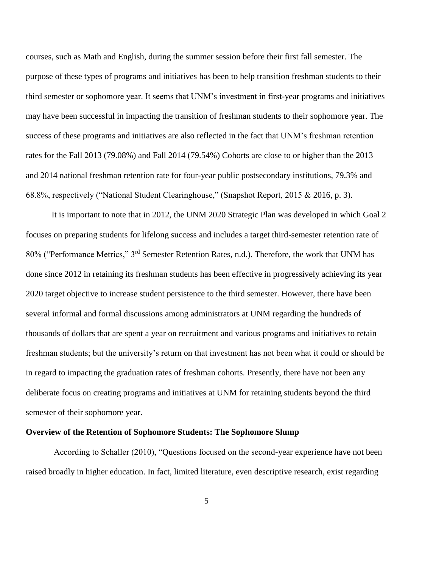courses, such as Math and English, during the summer session before their first fall semester. The purpose of these types of programs and initiatives has been to help transition freshman students to their third semester or sophomore year. It seems that UNM's investment in first-year programs and initiatives may have been successful in impacting the transition of freshman students to their sophomore year. The success of these programs and initiatives are also reflected in the fact that UNM's freshman retention rates for the Fall 2013 (79.08%) and Fall 2014 (79.54%) Cohorts are close to or higher than the 2013 and 2014 national freshman retention rate for four-year public postsecondary institutions, 79.3% and 68.8%, respectively ("National Student Clearinghouse," (Snapshot Report, 2015 & 2016, p. 3).

It is important to note that in 2012, the UNM 2020 Strategic Plan was developed in which Goal 2 focuses on preparing students for lifelong success and includes a target third-semester retention rate of 80% ("Performance Metrics," 3rd Semester Retention Rates, n.d.). Therefore, the work that UNM has done since 2012 in retaining its freshman students has been effective in progressively achieving its year 2020 target objective to increase student persistence to the third semester. However, there have been several informal and formal discussions among administrators at UNM regarding the hundreds of thousands of dollars that are spent a year on recruitment and various programs and initiatives to retain freshman students; but the university's return on that investment has not been what it could or should be in regard to impacting the graduation rates of freshman cohorts. Presently, there have not been any deliberate focus on creating programs and initiatives at UNM for retaining students beyond the third semester of their sophomore year.

### **Overview of the Retention of Sophomore Students: The Sophomore Slump**

According to Schaller (2010), "Questions focused on the second-year experience have not been raised broadly in higher education. In fact, limited literature, even descriptive research, exist regarding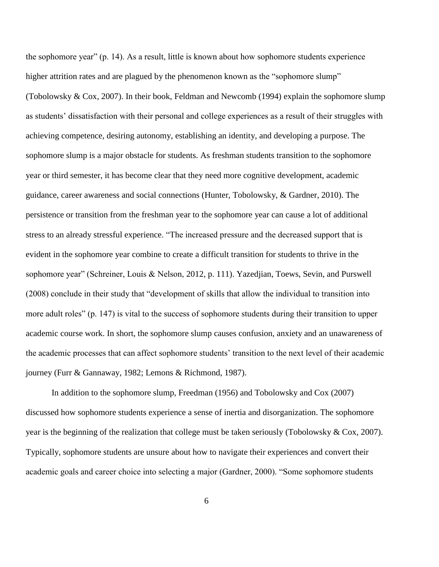the sophomore year" (p. 14). As a result, little is known about how sophomore students experience higher attrition rates and are plagued by the phenomenon known as the "sophomore slump" (Tobolowsky & Cox, 2007). In their book, Feldman and Newcomb (1994) explain the sophomore slump as students' dissatisfaction with their personal and college experiences as a result of their struggles with achieving competence, desiring autonomy, establishing an identity, and developing a purpose. The sophomore slump is a major obstacle for students. As freshman students transition to the sophomore year or third semester, it has become clear that they need more cognitive development, academic guidance, career awareness and social connections (Hunter, Tobolowsky, & Gardner, 2010). The persistence or transition from the freshman year to the sophomore year can cause a lot of additional stress to an already stressful experience. "The increased pressure and the decreased support that is evident in the sophomore year combine to create a difficult transition for students to thrive in the sophomore year" (Schreiner, Louis & Nelson, 2012, p. 111). Yazedjian, Toews, Sevin, and Purswell (2008) conclude in their study that "development of skills that allow the individual to transition into more adult roles" (p. 147) is vital to the success of sophomore students during their transition to upper academic course work. In short, the sophomore slump causes confusion, anxiety and an unawareness of the academic processes that can affect sophomore students' transition to the next level of their academic journey (Furr & Gannaway, 1982; Lemons & Richmond, 1987).

In addition to the sophomore slump, Freedman (1956) and Tobolowsky and Cox (2007) discussed how sophomore students experience a sense of inertia and disorganization. The sophomore year is the beginning of the realization that college must be taken seriously (Tobolowsky & Cox, 2007). Typically, sophomore students are unsure about how to navigate their experiences and convert their academic goals and career choice into selecting a major (Gardner, 2000). "Some sophomore students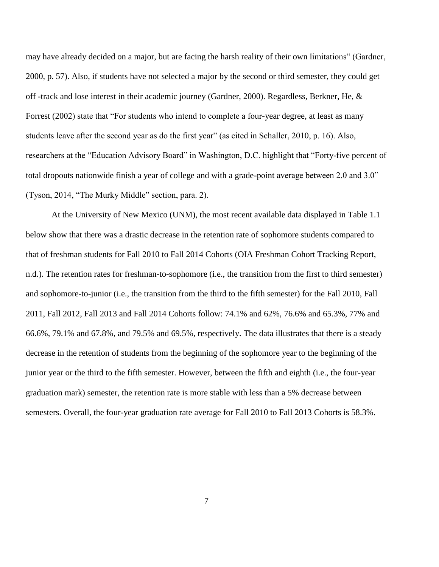may have already decided on a major, but are facing the harsh reality of their own limitations" (Gardner, 2000, p. 57). Also, if students have not selected a major by the second or third semester, they could get off -track and lose interest in their academic journey (Gardner, 2000). Regardless, Berkner, He, & Forrest (2002) state that "For students who intend to complete a four-year degree, at least as many students leave after the second year as do the first year" (as cited in Schaller, 2010, p. 16). Also, researchers at the "Education Advisory Board" in Washington, D.C. highlight that "Forty-five percent of total dropouts nationwide finish a year of college and with a grade-point average between 2.0 and 3.0" (Tyson, 2014, "The Murky Middle" section, para. 2).

At the University of New Mexico (UNM), the most recent available data displayed in Table 1.1 below show that there was a drastic decrease in the retention rate of sophomore students compared to that of freshman students for Fall 2010 to Fall 2014 Cohorts (OIA Freshman Cohort Tracking Report, n.d.). The retention rates for freshman-to-sophomore (i.e., the transition from the first to third semester) and sophomore-to-junior (i.e., the transition from the third to the fifth semester) for the Fall 2010, Fall 2011, Fall 2012, Fall 2013 and Fall 2014 Cohorts follow: 74.1% and 62%, 76.6% and 65.3%, 77% and 66.6%, 79.1% and 67.8%, and 79.5% and 69.5%, respectively. The data illustrates that there is a steady decrease in the retention of students from the beginning of the sophomore year to the beginning of the junior year or the third to the fifth semester. However, between the fifth and eighth (i.e., the four-year graduation mark) semester, the retention rate is more stable with less than a 5% decrease between semesters. Overall, the four-year graduation rate average for Fall 2010 to Fall 2013 Cohorts is 58.3%.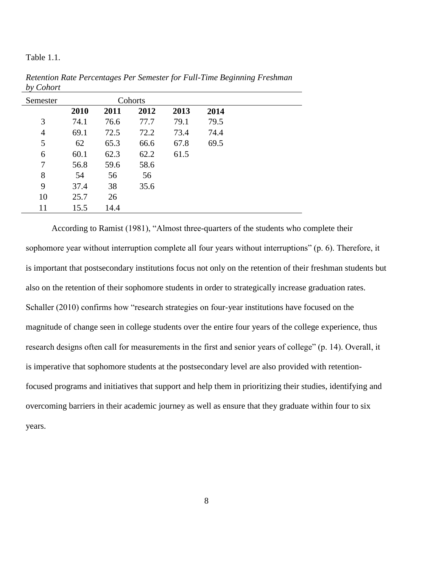Table 1.1.

| Semester       |      |      | Cohorts |      |      |  |
|----------------|------|------|---------|------|------|--|
|                | 2010 | 2011 | 2012    | 2013 | 2014 |  |
| 3              | 74.1 | 76.6 | 77.7    | 79.1 | 79.5 |  |
| $\overline{4}$ | 69.1 | 72.5 | 72.2    | 73.4 | 74.4 |  |
| 5              | 62   | 65.3 | 66.6    | 67.8 | 69.5 |  |
| 6              | 60.1 | 62.3 | 62.2    | 61.5 |      |  |
| 7              | 56.8 | 59.6 | 58.6    |      |      |  |
| 8              | 54   | 56   | 56      |      |      |  |
| 9              | 37.4 | 38   | 35.6    |      |      |  |
| 10             | 25.7 | 26   |         |      |      |  |
| 11             | 15.5 | 14.4 |         |      |      |  |

*Retention Rate Percentages Per Semester for Full-Time Beginning Freshman by Cohort*

According to Ramist (1981), "Almost three-quarters of the students who complete their sophomore year without interruption complete all four years without interruptions" (p. 6). Therefore, it is important that postsecondary institutions focus not only on the retention of their freshman students but also on the retention of their sophomore students in order to strategically increase graduation rates. Schaller (2010) confirms how "research strategies on four-year institutions have focused on the magnitude of change seen in college students over the entire four years of the college experience, thus research designs often call for measurements in the first and senior years of college" (p. 14). Overall, it is imperative that sophomore students at the postsecondary level are also provided with retentionfocused programs and initiatives that support and help them in prioritizing their studies, identifying and overcoming barriers in their academic journey as well as ensure that they graduate within four to six years.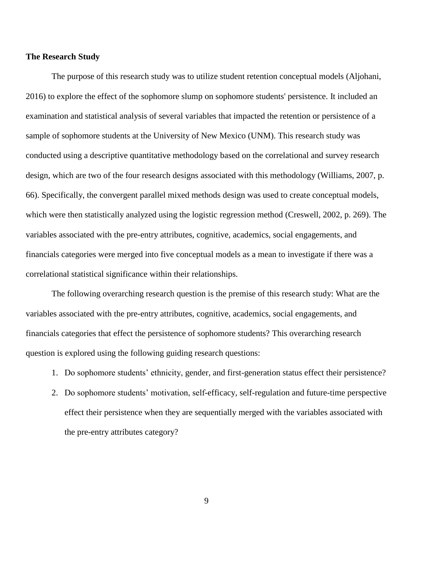### **The Research Study**

The purpose of this research study was to utilize student retention conceptual models (Aljohani, 2016) to explore the effect of the sophomore slump on sophomore students' persistence. It included an examination and statistical analysis of several variables that impacted the retention or persistence of a sample of sophomore students at the University of New Mexico (UNM). This research study was conducted using a descriptive quantitative methodology based on the correlational and survey research design, which are two of the four research designs associated with this methodology (Williams, 2007, p. 66). Specifically, the convergent parallel mixed methods design was used to create conceptual models, which were then statistically analyzed using the logistic regression method (Creswell, 2002, p. 269). The variables associated with the pre-entry attributes, cognitive, academics, social engagements, and financials categories were merged into five conceptual models as a mean to investigate if there was a correlational statistical significance within their relationships.

The following overarching research question is the premise of this research study: What are the variables associated with the pre-entry attributes, cognitive, academics, social engagements, and financials categories that effect the persistence of sophomore students? This overarching research question is explored using the following guiding research questions:

- 1. Do sophomore students' ethnicity, gender, and first-generation status effect their persistence?
- 2. Do sophomore students' motivation, self-efficacy, self-regulation and future-time perspective effect their persistence when they are sequentially merged with the variables associated with the pre-entry attributes category?

9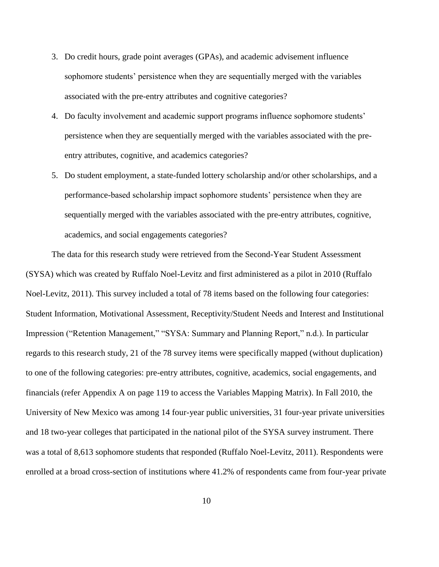- 3. Do credit hours, grade point averages (GPAs), and academic advisement influence sophomore students' persistence when they are sequentially merged with the variables associated with the pre-entry attributes and cognitive categories?
- 4. Do faculty involvement and academic support programs influence sophomore students' persistence when they are sequentially merged with the variables associated with the preentry attributes, cognitive, and academics categories?
- 5. Do student employment, a state-funded lottery scholarship and/or other scholarships, and a performance-based scholarship impact sophomore students' persistence when they are sequentially merged with the variables associated with the pre-entry attributes, cognitive, academics, and social engagements categories?

The data for this research study were retrieved from the Second-Year Student Assessment (SYSA) which was created by Ruffalo Noel-Levitz and first administered as a pilot in 2010 (Ruffalo Noel-Levitz, 2011). This survey included a total of 78 items based on the following four categories: Student Information, Motivational Assessment, Receptivity/Student Needs and Interest and Institutional Impression ("Retention Management," "SYSA: Summary and Planning Report," n.d.). In particular regards to this research study, 21 of the 78 survey items were specifically mapped (without duplication) to one of the following categories: pre-entry attributes, cognitive, academics, social engagements, and financials (refer Appendix A on page 119 to access the Variables Mapping Matrix). In Fall 2010, the University of New Mexico was among 14 four-year public universities, 31 four-year private universities and 18 two-year colleges that participated in the national pilot of the SYSA survey instrument. There was a total of 8,613 sophomore students that responded (Ruffalo Noel-Levitz, 2011). Respondents were enrolled at a broad cross-section of institutions where 41.2% of respondents came from four-year private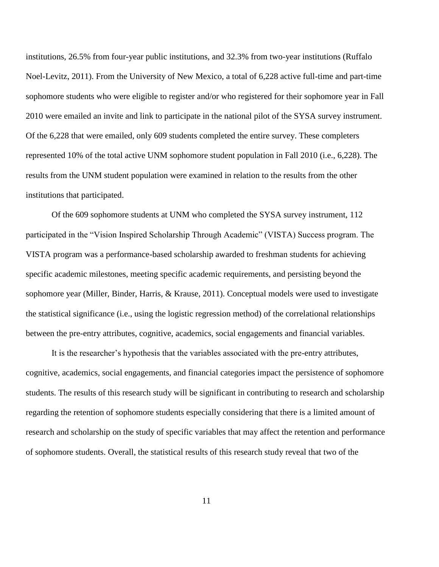institutions, 26.5% from four-year public institutions, and 32.3% from two-year institutions (Ruffalo Noel-Levitz, 2011). From the University of New Mexico, a total of 6,228 active full-time and part-time sophomore students who were eligible to register and/or who registered for their sophomore year in Fall 2010 were emailed an invite and link to participate in the national pilot of the SYSA survey instrument. Of the 6,228 that were emailed, only 609 students completed the entire survey. These completers represented 10% of the total active UNM sophomore student population in Fall 2010 (i.e., 6,228). The results from the UNM student population were examined in relation to the results from the other institutions that participated.

Of the 609 sophomore students at UNM who completed the SYSA survey instrument, 112 participated in the "Vision Inspired Scholarship Through Academic" (VISTA) Success program. The VISTA program was a performance-based scholarship awarded to freshman students for achieving specific academic milestones, meeting specific academic requirements, and persisting beyond the sophomore year (Miller, Binder, Harris, & Krause, 2011). Conceptual models were used to investigate the statistical significance (i.e., using the logistic regression method) of the correlational relationships between the pre-entry attributes, cognitive, academics, social engagements and financial variables.

It is the researcher's hypothesis that the variables associated with the pre-entry attributes, cognitive, academics, social engagements, and financial categories impact the persistence of sophomore students. The results of this research study will be significant in contributing to research and scholarship regarding the retention of sophomore students especially considering that there is a limited amount of research and scholarship on the study of specific variables that may affect the retention and performance of sophomore students. Overall, the statistical results of this research study reveal that two of the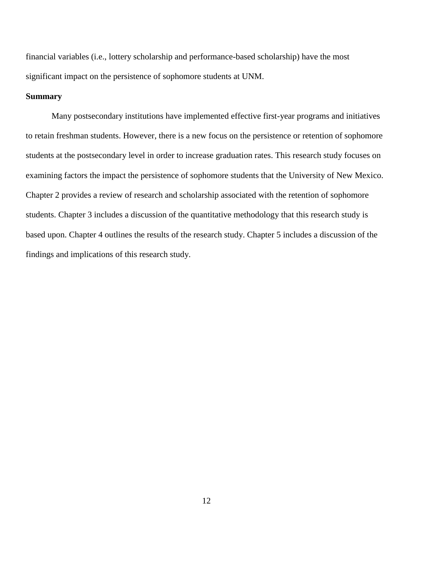financial variables (i.e., lottery scholarship and performance-based scholarship) have the most significant impact on the persistence of sophomore students at UNM.

### **Summary**

Many postsecondary institutions have implemented effective first-year programs and initiatives to retain freshman students. However, there is a new focus on the persistence or retention of sophomore students at the postsecondary level in order to increase graduation rates. This research study focuses on examining factors the impact the persistence of sophomore students that the University of New Mexico. Chapter 2 provides a review of research and scholarship associated with the retention of sophomore students. Chapter 3 includes a discussion of the quantitative methodology that this research study is based upon. Chapter 4 outlines the results of the research study. Chapter 5 includes a discussion of the findings and implications of this research study.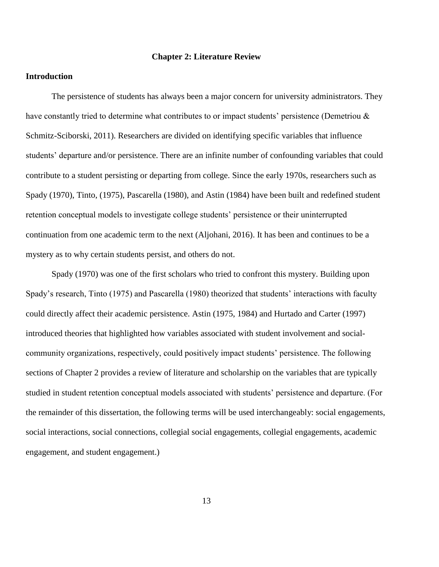### **Chapter 2: Literature Review**

### **Introduction**

The persistence of students has always been a major concern for university administrators. They have constantly tried to determine what contributes to or impact students' persistence (Demetriou & Schmitz-Sciborski, 2011). Researchers are divided on identifying specific variables that influence students' departure and/or persistence. There are an infinite number of confounding variables that could contribute to a student persisting or departing from college. Since the early 1970s, researchers such as Spady (1970), Tinto, (1975), Pascarella (1980), and Astin (1984) have been built and redefined student retention conceptual models to investigate college students' persistence or their uninterrupted continuation from one academic term to the next (Aljohani, 2016). It has been and continues to be a mystery as to why certain students persist, and others do not.

Spady (1970) was one of the first scholars who tried to confront this mystery. Building upon Spady's research, Tinto (1975) and Pascarella (1980) theorized that students' interactions with faculty could directly affect their academic persistence. Astin (1975, 1984) and Hurtado and Carter (1997) introduced theories that highlighted how variables associated with student involvement and socialcommunity organizations, respectively, could positively impact students' persistence. The following sections of Chapter 2 provides a review of literature and scholarship on the variables that are typically studied in student retention conceptual models associated with students' persistence and departure. (For the remainder of this dissertation, the following terms will be used interchangeably: social engagements, social interactions, social connections, collegial social engagements, collegial engagements, academic engagement, and student engagement.)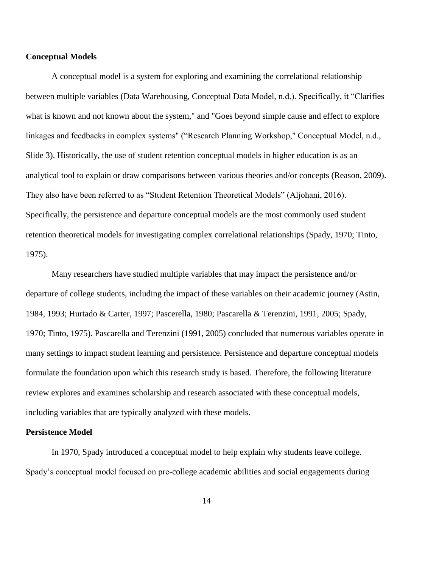### **Conceptual Models**

A conceptual model is a system for exploring and examining the correlational relationship between multiple variables (Data Warehousing, Conceptual Data Model, n.d.). Specifically, it "Clarifies what is known and not known about the system," and "Goes beyond simple cause and effect to explore linkages and feedbacks in complex systems" ("Research Planning Workshop," Conceptual Model, n.d., Slide 3). Historically, the use of student retention conceptual models in higher education is as an analytical tool to explain or draw comparisons between various theories and/or concepts (Reason, 2009). They also have been referred to as "Student Retention Theoretical Models" (Aljohani, 2016). Specifically, the persistence and departure conceptual models are the most commonly used student retention theoretical models for investigating complex correlational relationships (Spady, 1970; Tinto, 1975).

Many researchers have studied multiple variables that may impact the persistence and/or departure of college students, including the impact of these variables on their academic journey (Astin, 1984, 1993; Hurtado & Carter, 1997; Pascerella, 1980; Pascarella & Terenzini, 1991, 2005; Spady, 1970; Tinto, 1975). Pascarella and Terenzini (1991, 2005) concluded that numerous variables operate in many settings to impact student learning and persistence. Persistence and departure conceptual models formulate the foundation upon which this research study is based. Therefore, the following literature review explores and examines scholarship and research associated with these conceptual models, including variables that are typically analyzed with these models.

### **Persistence Model**

In 1970, Spady introduced a conceptual model to help explain why students leave college. Spady's conceptual model focused on pre-college academic abilities and social engagements during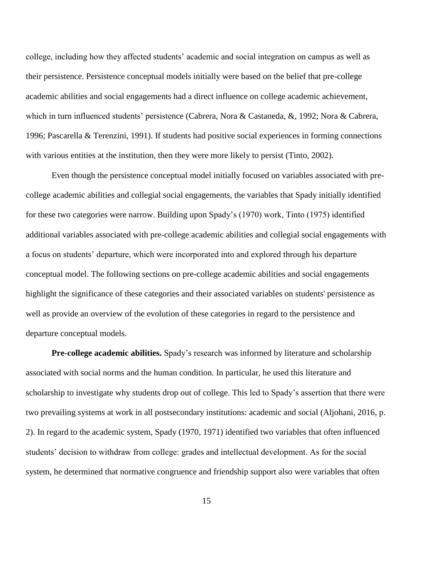college, including how they affected students' academic and social integration on campus as well as their persistence. Persistence conceptual models initially were based on the belief that pre-college academic abilities and social engagements had a direct influence on college academic achievement, which in turn influenced students' persistence (Cabrera, Nora & Castaneda, &, 1992; Nora & Cabrera, 1996; Pascarella & Terenzini, 1991). If students had positive social experiences in forming connections with various entities at the institution, then they were more likely to persist (Tinto, 2002).

Even though the persistence conceptual model initially focused on variables associated with precollege academic abilities and collegial social engagements, the variables that Spady initially identified for these two categories were narrow. Building upon Spady's (1970) work, Tinto (1975) identified additional variables associated with pre-college academic abilities and collegial social engagements with a focus on students' departure, which were incorporated into and explored through his departure conceptual model. The following sections on pre-college academic abilities and social engagements highlight the significance of these categories and their associated variables on students' persistence as well as provide an overview of the evolution of these categories in regard to the persistence and departure conceptual models.

**Pre-college academic abilities.** Spady's research was informed by literature and scholarship associated with social norms and the human condition. In particular, he used this literature and scholarship to investigate why students drop out of college. This led to Spady's assertion that there were two prevailing systems at work in all postsecondary institutions: academic and social (Aljohani, 2016, p. 2). In regard to the academic system, Spady (1970, 1971) identified two variables that often influenced students' decision to withdraw from college: grades and intellectual development. As for the social system, he determined that normative congruence and friendship support also were variables that often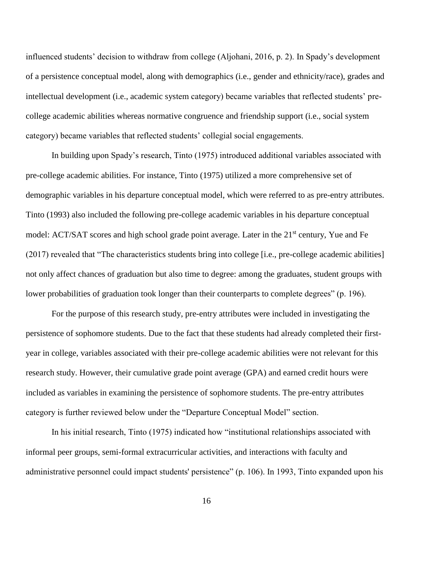influenced students' decision to withdraw from college (Aljohani, 2016, p. 2). In Spady's development of a persistence conceptual model, along with demographics (i.e., gender and ethnicity/race), grades and intellectual development (i.e., academic system category) became variables that reflected students' precollege academic abilities whereas normative congruence and friendship support (i.e., social system category) became variables that reflected students' collegial social engagements.

In building upon Spady's research, Tinto (1975) introduced additional variables associated with pre-college academic abilities. For instance, Tinto (1975) utilized a more comprehensive set of demographic variables in his departure conceptual model, which were referred to as pre-entry attributes. Tinto (1993) also included the following pre-college academic variables in his departure conceptual model: ACT/SAT scores and high school grade point average. Later in the 21<sup>st</sup> century, Yue and Fe (2017) revealed that "The characteristics students bring into college [i.e., pre-college academic abilities] not only affect chances of graduation but also time to degree: among the graduates, student groups with lower probabilities of graduation took longer than their counterparts to complete degrees" (p. 196).

For the purpose of this research study, pre-entry attributes were included in investigating the persistence of sophomore students. Due to the fact that these students had already completed their firstyear in college, variables associated with their pre-college academic abilities were not relevant for this research study. However, their cumulative grade point average (GPA) and earned credit hours were included as variables in examining the persistence of sophomore students. The pre-entry attributes category is further reviewed below under the "Departure Conceptual Model" section.

In his initial research, Tinto (1975) indicated how "institutional relationships associated with informal peer groups, semi-formal extracurricular activities, and interactions with faculty and administrative personnel could impact students' persistence" (p. 106). In 1993, Tinto expanded upon his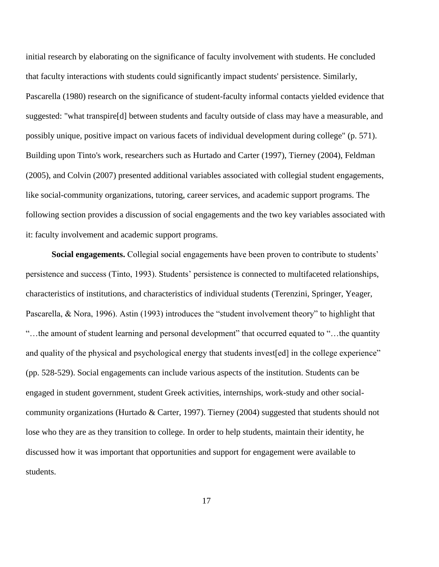initial research by elaborating on the significance of faculty involvement with students. He concluded that faculty interactions with students could significantly impact students' persistence. Similarly, Pascarella (1980) research on the significance of student-faculty informal contacts yielded evidence that suggested: "what transpire[d] between students and faculty outside of class may have a measurable, and possibly unique, positive impact on various facets of individual development during college" (p. 571). Building upon Tinto's work, researchers such as Hurtado and Carter (1997), Tierney (2004), Feldman (2005), and Colvin (2007) presented additional variables associated with collegial student engagements, like social-community organizations, tutoring, career services, and academic support programs. The following section provides a discussion of social engagements and the two key variables associated with it: faculty involvement and academic support programs.

**Social engagements.** Collegial social engagements have been proven to contribute to students' persistence and success (Tinto, 1993). Students' persistence is connected to multifaceted relationships, characteristics of institutions, and characteristics of individual students (Terenzini, Springer, Yeager, Pascarella, & Nora, 1996). Astin (1993) introduces the "student involvement theory" to highlight that "…the amount of student learning and personal development" that occurred equated to "…the quantity and quality of the physical and psychological energy that students invest[ed] in the college experience" (pp. 528-529). Social engagements can include various aspects of the institution. Students can be engaged in student government, student Greek activities, internships, work-study and other socialcommunity organizations (Hurtado & Carter, 1997). Tierney (2004) suggested that students should not lose who they are as they transition to college. In order to help students, maintain their identity, he discussed how it was important that opportunities and support for engagement were available to students.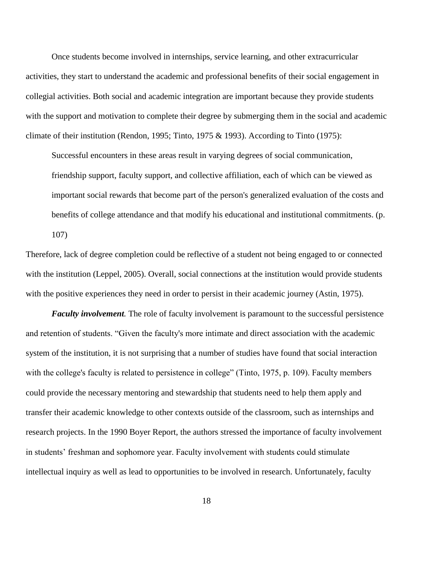Once students become involved in internships, service learning, and other extracurricular activities, they start to understand the academic and professional benefits of their social engagement in collegial activities. Both social and academic integration are important because they provide students with the support and motivation to complete their degree by submerging them in the social and academic climate of their institution (Rendon, 1995; Tinto, 1975 & 1993). According to Tinto (1975):

Successful encounters in these areas result in varying degrees of social communication, friendship support, faculty support, and collective affiliation, each of which can be viewed as important social rewards that become part of the person's generalized evaluation of the costs and benefits of college attendance and that modify his educational and institutional commitments. (p. 107)

Therefore, lack of degree completion could be reflective of a student not being engaged to or connected with the institution (Leppel, 2005). Overall, social connections at the institution would provide students with the positive experiences they need in order to persist in their academic journey (Astin, 1975).

*Faculty involvement.* The role of faculty involvement is paramount to the successful persistence and retention of students. "Given the faculty's more intimate and direct association with the academic system of the institution, it is not surprising that a number of studies have found that social interaction with the college's faculty is related to persistence in college" (Tinto, 1975, p. 109). Faculty members could provide the necessary mentoring and stewardship that students need to help them apply and transfer their academic knowledge to other contexts outside of the classroom, such as internships and research projects. In the 1990 Boyer Report, the authors stressed the importance of faculty involvement in students' freshman and sophomore year. Faculty involvement with students could stimulate intellectual inquiry as well as lead to opportunities to be involved in research. Unfortunately, faculty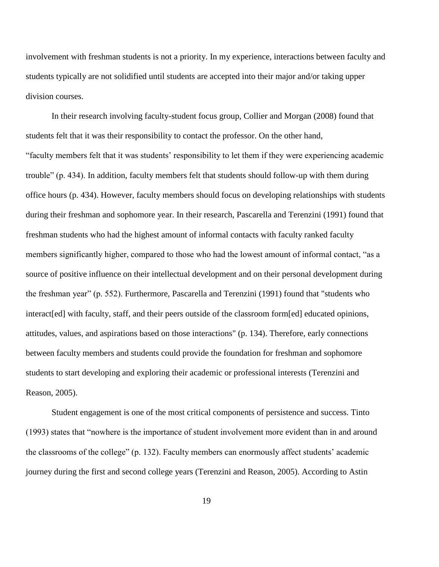involvement with freshman students is not a priority. In my experience, interactions between faculty and students typically are not solidified until students are accepted into their major and/or taking upper division courses.

In their research involving faculty-student focus group, Collier and Morgan (2008) found that students felt that it was their responsibility to contact the professor. On the other hand, "faculty members felt that it was students' responsibility to let them if they were experiencing academic trouble" (p. 434). In addition, faculty members felt that students should follow-up with them during office hours (p. 434). However, faculty members should focus on developing relationships with students during their freshman and sophomore year. In their research, Pascarella and Terenzini (1991) found that freshman students who had the highest amount of informal contacts with faculty ranked faculty members significantly higher, compared to those who had the lowest amount of informal contact, "as a source of positive influence on their intellectual development and on their personal development during the freshman year" (p. 552). Furthermore, Pascarella and Terenzini (1991) found that "students who interact[ed] with faculty, staff, and their peers outside of the classroom form[ed] educated opinions, attitudes, values, and aspirations based on those interactions" (p. 134). Therefore, early connections between faculty members and students could provide the foundation for freshman and sophomore students to start developing and exploring their academic or professional interests (Terenzini and Reason, 2005).

Student engagement is one of the most critical components of persistence and success. Tinto (1993) states that "nowhere is the importance of student involvement more evident than in and around the classrooms of the college" (p. 132). Faculty members can enormously affect students' academic journey during the first and second college years (Terenzini and Reason, 2005). According to Astin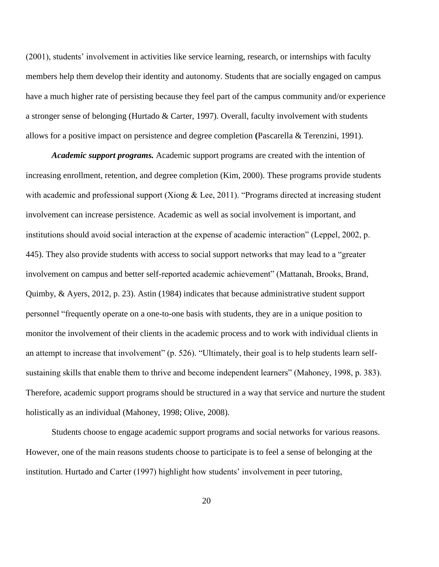(2001), students' involvement in activities like service learning, research, or internships with faculty members help them develop their identity and autonomy. Students that are socially engaged on campus have a much higher rate of persisting because they feel part of the campus community and/or experience a stronger sense of belonging (Hurtado & Carter, 1997). Overall, faculty involvement with students allows for a positive impact on persistence and degree completion **(**Pascarella & Terenzini, 1991).

*Academic support programs.* Academic support programs are created with the intention of increasing enrollment, retention, and degree completion (Kim, 2000). These programs provide students with academic and professional support (Xiong & Lee, 2011). "Programs directed at increasing student involvement can increase persistence. Academic as well as social involvement is important, and institutions should avoid social interaction at the expense of academic interaction" (Leppel, 2002, p. 445). They also provide students with access to social support networks that may lead to a "greater involvement on campus and better self-reported academic achievement" (Mattanah, Brooks, Brand, Quimby, & Ayers, 2012, p. 23). Astin (1984) indicates that because administrative student support personnel "frequently operate on a one-to-one basis with students, they are in a unique position to monitor the involvement of their clients in the academic process and to work with individual clients in an attempt to increase that involvement" (p. 526). "Ultimately, their goal is to help students learn selfsustaining skills that enable them to thrive and become independent learners" (Mahoney, 1998, p. 383). Therefore, academic support programs should be structured in a way that service and nurture the student holistically as an individual (Mahoney, 1998; Olive, 2008).

Students choose to engage academic support programs and social networks for various reasons. However, one of the main reasons students choose to participate is to feel a sense of belonging at the institution. Hurtado and Carter (1997) highlight how students' involvement in peer tutoring,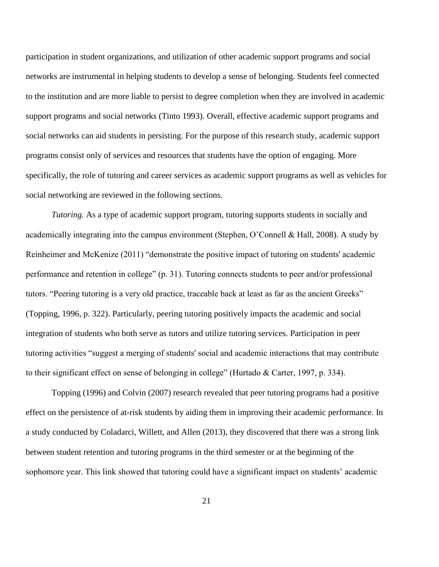participation in student organizations, and utilization of other academic support programs and social networks are instrumental in helping students to develop a sense of belonging. Students feel connected to the institution and are more liable to persist to degree completion when they are involved in academic support programs and social networks (Tinto 1993). Overall, effective academic support programs and social networks can aid students in persisting. For the purpose of this research study, academic support programs consist only of services and resources that students have the option of engaging. More specifically, the role of tutoring and career services as academic support programs as well as vehicles for social networking are reviewed in the following sections.

*Tutoring.* As a type of academic support program, tutoring supports students in socially and academically integrating into the campus environment (Stephen, O'Connell & Hall, 2008). A study by Reinheimer and McKenize (2011) "demonstrate the positive impact of tutoring on students' academic performance and retention in college" (p. 31). Tutoring connects students to peer and/or professional tutors. "Peering tutoring is a very old practice, traceable back at least as far as the ancient Greeks" (Topping, 1996, p. 322). Particularly, peering tutoring positively impacts the academic and social integration of students who both serve as tutors and utilize tutoring services. Participation in peer tutoring activities "suggest a merging of students' social and academic interactions that may contribute to their significant effect on sense of belonging in college" (Hurtado & Carter, 1997, p. 334).

Topping (1996) and Colvin (2007) research revealed that peer tutoring programs had a positive effect on the persistence of at-risk students by aiding them in improving their academic performance. In a study conducted by Coladarci, Willett, and Allen (2013), they discovered that there was a strong link between student retention and tutoring programs in the third semester or at the beginning of the sophomore year. This link showed that tutoring could have a significant impact on students' academic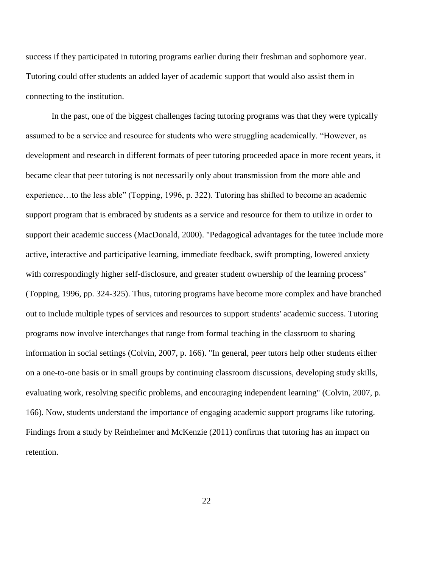success if they participated in tutoring programs earlier during their freshman and sophomore year. Tutoring could offer students an added layer of academic support that would also assist them in connecting to the institution.

In the past, one of the biggest challenges facing tutoring programs was that they were typically assumed to be a service and resource for students who were struggling academically. "However, as development and research in different formats of peer tutoring proceeded apace in more recent years, it became clear that peer tutoring is not necessarily only about transmission from the more able and experience…to the less able" (Topping, 1996, p. 322). Tutoring has shifted to become an academic support program that is embraced by students as a service and resource for them to utilize in order to support their academic success (MacDonald, 2000). "Pedagogical advantages for the tutee include more active, interactive and participative learning, immediate feedback, swift prompting, lowered anxiety with correspondingly higher self-disclosure, and greater student ownership of the learning process" (Topping, 1996, pp. 324-325). Thus, tutoring programs have become more complex and have branched out to include multiple types of services and resources to support students' academic success. Tutoring programs now involve interchanges that range from formal teaching in the classroom to sharing information in social settings (Colvin, 2007, p. 166). "In general, peer tutors help other students either on a one-to-one basis or in small groups by continuing classroom discussions, developing study skills, evaluating work, resolving specific problems, and encouraging independent learning" (Colvin, 2007, p. 166). Now, students understand the importance of engaging academic support programs like tutoring. Findings from a study by Reinheimer and McKenzie (2011) confirms that tutoring has an impact on retention.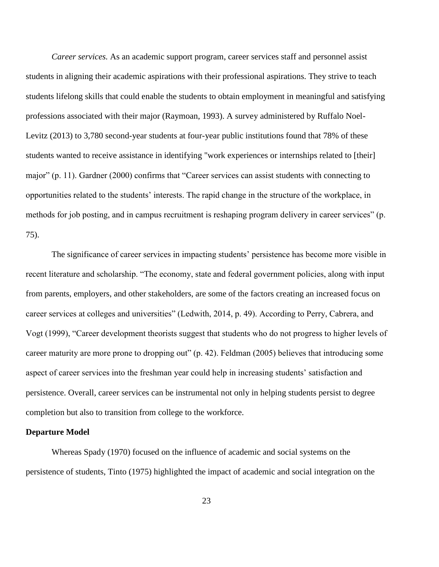*Career services.* As an academic support program, career services staff and personnel assist students in aligning their academic aspirations with their professional aspirations. They strive to teach students lifelong skills that could enable the students to obtain employment in meaningful and satisfying professions associated with their major (Raymoan, 1993). A survey administered by Ruffalo Noel-Levitz (2013) to 3,780 second-year students at four-year public institutions found that 78% of these students wanted to receive assistance in identifying "work experiences or internships related to [their] major" (p. 11). Gardner (2000) confirms that "Career services can assist students with connecting to opportunities related to the students' interests. The rapid change in the structure of the workplace, in methods for job posting, and in campus recruitment is reshaping program delivery in career services" (p. 75).

The significance of career services in impacting students' persistence has become more visible in recent literature and scholarship. "The economy, state and federal government policies, along with input from parents, employers, and other stakeholders, are some of the factors creating an increased focus on career services at colleges and universities" (Ledwith, 2014, p. 49). According to Perry, Cabrera, and Vogt (1999), "Career development theorists suggest that students who do not progress to higher levels of career maturity are more prone to dropping out" (p. 42). Feldman (2005) believes that introducing some aspect of career services into the freshman year could help in increasing students' satisfaction and persistence. Overall, career services can be instrumental not only in helping students persist to degree completion but also to transition from college to the workforce.

### **Departure Model**

Whereas Spady (1970) focused on the influence of academic and social systems on the persistence of students, Tinto (1975) highlighted the impact of academic and social integration on the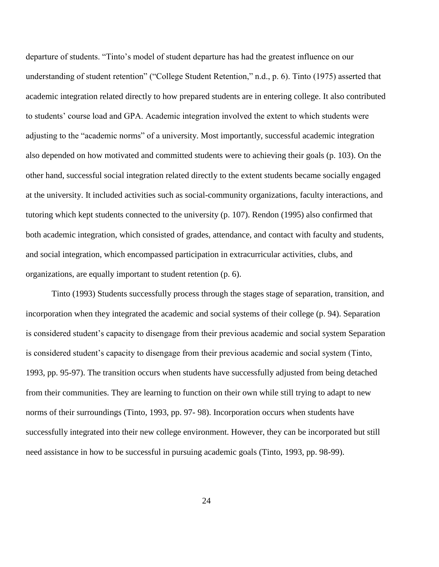departure of students. "Tinto's model of student departure has had the greatest influence on our understanding of student retention" ("College Student Retention," n.d., p. 6). Tinto (1975) asserted that academic integration related directly to how prepared students are in entering college. It also contributed to students' course load and GPA. Academic integration involved the extent to which students were adjusting to the "academic norms" of a university. Most importantly, successful academic integration also depended on how motivated and committed students were to achieving their goals (p. 103). On the other hand, successful social integration related directly to the extent students became socially engaged at the university. It included activities such as social-community organizations, faculty interactions, and tutoring which kept students connected to the university (p. 107). Rendon (1995) also confirmed that both academic integration, which consisted of grades, attendance, and contact with faculty and students, and social integration, which encompassed participation in extracurricular activities, clubs, and organizations, are equally important to student retention (p. 6).

Tinto (1993) Students successfully process through the stages stage of separation, transition, and incorporation when they integrated the academic and social systems of their college (p. 94). Separation is considered student's capacity to disengage from their previous academic and social system Separation is considered student's capacity to disengage from their previous academic and social system (Tinto, 1993, pp. 95-97). The transition occurs when students have successfully adjusted from being detached from their communities. They are learning to function on their own while still trying to adapt to new norms of their surroundings (Tinto, 1993, pp. 97- 98). Incorporation occurs when students have successfully integrated into their new college environment. However, they can be incorporated but still need assistance in how to be successful in pursuing academic goals (Tinto, 1993, pp. 98-99).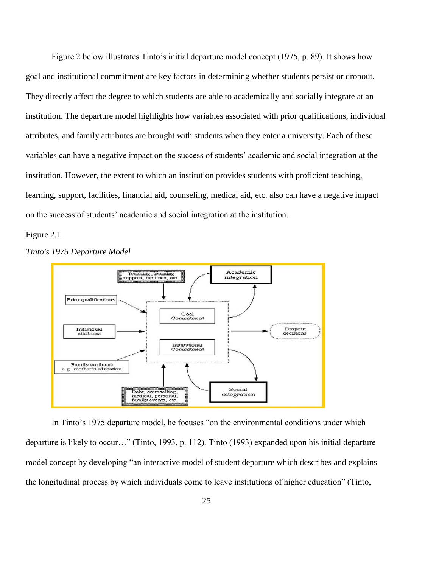Figure 2 below illustrates Tinto's initial departure model concept (1975, p. 89). It shows how goal and institutional commitment are key factors in determining whether students persist or dropout. They directly affect the degree to which students are able to academically and socially integrate at an institution. The departure model highlights how variables associated with prior qualifications, individual attributes, and family attributes are brought with students when they enter a university. Each of these variables can have a negative impact on the success of students' academic and social integration at the institution. However, the extent to which an institution provides students with proficient teaching, learning, support, facilities, financial aid, counseling, medical aid, etc. also can have a negative impact on the success of students' academic and social integration at the institution.

Figure 2.1.



*Tinto's 1975 Departure Model*

In Tinto's 1975 departure model, he focuses "on the environmental conditions under which departure is likely to occur…" (Tinto, 1993, p. 112). Tinto (1993) expanded upon his initial departure model concept by developing "an interactive model of student departure which describes and explains the longitudinal process by which individuals come to leave institutions of higher education" (Tinto,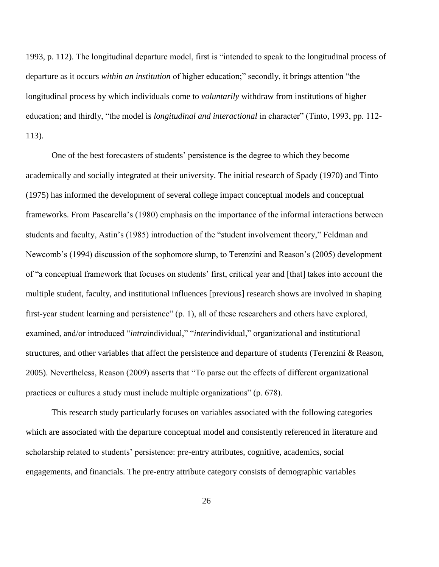1993, p. 112). The longitudinal departure model, first is "intended to speak to the longitudinal process of departure as it occurs *within an institution* of higher education;" secondly, it brings attention "the longitudinal process by which individuals come to *voluntarily* withdraw from institutions of higher education; and thirdly, "the model is *longitudinal and interactional* in character" (Tinto, 1993, pp. 112- 113).

One of the best forecasters of students' persistence is the degree to which they become academically and socially integrated at their university. The initial research of Spady (1970) and Tinto (1975) has informed the development of several college impact conceptual models and conceptual frameworks. From Pascarella's (1980) emphasis on the importance of the informal interactions between students and faculty, Astin's (1985) introduction of the "student involvement theory," Feldman and Newcomb's (1994) discussion of the sophomore slump, to Terenzini and Reason's (2005) development of "a conceptual framework that focuses on students' first, critical year and [that] takes into account the multiple student, faculty, and institutional influences [previous] research shows are involved in shaping first-year student learning and persistence" (p. 1), all of these researchers and others have explored, examined, and/or introduced "*intraindividual*," "*interindividual*," organizational and institutional structures, and other variables that affect the persistence and departure of students (Terenzini & Reason, 2005). Nevertheless, Reason (2009) asserts that "To parse out the effects of different organizational practices or cultures a study must include multiple organizations" (p. 678).

This research study particularly focuses on variables associated with the following categories which are associated with the departure conceptual model and consistently referenced in literature and scholarship related to students' persistence: pre-entry attributes, cognitive, academics, social engagements, and financials. The pre-entry attribute category consists of demographic variables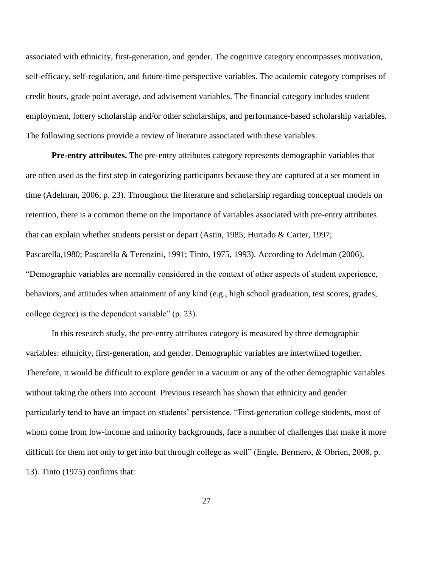associated with ethnicity, first-generation, and gender. The cognitive category encompasses motivation, self-efficacy, self-regulation, and future-time perspective variables. The academic category comprises of credit hours, grade point average, and advisement variables. The financial category includes student employment, lottery scholarship and/or other scholarships, and performance-based scholarship variables. The following sections provide a review of literature associated with these variables.

**Pre-entry attributes.** The pre-entry attributes category represents demographic variables that are often used as the first step in categorizing participants because they are captured at a set moment in time (Adelman, 2006, p. 23). Throughout the literature and scholarship regarding conceptual models on retention, there is a common theme on the importance of variables associated with pre-entry attributes that can explain whether students persist or depart (Astin, 1985; Hurtado & Carter, 1997; Pascarella,1980; Pascarella & Terenzini, 1991; Tinto, 1975, 1993). According to Adelman (2006), "Demographic variables are normally considered in the context of other aspects of student experience, behaviors, and attitudes when attainment of any kind (e.g., high school graduation, test scores, grades, college degree) is the dependent variable" (p. 23).

In this research study, the pre-entry attributes category is measured by three demographic variables: ethnicity, first-generation, and gender. Demographic variables are intertwined together. Therefore, it would be difficult to explore gender in a vacuum or any of the other demographic variables without taking the others into account. Previous research has shown that ethnicity and gender particularly tend to have an impact on students' persistence. "First-generation college students, most of whom come from low-income and minority backgrounds, face a number of challenges that make it more difficult for them not only to get into but through college as well" (Engle, Bermero, & Obrien, 2008, p. 13). Tinto (1975) confirms that: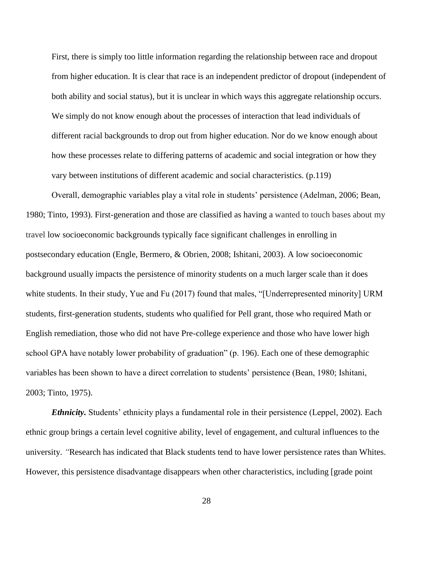First, there is simply too little information regarding the relationship between race and dropout from higher education. It is clear that race is an independent predictor of dropout (independent of both ability and social status), but it is unclear in which ways this aggregate relationship occurs. We simply do not know enough about the processes of interaction that lead individuals of different racial backgrounds to drop out from higher education. Nor do we know enough about how these processes relate to differing patterns of academic and social integration or how they vary between institutions of different academic and social characteristics. (p.119)

Overall, demographic variables play a vital role in students' persistence (Adelman, 2006; Bean, 1980; Tinto, 1993). First-generation and those are classified as having a wanted to touch bases about my travel low socioeconomic backgrounds typically face significant challenges in enrolling in postsecondary education (Engle, Bermero, & Obrien, 2008; Ishitani, 2003). A low socioeconomic background usually impacts the persistence of minority students on a much larger scale than it does white students. In their study, Yue and Fu (2017) found that males, "[Underrepresented minority] URM students, first-generation students, students who qualified for Pell grant, those who required Math or English remediation, those who did not have Pre-college experience and those who have lower high school GPA have notably lower probability of graduation" (p. 196). Each one of these demographic variables has been shown to have a direct correlation to students' persistence (Bean, 1980; Ishitani, 2003; Tinto, 1975).

*Ethnicity.* Students' ethnicity plays a fundamental role in their persistence (Leppel, 2002). Each ethnic group brings a certain level cognitive ability, level of engagement, and cultural influences to the university. *"*Research has indicated that Black students tend to have lower persistence rates than Whites. However, this persistence disadvantage disappears when other characteristics, including [grade point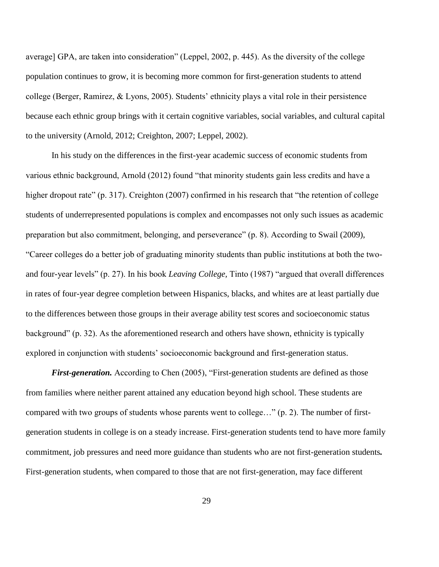average] GPA, are taken into consideration" (Leppel, 2002, p. 445). As the diversity of the college population continues to grow, it is becoming more common for first-generation students to attend college (Berger, Ramirez, & Lyons, 2005). Students' ethnicity plays a vital role in their persistence because each ethnic group brings with it certain cognitive variables, social variables, and cultural capital to the university (Arnold, 2012; Creighton, 2007; Leppel, 2002).

In his study on the differences in the first-year academic success of economic students from various ethnic background, Arnold (2012) found "that minority students gain less credits and have a higher dropout rate" (p. 317). Creighton (2007) confirmed in his research that "the retention of college students of underrepresented populations is complex and encompasses not only such issues as academic preparation but also commitment, belonging, and perseverance" (p. 8). According to Swail (2009), "Career colleges do a better job of graduating minority students than public institutions at both the twoand four-year levels" (p. 27). In his book *Leaving College,* Tinto (1987) "argued that overall differences in rates of four-year degree completion between Hispanics, blacks, and whites are at least partially due to the differences between those groups in their average ability test scores and socioeconomic status background" (p. 32). As the aforementioned research and others have shown, ethnicity is typically explored in conjunction with students' socioeconomic background and first-generation status.

*First-generation.* According to Chen (2005), "First-generation students are defined as those from families where neither parent attained any education beyond high school. These students are compared with two groups of students whose parents went to college…" (p. 2). The number of firstgeneration students in college is on a steady increase. First-generation students tend to have more family commitment, job pressures and need more guidance than students who are not first-generation students*.*  First-generation students, when compared to those that are not first-generation, may face different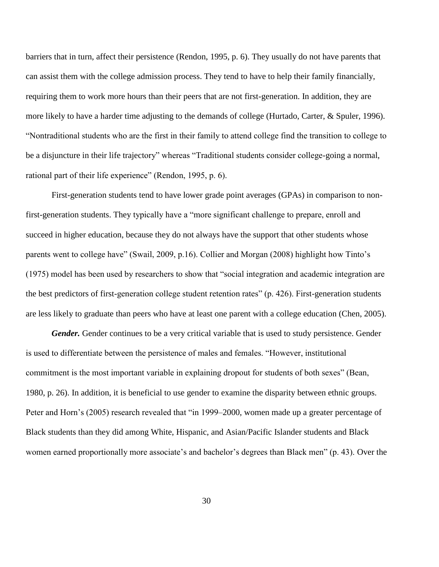barriers that in turn, affect their persistence (Rendon, 1995, p. 6). They usually do not have parents that can assist them with the college admission process. They tend to have to help their family financially, requiring them to work more hours than their peers that are not first-generation. In addition, they are more likely to have a harder time adjusting to the demands of college (Hurtado, Carter, & Spuler, 1996). "Nontraditional students who are the first in their family to attend college find the transition to college to be a disjuncture in their life trajectory" whereas "Traditional students consider college-going a normal, rational part of their life experience" (Rendon, 1995, p. 6).

First-generation students tend to have lower grade point averages (GPAs) in comparison to nonfirst-generation students. They typically have a "more significant challenge to prepare, enroll and succeed in higher education, because they do not always have the support that other students whose parents went to college have" (Swail, 2009, p.16). Collier and Morgan (2008) highlight how Tinto's (1975) model has been used by researchers to show that "social integration and academic integration are the best predictors of first-generation college student retention rates" (p. 426). First-generation students are less likely to graduate than peers who have at least one parent with a college education (Chen, 2005).

*Gender*. Gender continues to be a very critical variable that is used to study persistence. Gender is used to differentiate between the persistence of males and females. "However, institutional commitment is the most important variable in explaining dropout for students of both sexes" (Bean, 1980, p. 26). In addition, it is beneficial to use gender to examine the disparity between ethnic groups. Peter and Horn's (2005) research revealed that "in 1999–2000, women made up a greater percentage of Black students than they did among White, Hispanic, and Asian/Pacific Islander students and Black women earned proportionally more associate's and bachelor's degrees than Black men" (p. 43). Over the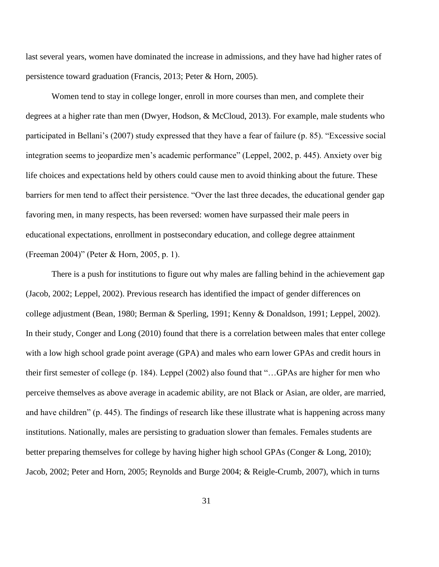last several years, women have dominated the increase in admissions, and they have had higher rates of persistence toward graduation (Francis, 2013; Peter & Horn, 2005).

Women tend to stay in college longer, enroll in more courses than men, and complete their degrees at a higher rate than men (Dwyer, Hodson, & McCloud, 2013). For example, male students who participated in Bellani's (2007) study expressed that they have a fear of failure (p. 85). "Excessive social integration seems to jeopardize men's academic performance" (Leppel, 2002, p. 445). Anxiety over big life choices and expectations held by others could cause men to avoid thinking about the future. These barriers for men tend to affect their persistence. "Over the last three decades, the educational gender gap favoring men, in many respects, has been reversed: women have surpassed their male peers in educational expectations, enrollment in postsecondary education, and college degree attainment (Freeman 2004)" (Peter & Horn, 2005, p. 1).

There is a push for institutions to figure out why males are falling behind in the achievement gap (Jacob, 2002; Leppel, 2002). Previous research has identified the impact of gender differences on college adjustment (Bean, 1980; Berman & Sperling, 1991; Kenny & Donaldson, 1991; Leppel, 2002). In their study, Conger and Long (2010) found that there is a correlation between males that enter college with a low high school grade point average (GPA) and males who earn lower GPAs and credit hours in their first semester of college (p. 184). Leppel (2002) also found that "…GPAs are higher for men who perceive themselves as above average in academic ability, are not Black or Asian, are older, are married, and have children" (p. 445). The findings of research like these illustrate what is happening across many institutions. Nationally, males are persisting to graduation slower than females. Females students are better preparing themselves for college by having higher high school GPAs (Conger & Long, 2010); Jacob, 2002; Peter and Horn, 2005; Reynolds and Burge 2004; & Reigle-Crumb, 2007), which in turns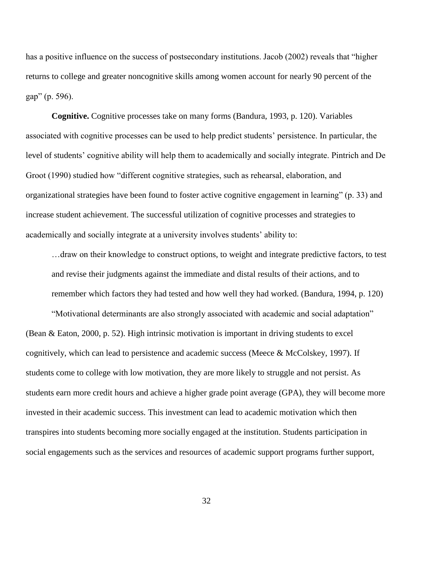has a positive influence on the success of postsecondary institutions. Jacob (2002) reveals that "higher returns to college and greater noncognitive skills among women account for nearly 90 percent of the gap" (p. 596).

**Cognitive.** Cognitive processes take on many forms (Bandura, 1993, p. 120). Variables associated with cognitive processes can be used to help predict students' persistence. In particular, the level of students' cognitive ability will help them to academically and socially integrate. Pintrich and De Groot (1990) studied how "different cognitive strategies, such as rehearsal, elaboration, and organizational strategies have been found to foster active cognitive engagement in learning" (p. 33) and increase student achievement. The successful utilization of cognitive processes and strategies to academically and socially integrate at a university involves students' ability to:

…draw on their knowledge to construct options, to weight and integrate predictive factors, to test and revise their judgments against the immediate and distal results of their actions, and to remember which factors they had tested and how well they had worked. (Bandura, 1994, p. 120)

"Motivational determinants are also strongly associated with academic and social adaptation" (Bean & Eaton, 2000, p. 52). High intrinsic motivation is important in driving students to excel cognitively, which can lead to persistence and academic success (Meece & McColskey, 1997). If students come to college with low motivation, they are more likely to struggle and not persist. As students earn more credit hours and achieve a higher grade point average (GPA), they will become more invested in their academic success. This investment can lead to academic motivation which then transpires into students becoming more socially engaged at the institution. Students participation in social engagements such as the services and resources of academic support programs further support,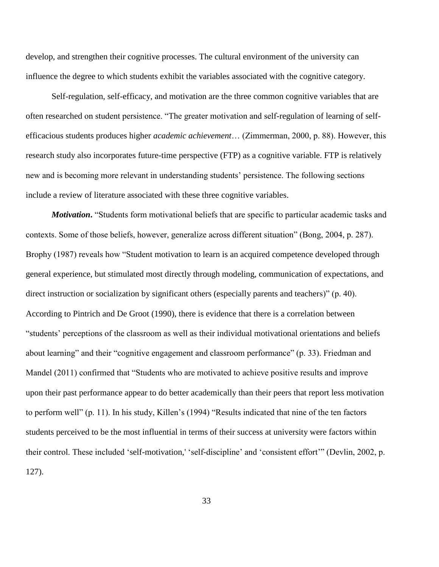develop, and strengthen their cognitive processes. The cultural environment of the university can influence the degree to which students exhibit the variables associated with the cognitive category.

Self-regulation, self-efficacy, and motivation are the three common cognitive variables that are often researched on student persistence. "The greater motivation and self-regulation of learning of selfefficacious students produces higher *academic achievement*… (Zimmerman, 2000, p. 88). However, this research study also incorporates future-time perspective (FTP) as a cognitive variable. FTP is relatively new and is becoming more relevant in understanding students' persistence. The following sections include a review of literature associated with these three cognitive variables.

*Motivation*. "Students form motivational beliefs that are specific to particular academic tasks and contexts. Some of those beliefs, however, generalize across different situation" (Bong, 2004, p. 287). Brophy (1987) reveals how "Student motivation to learn is an acquired competence developed through general experience, but stimulated most directly through modeling, communication of expectations, and direct instruction or socialization by significant others (especially parents and teachers)" (p. 40). According to Pintrich and De Groot (1990), there is evidence that there is a correlation between "students' perceptions of the classroom as well as their individual motivational orientations and beliefs about learning" and their "cognitive engagement and classroom performance" (p. 33). Friedman and Mandel (2011) confirmed that "Students who are motivated to achieve positive results and improve upon their past performance appear to do better academically than their peers that report less motivation to perform well" (p. 11). In his study, Killen's (1994) "Results indicated that nine of the ten factors students perceived to be the most influential in terms of their success at university were factors within their control. These included 'self-motivation,' 'self-discipline' and 'consistent effort'" (Devlin, 2002, p. 127).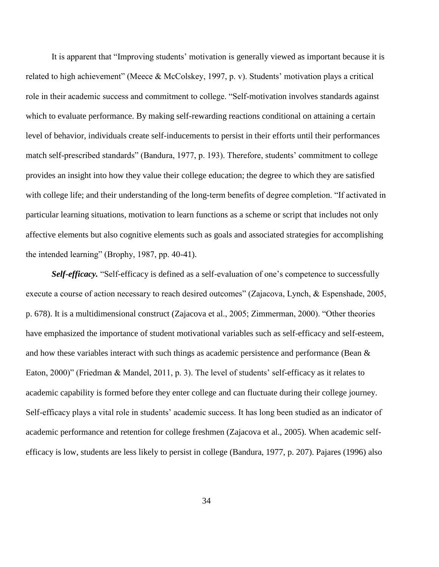It is apparent that "Improving students' motivation is generally viewed as important because it is related to high achievement" (Meece & McColskey, 1997, p. v). Students' motivation plays a critical role in their academic success and commitment to college. "Self-motivation involves standards against which to evaluate performance. By making self-rewarding reactions conditional on attaining a certain level of behavior, individuals create self-inducements to persist in their efforts until their performances match self-prescribed standards" (Bandura, 1977, p. 193). Therefore, students' commitment to college provides an insight into how they value their college education; the degree to which they are satisfied with college life; and their understanding of the long-term benefits of degree completion. "If activated in particular learning situations, motivation to learn functions as a scheme or script that includes not only affective elements but also cognitive elements such as goals and associated strategies for accomplishing the intended learning" (Brophy, 1987, pp. 40-41).

*Self-efficacy.* "Self-efficacy is defined as a self-evaluation of one's competence to successfully execute a course of action necessary to reach desired outcomes" (Zajacova, Lynch, & Espenshade, 2005, p. 678). It is a multidimensional construct (Zajacova et al., 2005; Zimmerman, 2000). "Other theories have emphasized the importance of student motivational variables such as self-efficacy and self-esteem, and how these variables interact with such things as academic persistence and performance (Bean & Eaton, 2000)" (Friedman & Mandel, 2011, p. 3). The level of students' self-efficacy as it relates to academic capability is formed before they enter college and can fluctuate during their college journey. Self-efficacy plays a vital role in students' academic success. It has long been studied as an indicator of academic performance and retention for college freshmen (Zajacova et al., 2005). When academic selfefficacy is low, students are less likely to persist in college (Bandura, 1977, p. 207). Pajares (1996) also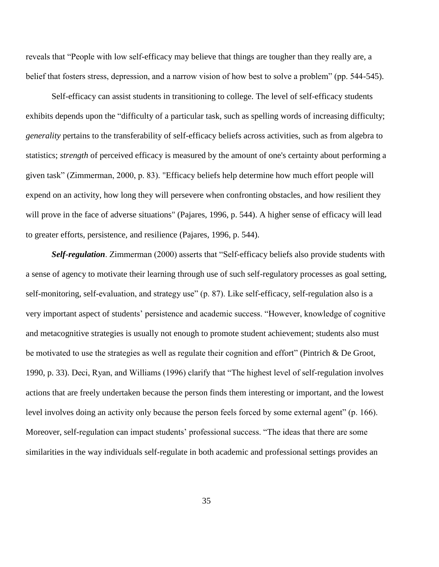reveals that "People with low self-efficacy may believe that things are tougher than they really are, a belief that fosters stress, depression, and a narrow vision of how best to solve a problem" (pp. 544-545).

Self-efficacy can assist students in transitioning to college. The level of self-efficacy students exhibits depends upon the "difficulty of a particular task, such as spelling words of increasing difficulty; *generality* pertains to the transferability of self-efficacy beliefs across activities, such as from algebra to statistics; *strength* of perceived efficacy is measured by the amount of one's certainty about performing a given task" (Zimmerman, 2000, p. 83). "Efficacy beliefs help determine how much effort people will expend on an activity, how long they will persevere when confronting obstacles, and how resilient they will prove in the face of adverse situations" (Pajares, 1996, p. 544). A higher sense of efficacy will lead to greater efforts, persistence, and resilience (Pajares, 1996, p. 544).

*Self-regulation*. Zimmerman (2000) asserts that "Self-efficacy beliefs also provide students with a sense of agency to motivate their learning through use of such self-regulatory processes as goal setting, self-monitoring, self-evaluation, and strategy use" (p. 87). Like self-efficacy, self-regulation also is a very important aspect of students' persistence and academic success. "However, knowledge of cognitive and metacognitive strategies is usually not enough to promote student achievement; students also must be motivated to use the strategies as well as regulate their cognition and effort" (Pintrich & De Groot, 1990, p. 33). Deci, Ryan, and Williams (1996) clarify that "The highest level of self-regulation involves actions that are freely undertaken because the person finds them interesting or important, and the lowest level involves doing an activity only because the person feels forced by some external agent" (p. 166). Moreover, self-regulation can impact students' professional success. "The ideas that there are some similarities in the way individuals self-regulate in both academic and professional settings provides an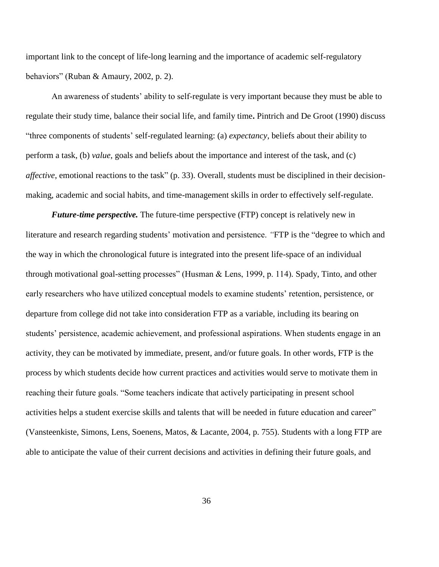important link to the concept of life-long learning and the importance of academic self-regulatory behaviors" (Ruban & Amaury, 2002, p. 2).

An awareness of students' ability to self-regulate is very important because they must be able to regulate their study time, balance their social life, and family time**.** Pintrich and De Groot (1990) discuss "three components of students' self-regulated learning: (a) *expectancy*, beliefs about their ability to perform a task, (b) *value*, goals and beliefs about the importance and interest of the task, and (c) *affective*, emotional reactions to the task" (p. 33). Overall, students must be disciplined in their decisionmaking, academic and social habits, and time-management skills in order to effectively self-regulate.

*Future-time perspective.* The future-time perspective (FTP) concept is relatively new in literature and research regarding students' motivation and persistence. *"*FTP is the "degree to which and the way in which the chronological future is integrated into the present life-space of an individual through motivational goal-setting processes" (Husman & Lens, 1999, p. 114)*.* Spady, Tinto, and other early researchers who have utilized conceptual models to examine students' retention, persistence, or departure from college did not take into consideration FTP as a variable, including its bearing on students' persistence, academic achievement, and professional aspirations. When students engage in an activity, they can be motivated by immediate, present, and/or future goals. In other words, FTP is the process by which students decide how current practices and activities would serve to motivate them in reaching their future goals. "Some teachers indicate that actively participating in present school activities helps a student exercise skills and talents that will be needed in future education and career" (Vansteenkiste, Simons, Lens, Soenens, Matos, & Lacante, 2004, p. 755). Students with a long FTP are able to anticipate the value of their current decisions and activities in defining their future goals, and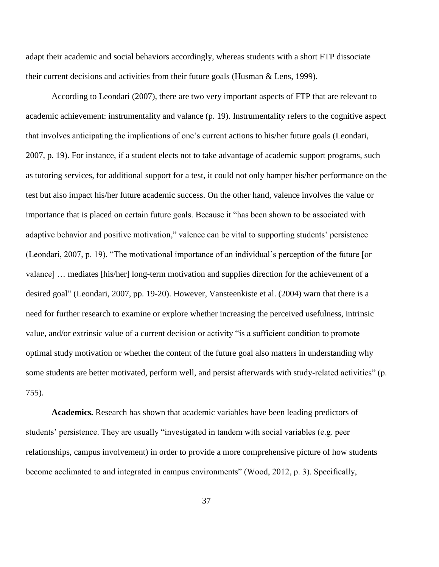adapt their academic and social behaviors accordingly, whereas students with a short FTP dissociate their current decisions and activities from their future goals (Husman & Lens, 1999).

According to Leondari (2007), there are two very important aspects of FTP that are relevant to academic achievement: instrumentality and valance (p. 19). Instrumentality refers to the cognitive aspect that involves anticipating the implications of one's current actions to his/her future goals (Leondari, 2007, p. 19). For instance, if a student elects not to take advantage of academic support programs, such as tutoring services, for additional support for a test, it could not only hamper his/her performance on the test but also impact his/her future academic success. On the other hand, valence involves the value or importance that is placed on certain future goals. Because it "has been shown to be associated with adaptive behavior and positive motivation," valence can be vital to supporting students' persistence (Leondari, 2007, p. 19). "The motivational importance of an individual's perception of the future [or valance] … mediates [his/her] long-term motivation and supplies direction for the achievement of a desired goal" (Leondari, 2007, pp. 19-20). However, Vansteenkiste et al. (2004) warn that there is a need for further research to examine or explore whether increasing the perceived usefulness, intrinsic value, and/or extrinsic value of a current decision or activity "is a sufficient condition to promote optimal study motivation or whether the content of the future goal also matters in understanding why some students are better motivated, perform well, and persist afterwards with study-related activities" (p. 755).

**Academics.** Research has shown that academic variables have been leading predictors of students' persistence. They are usually "investigated in tandem with social variables (e.g. peer relationships, campus involvement) in order to provide a more comprehensive picture of how students become acclimated to and integrated in campus environments" (Wood, 2012, p. 3). Specifically,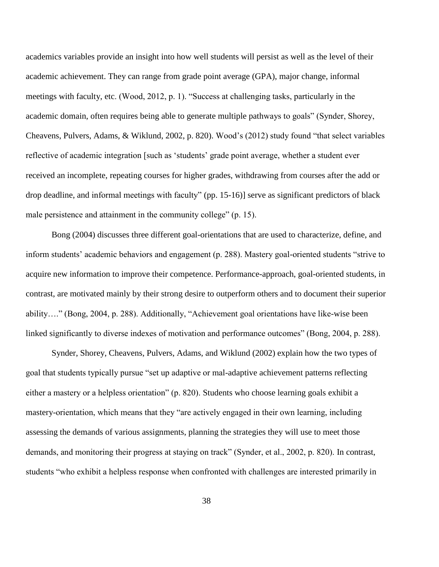academics variables provide an insight into how well students will persist as well as the level of their academic achievement. They can range from grade point average (GPA), major change, informal meetings with faculty, etc. (Wood, 2012, p. 1). "Success at challenging tasks, particularly in the academic domain, often requires being able to generate multiple pathways to goals" (Synder, Shorey, Cheavens, Pulvers, Adams, & Wiklund, 2002, p. 820). Wood's (2012) study found "that select variables reflective of academic integration [such as 'students' grade point average, whether a student ever received an incomplete, repeating courses for higher grades, withdrawing from courses after the add or drop deadline, and informal meetings with faculty" (pp. 15-16)] serve as significant predictors of black male persistence and attainment in the community college" (p. 15).

Bong (2004) discusses three different goal-orientations that are used to characterize, define, and inform students' academic behaviors and engagement (p. 288). Mastery goal-oriented students "strive to acquire new information to improve their competence. Performance-approach, goal-oriented students, in contrast, are motivated mainly by their strong desire to outperform others and to document their superior ability…." (Bong, 2004, p. 288). Additionally, "Achievement goal orientations have like-wise been linked significantly to diverse indexes of motivation and performance outcomes" (Bong, 2004, p. 288).

Synder, Shorey, Cheavens, Pulvers, Adams, and Wiklund (2002) explain how the two types of goal that students typically pursue "set up adaptive or mal-adaptive achievement patterns reflecting either a mastery or a helpless orientation" (p. 820). Students who choose learning goals exhibit a mastery-orientation, which means that they "are actively engaged in their own learning, including assessing the demands of various assignments, planning the strategies they will use to meet those demands, and monitoring their progress at staying on track" (Synder, et al., 2002, p. 820). In contrast, students "who exhibit a helpless response when confronted with challenges are interested primarily in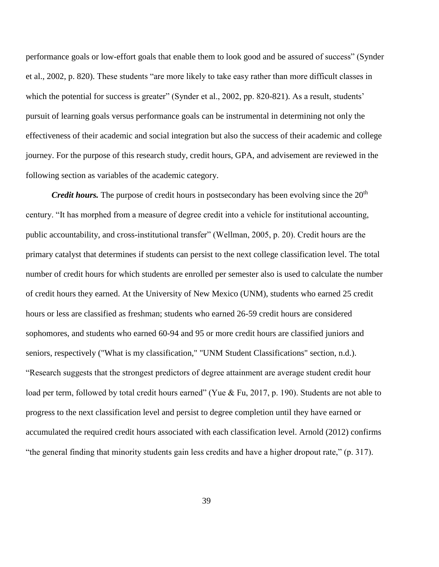performance goals or low-effort goals that enable them to look good and be assured of success" (Synder et al., 2002, p. 820). These students "are more likely to take easy rather than more difficult classes in which the potential for success is greater" (Synder et al., 2002, pp. 820-821). As a result, students' pursuit of learning goals versus performance goals can be instrumental in determining not only the effectiveness of their academic and social integration but also the success of their academic and college journey. For the purpose of this research study, credit hours, GPA, and advisement are reviewed in the following section as variables of the academic category.

*Credit hours.* The purpose of credit hours in postsecondary has been evolving since the 20<sup>th</sup> century. "It has morphed from a measure of degree credit into a vehicle for institutional accounting, public accountability, and cross-institutional transfer" (Wellman, 2005, p. 20). Credit hours are the primary catalyst that determines if students can persist to the next college classification level. The total number of credit hours for which students are enrolled per semester also is used to calculate the number of credit hours they earned. At the University of New Mexico (UNM), students who earned 25 credit hours or less are classified as freshman; students who earned 26-59 credit hours are considered sophomores, and students who earned 60-94 and 95 or more credit hours are classified juniors and seniors, respectively ("What is my classification," "UNM Student Classifications" section, n.d.). "Research suggests that the strongest predictors of degree attainment are average student credit hour load per term, followed by total credit hours earned" (Yue & Fu, 2017, p. 190). Students are not able to progress to the next classification level and persist to degree completion until they have earned or accumulated the required credit hours associated with each classification level. Arnold (2012) confirms "the general finding that minority students gain less credits and have a higher dropout rate," (p. 317).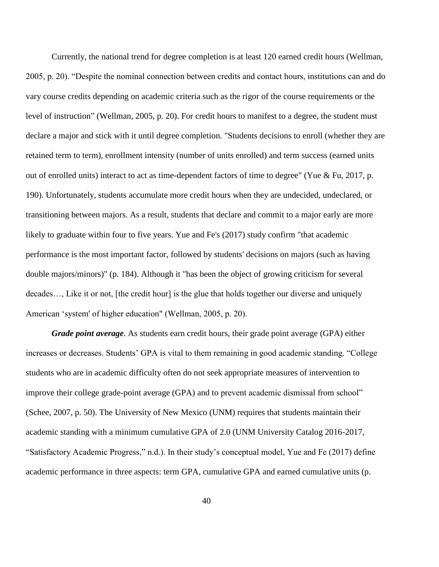Currently, the national trend for degree completion is at least 120 earned credit hours (Wellman, 2005, p. 20). "Despite the nominal connection between credits and contact hours, institutions can and do vary course credits depending on academic criteria such as the rigor of the course requirements or the level of instruction" (Wellman, 2005, p. 20). For credit hours to manifest to a degree, the student must declare a major and stick with it until degree completion. "Students decisions to enroll (whether they are retained term to term), enrollment intensity (number of units enrolled) and term success (earned units out of enrolled units) interact to act as time-dependent factors of time to degree" (Yue & Fu, 2017, p. 190). Unfortunately, students accumulate more credit hours when they are undecided, undeclared, or transitioning between majors. As a result, students that declare and commit to a major early are more likely to graduate within four to five years. Yue and Fe's (2017) study confirm "that academic performance is the most important factor, followed by students' decisions on majors (such as having double majors/minors)" (p. 184). Although it "has been the object of growing criticism for several decades…, Like it or not, [the credit hour] is the glue that holds together our diverse and uniquely American 'system' of higher education" (Wellman, 2005, p. 20).

*Grade point average*. As students earn credit hours, their grade point average (GPA) either increases or decreases. Students' GPA is vital to them remaining in good academic standing. "College students who are in academic difficulty often do not seek appropriate measures of intervention to improve their college grade-point average (GPA) and to prevent academic dismissal from school" (Schee, 2007, p. 50). The University of New Mexico (UNM) requires that students maintain their academic standing with a minimum cumulative GPA of 2.0 (UNM University Catalog 2016-2017, "Satisfactory Academic Progress," n.d.). In their study's conceptual model, Yue and Fe (2017) define academic performance in three aspects: term GPA, cumulative GPA and earned cumulative units (p.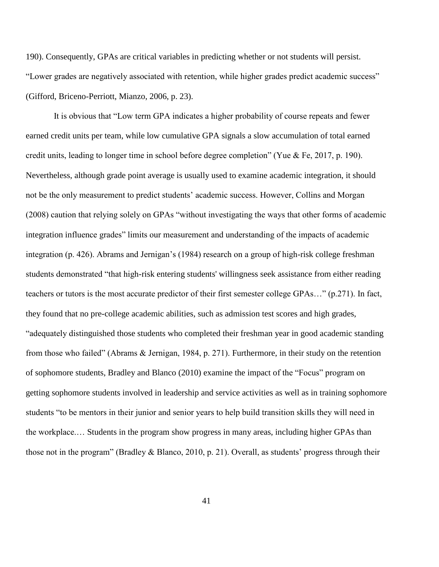190). Consequently, GPAs are critical variables in predicting whether or not students will persist. "Lower grades are negatively associated with retention, while higher grades predict academic success" (Gifford, Briceno-Perriott, Mianzo, 2006, p. 23).

It is obvious that "Low term GPA indicates a higher probability of course repeats and fewer earned credit units per team, while low cumulative GPA signals a slow accumulation of total earned credit units, leading to longer time in school before degree completion" (Yue & Fe, 2017, p. 190). Nevertheless, although grade point average is usually used to examine academic integration, it should not be the only measurement to predict students' academic success. However, Collins and Morgan (2008) caution that relying solely on GPAs "without investigating the ways that other forms of academic integration influence grades" limits our measurement and understanding of the impacts of academic integration (p. 426). Abrams and Jernigan's (1984) research on a group of high-risk college freshman students demonstrated "that high-risk entering students' willingness seek assistance from either reading teachers or tutors is the most accurate predictor of their first semester college GPAs…" (p.271). In fact, they found that no pre-college academic abilities, such as admission test scores and high grades, "adequately distinguished those students who completed their freshman year in good academic standing from those who failed" (Abrams & Jernigan, 1984, p. 271). Furthermore, in their study on the retention of sophomore students, Bradley and Blanco (2010) examine the impact of the "Focus" program on getting sophomore students involved in leadership and service activities as well as in training sophomore students "to be mentors in their junior and senior years to help build transition skills they will need in the workplace.… Students in the program show progress in many areas, including higher GPAs than those not in the program" (Bradley & Blanco, 2010, p. 21). Overall, as students' progress through their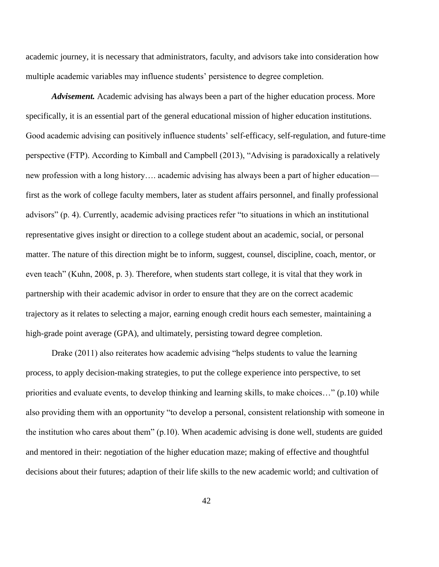academic journey, it is necessary that administrators, faculty, and advisors take into consideration how multiple academic variables may influence students' persistence to degree completion.

*Advisement.* Academic advising has always been a part of the higher education process. More specifically, it is an essential part of the general educational mission of higher education institutions. Good academic advising can positively influence students' self-efficacy, self-regulation, and future-time perspective (FTP). According to Kimball and Campbell (2013), "Advising is paradoxically a relatively new profession with a long history…. academic advising has always been a part of higher education first as the work of college faculty members, later as student affairs personnel, and finally professional advisors" (p. 4). Currently, academic advising practices refer "to situations in which an institutional representative gives insight or direction to a college student about an academic, social, or personal matter. The nature of this direction might be to inform, suggest, counsel, discipline, coach, mentor, or even teach" (Kuhn, 2008, p. 3). Therefore, when students start college, it is vital that they work in partnership with their academic advisor in order to ensure that they are on the correct academic trajectory as it relates to selecting a major, earning enough credit hours each semester, maintaining a high-grade point average (GPA), and ultimately, persisting toward degree completion.

Drake (2011) also reiterates how academic advising "helps students to value the learning process, to apply decision-making strategies, to put the college experience into perspective, to set priorities and evaluate events, to develop thinking and learning skills, to make choices…" (p.10) while also providing them with an opportunity "to develop a personal, consistent relationship with someone in the institution who cares about them" (p.10). When academic advising is done well, students are guided and mentored in their: negotiation of the higher education maze; making of effective and thoughtful decisions about their futures; adaption of their life skills to the new academic world; and cultivation of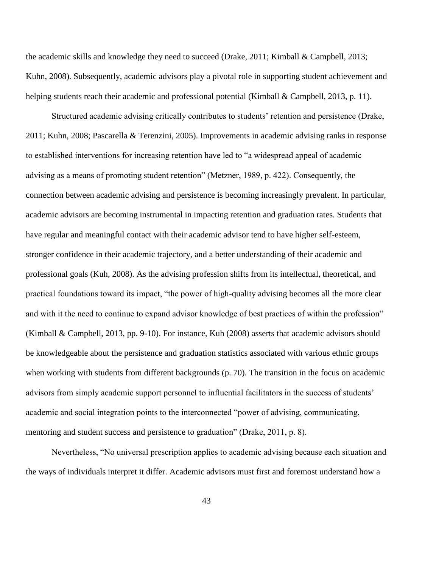the academic skills and knowledge they need to succeed (Drake, 2011; Kimball & Campbell, 2013; Kuhn, 2008). Subsequently, academic advisors play a pivotal role in supporting student achievement and helping students reach their academic and professional potential (Kimball & Campbell, 2013, p. 11).

Structured academic advising critically contributes to students' retention and persistence (Drake, 2011; Kuhn, 2008; Pascarella & Terenzini, 2005). Improvements in academic advising ranks in response to established interventions for increasing retention have led to "a widespread appeal of academic advising as a means of promoting student retention" (Metzner, 1989, p. 422). Consequently, the connection between academic advising and persistence is becoming increasingly prevalent. In particular, academic advisors are becoming instrumental in impacting retention and graduation rates. Students that have regular and meaningful contact with their academic advisor tend to have higher self-esteem, stronger confidence in their academic trajectory, and a better understanding of their academic and professional goals (Kuh, 2008). As the advising profession shifts from its intellectual, theoretical, and practical foundations toward its impact, "the power of high-quality advising becomes all the more clear and with it the need to continue to expand advisor knowledge of best practices of within the profession" (Kimball & Campbell, 2013, pp. 9-10). For instance, Kuh (2008) asserts that academic advisors should be knowledgeable about the persistence and graduation statistics associated with various ethnic groups when working with students from different backgrounds (p. 70). The transition in the focus on academic advisors from simply academic support personnel to influential facilitators in the success of students' academic and social integration points to the interconnected "power of advising, communicating, mentoring and student success and persistence to graduation" (Drake, 2011, p. 8).

Nevertheless, "No universal prescription applies to academic advising because each situation and the ways of individuals interpret it differ. Academic advisors must first and foremost understand how a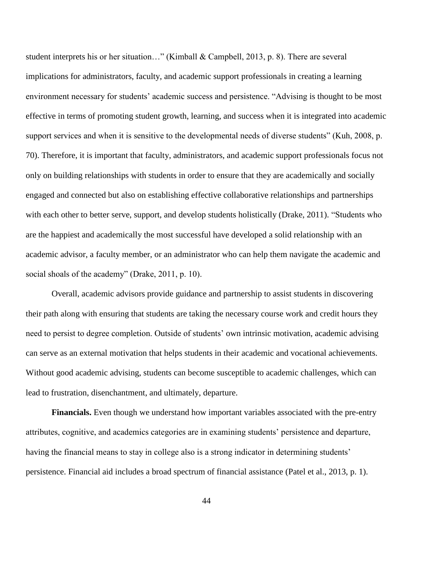student interprets his or her situation…" (Kimball & Campbell, 2013, p. 8). There are several implications for administrators, faculty, and academic support professionals in creating a learning environment necessary for students' academic success and persistence. "Advising is thought to be most effective in terms of promoting student growth, learning, and success when it is integrated into academic support services and when it is sensitive to the developmental needs of diverse students" (Kuh, 2008, p. 70). Therefore, it is important that faculty, administrators, and academic support professionals focus not only on building relationships with students in order to ensure that they are academically and socially engaged and connected but also on establishing effective collaborative relationships and partnerships with each other to better serve, support, and develop students holistically (Drake, 2011). "Students who are the happiest and academically the most successful have developed a solid relationship with an academic advisor, a faculty member, or an administrator who can help them navigate the academic and social shoals of the academy" (Drake, 2011, p. 10).

Overall, academic advisors provide guidance and partnership to assist students in discovering their path along with ensuring that students are taking the necessary course work and credit hours they need to persist to degree completion. Outside of students' own intrinsic motivation, academic advising can serve as an external motivation that helps students in their academic and vocational achievements. Without good academic advising, students can become susceptible to academic challenges, which can lead to frustration, disenchantment, and ultimately, departure.

**Financials.** Even though we understand how important variables associated with the pre-entry attributes, cognitive, and academics categories are in examining students' persistence and departure, having the financial means to stay in college also is a strong indicator in determining students' persistence. Financial aid includes a broad spectrum of financial assistance (Patel et al., 2013, p. 1).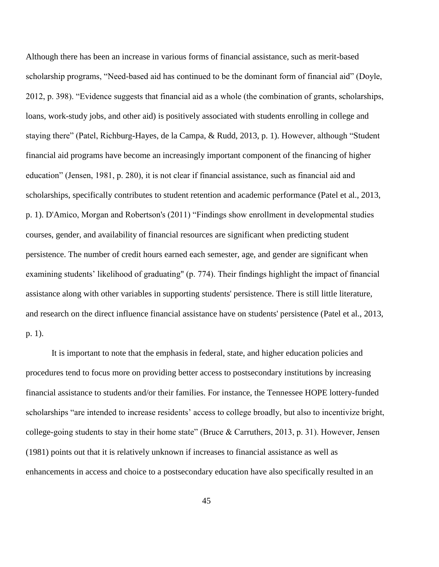Although there has been an increase in various forms of financial assistance, such as merit-based scholarship programs, "Need-based aid has continued to be the dominant form of financial aid" (Doyle, 2012, p. 398). "Evidence suggests that financial aid as a whole (the combination of grants, scholarships, loans, work-study jobs, and other aid) is positively associated with students enrolling in college and staying there" (Patel, Richburg-Hayes, de la Campa, & Rudd, 2013, p. 1). However, although "Student financial aid programs have become an increasingly important component of the financing of higher education" (Jensen, 1981, p. 280), it is not clear if financial assistance, such as financial aid and scholarships, specifically contributes to student retention and academic performance (Patel et al., 2013, p. 1). D'Amico, Morgan and Robertson's (2011) "Findings show enrollment in developmental studies courses, gender, and availability of financial resources are significant when predicting student persistence. The number of credit hours earned each semester, age, and gender are significant when examining students' likelihood of graduating" (p. 774). Their findings highlight the impact of financial assistance along with other variables in supporting students' persistence. There is still little literature, and research on the direct influence financial assistance have on students' persistence (Patel et al., 2013, p. 1).

It is important to note that the emphasis in federal, state, and higher education policies and procedures tend to focus more on providing better access to postsecondary institutions by increasing financial assistance to students and/or their families. For instance, the Tennessee HOPE lottery-funded scholarships "are intended to increase residents' access to college broadly, but also to incentivize bright, college-going students to stay in their home state" (Bruce & Carruthers, 2013, p. 31). However, Jensen (1981) points out that it is relatively unknown if increases to financial assistance as well as enhancements in access and choice to a postsecondary education have also specifically resulted in an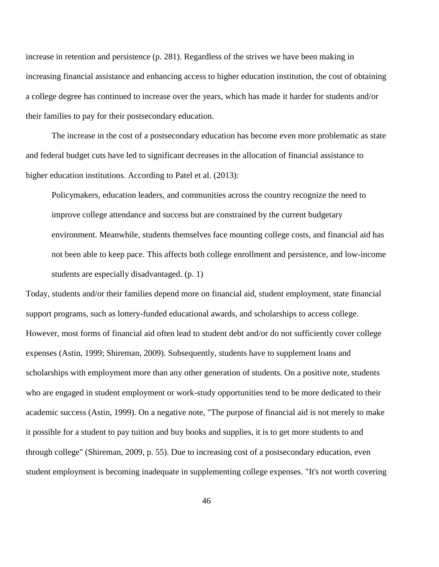increase in retention and persistence (p. 281). Regardless of the strives we have been making in increasing financial assistance and enhancing access to higher education institution, the cost of obtaining a college degree has continued to increase over the years, which has made it harder for students and/or their families to pay for their postsecondary education.

The increase in the cost of a postsecondary education has become even more problematic as state and federal budget cuts have led to significant decreases in the allocation of financial assistance to higher education institutions. According to Patel et al. (2013):

Policymakers, education leaders, and communities across the country recognize the need to improve college attendance and success but are constrained by the current budgetary environment. Meanwhile, students themselves face mounting college costs, and financial aid has not been able to keep pace. This affects both college enrollment and persistence, and low-income students are especially disadvantaged. (p. 1)

Today, students and/or their families depend more on financial aid, student employment, state financial support programs, such as lottery-funded educational awards, and scholarships to access college. However, most forms of financial aid often lead to student debt and/or do not sufficiently cover college expenses (Astin, 1999; Shireman, 2009). Subsequently, students have to supplement loans and scholarships with employment more than any other generation of students. On a positive note, students who are engaged in student employment or work-study opportunities tend to be more dedicated to their academic success (Astin, 1999). On a negative note, "The purpose of financial aid is not merely to make it possible for a student to pay tuition and buy books and supplies, it is to get more students to and through college" (Shireman, 2009, p. 55). Due to increasing cost of a postsecondary education, even student employment is becoming inadequate in supplementing college expenses. "It's not worth covering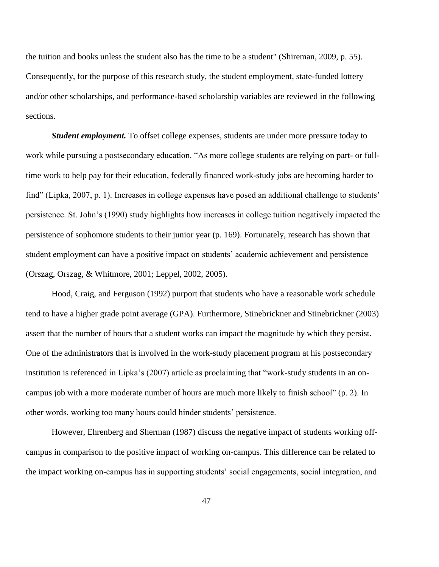the tuition and books unless the student also has the time to be a student" (Shireman, 2009, p. 55). Consequently, for the purpose of this research study, the student employment, state-funded lottery and/or other scholarships, and performance-based scholarship variables are reviewed in the following sections.

*Student employment.* To offset college expenses, students are under more pressure today to work while pursuing a postsecondary education. "As more college students are relying on part- or fulltime work to help pay for their education, federally financed work-study jobs are becoming harder to find" (Lipka, 2007, p. 1). Increases in college expenses have posed an additional challenge to students' persistence. St. John's (1990) study highlights how increases in college tuition negatively impacted the persistence of sophomore students to their junior year (p. 169). Fortunately, research has shown that student employment can have a positive impact on students' academic achievement and persistence (Orszag, Orszag, & Whitmore, 2001; Leppel, 2002, 2005).

Hood, Craig, and Ferguson (1992) purport that students who have a reasonable work schedule tend to have a higher grade point average (GPA). Furthermore, Stinebrickner and Stinebrickner (2003) assert that the number of hours that a student works can impact the magnitude by which they persist. One of the administrators that is involved in the work-study placement program at his postsecondary institution is referenced in Lipka's (2007) article as proclaiming that "work-study students in an oncampus job with a more moderate number of hours are much more likely to finish school" (p. 2). In other words, working too many hours could hinder students' persistence.

However, Ehrenberg and Sherman (1987) discuss the negative impact of students working offcampus in comparison to the positive impact of working on-campus. This difference can be related to the impact working on-campus has in supporting students' social engagements, social integration, and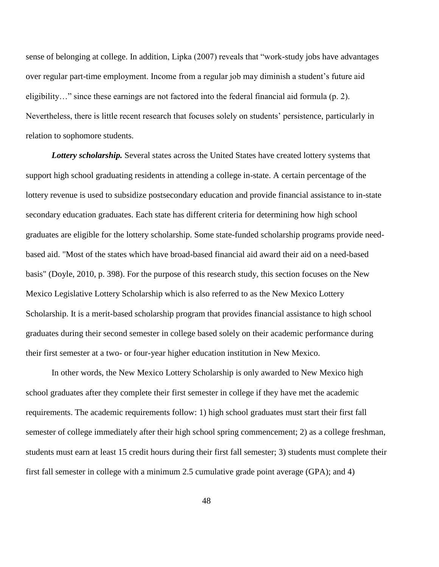sense of belonging at college. In addition, Lipka (2007) reveals that "work-study jobs have advantages over regular part-time employment. Income from a regular job may diminish a student's future aid eligibility…" since these earnings are not factored into the federal financial aid formula (p. 2). Nevertheless, there is little recent research that focuses solely on students' persistence, particularly in relation to sophomore students.

*Lottery scholarship.* Several states across the United States have created lottery systems that support high school graduating residents in attending a college in-state. A certain percentage of the lottery revenue is used to subsidize postsecondary education and provide financial assistance to in-state secondary education graduates. Each state has different criteria for determining how high school graduates are eligible for the lottery scholarship. Some state-funded scholarship programs provide needbased aid. "Most of the states which have broad-based financial aid award their aid on a need-based basis" (Doyle, 2010, p. 398). For the purpose of this research study, this section focuses on the New Mexico Legislative Lottery Scholarship which is also referred to as the New Mexico Lottery Scholarship. It is a merit-based scholarship program that provides financial assistance to high school graduates during their second semester in college based solely on their academic performance during their first semester at a two- or four-year higher education institution in New Mexico.

In other words, the New Mexico Lottery Scholarship is only awarded to New Mexico high school graduates after they complete their first semester in college if they have met the academic requirements. The academic requirements follow: 1) high school graduates must start their first fall semester of college immediately after their high school spring commencement; 2) as a college freshman, students must earn at least 15 credit hours during their first fall semester; 3) students must complete their first fall semester in college with a minimum 2.5 cumulative grade point average (GPA); and 4)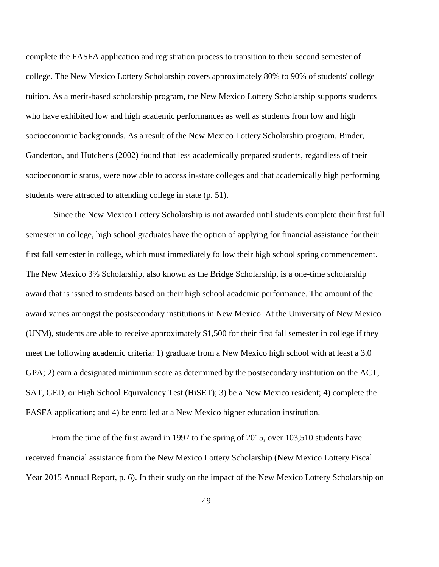complete the FASFA application and registration process to transition to their second semester of college. The New Mexico Lottery Scholarship covers approximately 80% to 90% of students' college tuition. As a merit-based scholarship program, the New Mexico Lottery Scholarship supports students who have exhibited low and high academic performances as well as students from low and high socioeconomic backgrounds. As a result of the New Mexico Lottery Scholarship program, Binder, Ganderton, and Hutchens (2002) found that less academically prepared students, regardless of their socioeconomic status, were now able to access in-state colleges and that academically high performing students were attracted to attending college in state (p. 51).

Since the New Mexico Lottery Scholarship is not awarded until students complete their first full semester in college, high school graduates have the option of applying for financial assistance for their first fall semester in college, which must immediately follow their high school spring commencement. The New Mexico 3% Scholarship, also known as the Bridge Scholarship, is a one-time scholarship award that is issued to students based on their high school academic performance. The amount of the award varies amongst the postsecondary institutions in New Mexico. At the University of New Mexico (UNM), students are able to receive approximately \$1,500 for their first fall semester in college if they meet the following academic criteria: 1) graduate from a New Mexico high school with at least a 3.0 GPA; 2) earn a designated minimum score as determined by the postsecondary institution on the ACT, SAT, GED, or High School Equivalency Test (HiSET); 3) be a New Mexico resident; 4) complete the FASFA application; and 4) be enrolled at a New Mexico higher education institution.

From the time of the first award in 1997 to the spring of 2015, over 103,510 students have received financial assistance from the New Mexico Lottery Scholarship (New Mexico Lottery Fiscal Year 2015 Annual Report, p. 6). In their study on the impact of the New Mexico Lottery Scholarship on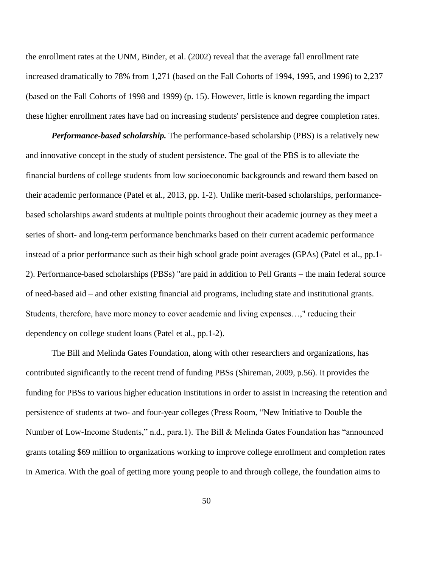the enrollment rates at the UNM, Binder, et al. (2002) reveal that the average fall enrollment rate increased dramatically to 78% from 1,271 (based on the Fall Cohorts of 1994, 1995, and 1996) to 2,237 (based on the Fall Cohorts of 1998 and 1999) (p. 15). However, little is known regarding the impact these higher enrollment rates have had on increasing students' persistence and degree completion rates.

*Performance-based scholarship.* The performance-based scholarship (PBS) is a relatively new and innovative concept in the study of student persistence. The goal of the PBS is to alleviate the financial burdens of college students from low socioeconomic backgrounds and reward them based on their academic performance (Patel et al., 2013, pp. 1-2). Unlike merit-based scholarships, performancebased scholarships award students at multiple points throughout their academic journey as they meet a series of short- and long-term performance benchmarks based on their current academic performance instead of a prior performance such as their high school grade point averages (GPAs) (Patel et al., pp.1- 2). Performance-based scholarships (PBSs) "are paid in addition to Pell Grants – the main federal source of need-based aid – and other existing financial aid programs, including state and institutional grants. Students, therefore, have more money to cover academic and living expenses…," reducing their dependency on college student loans (Patel et al., pp.1-2).

The Bill and Melinda Gates Foundation, along with other researchers and organizations, has contributed significantly to the recent trend of funding PBSs (Shireman, 2009, p.56). It provides the funding for PBSs to various higher education institutions in order to assist in increasing the retention and persistence of students at two- and four-year colleges (Press Room, "New Initiative to Double the Number of Low-Income Students," n.d., para.1). The Bill & Melinda Gates Foundation has "announced grants totaling \$69 million to organizations working to improve college enrollment and completion rates in America. With the goal of getting more young people to and through college, the foundation aims to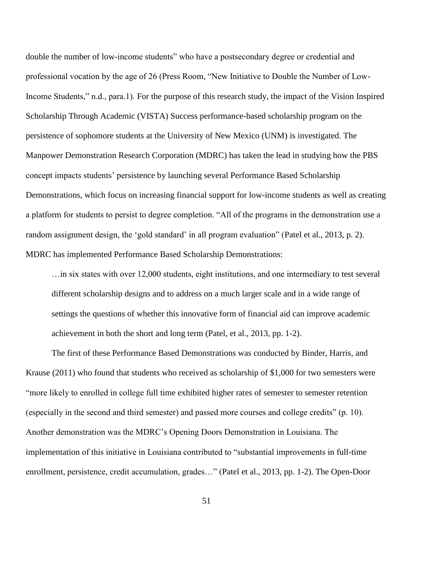double the number of low-income students" who have a postsecondary degree or credential and professional vocation by the age of 26 (Press Room, "New Initiative to Double the Number of Low-Income Students," n.d., para.1). For the purpose of this research study, the impact of the Vision Inspired Scholarship Through Academic (VISTA) Success performance-based scholarship program on the persistence of sophomore students at the University of New Mexico (UNM) is investigated. The Manpower Demonstration Research Corporation (MDRC) has taken the lead in studying how the PBS concept impacts students' persistence by launching several Performance Based Scholarship Demonstrations, which focus on increasing financial support for low-income students as well as creating a platform for students to persist to degree completion. "All of the programs in the demonstration use a random assignment design, the 'gold standard' in all program evaluation" (Patel et al., 2013, p. 2). MDRC has implemented Performance Based Scholarship Demonstrations:

…in six states with over 12,000 students, eight institutions, and one intermediary to test several different scholarship designs and to address on a much larger scale and in a wide range of settings the questions of whether this innovative form of financial aid can improve academic achievement in both the short and long term (Patel, et al., 2013, pp. 1-2).

The first of these Performance Based Demonstrations was conducted by Binder, Harris, and Krause (2011) who found that students who received as scholarship of \$1,000 for two semesters were "more likely to enrolled in college full time exhibited higher rates of semester to semester retention (especially in the second and third semester) and passed more courses and college credits" (p. 10). Another demonstration was the MDRC's Opening Doors Demonstration in Louisiana. The implementation of this initiative in Louisiana contributed to "substantial improvements in full-time enrollment, persistence, credit accumulation, grades…" (Patel et al., 2013, pp. 1-2). The Open-Door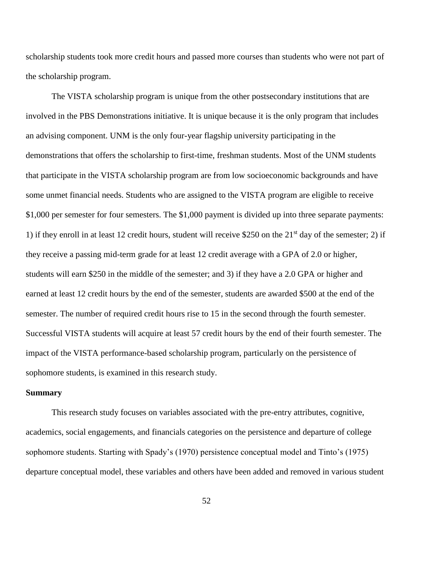scholarship students took more credit hours and passed more courses than students who were not part of the scholarship program.

The VISTA scholarship program is unique from the other postsecondary institutions that are involved in the PBS Demonstrations initiative. It is unique because it is the only program that includes an advising component. UNM is the only four-year flagship university participating in the demonstrations that offers the scholarship to first-time, freshman students. Most of the UNM students that participate in the VISTA scholarship program are from low socioeconomic backgrounds and have some unmet financial needs. Students who are assigned to the VISTA program are eligible to receive \$1,000 per semester for four semesters. The \$1,000 payment is divided up into three separate payments: 1) if they enroll in at least 12 credit hours, student will receive \$250 on the  $21<sup>st</sup>$  day of the semester; 2) if they receive a passing mid-term grade for at least 12 credit average with a GPA of 2.0 or higher, students will earn \$250 in the middle of the semester; and 3) if they have a 2.0 GPA or higher and earned at least 12 credit hours by the end of the semester, students are awarded \$500 at the end of the semester. The number of required credit hours rise to 15 in the second through the fourth semester. Successful VISTA students will acquire at least 57 credit hours by the end of their fourth semester. The impact of the VISTA performance-based scholarship program, particularly on the persistence of sophomore students, is examined in this research study.

### **Summary**

This research study focuses on variables associated with the pre-entry attributes, cognitive, academics, social engagements, and financials categories on the persistence and departure of college sophomore students. Starting with Spady's (1970) persistence conceptual model and Tinto's (1975) departure conceptual model, these variables and others have been added and removed in various student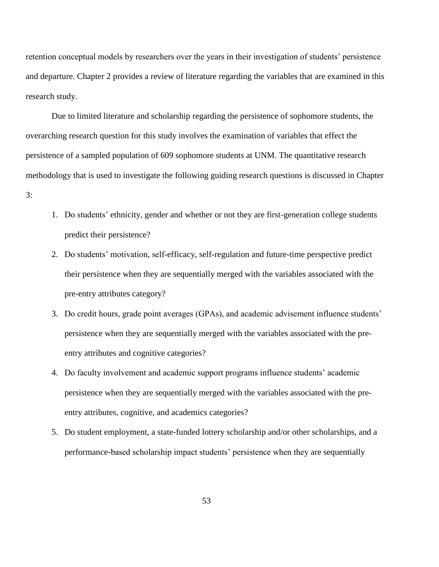retention conceptual models by researchers over the years in their investigation of students' persistence and departure. Chapter 2 provides a review of literature regarding the variables that are examined in this research study.

Due to limited literature and scholarship regarding the persistence of sophomore students, the overarching research question for this study involves the examination of variables that effect the persistence of a sampled population of 609 sophomore students at UNM. The quantitative research methodology that is used to investigate the following guiding research questions is discussed in Chapter

#### 3:

- 1. Do students' ethnicity, gender and whether or not they are first-generation college students predict their persistence?
- 2. Do students' motivation, self-efficacy, self-regulation and future-time perspective predict their persistence when they are sequentially merged with the variables associated with the pre-entry attributes category?
- 3. Do credit hours, grade point averages (GPAs), and academic advisement influence students' persistence when they are sequentially merged with the variables associated with the preentry attributes and cognitive categories?
- 4. Do faculty involvement and academic support programs influence students' academic persistence when they are sequentially merged with the variables associated with the preentry attributes, cognitive, and academics categories?
- 5. Do student employment, a state-funded lottery scholarship and/or other scholarships, and a performance-based scholarship impact students' persistence when they are sequentially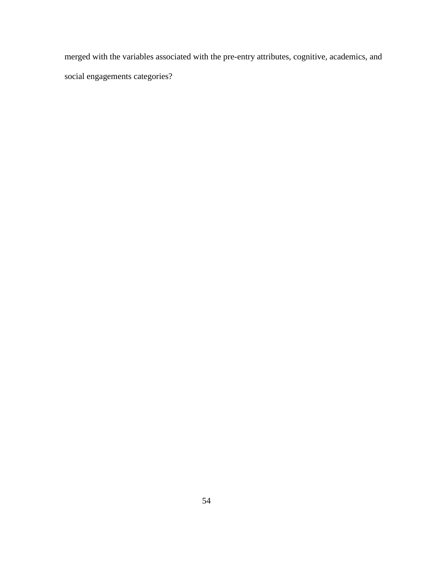merged with the variables associated with the pre-entry attributes, cognitive, academics, and social engagements categories?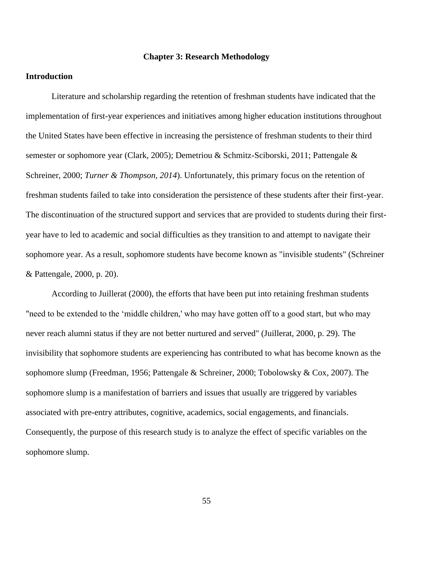## **Chapter 3: Research Methodology**

# **Introduction**

Literature and scholarship regarding the retention of freshman students have indicated that the implementation of first-year experiences and initiatives among higher education institutions throughout the United States have been effective in increasing the persistence of freshman students to their third semester or sophomore year (Clark, 2005); Demetriou & Schmitz-Sciborski, 2011; Pattengale & Schreiner, 2000; *Turner & Thompson, 2014*). Unfortunately, this primary focus on the retention of freshman students failed to take into consideration the persistence of these students after their first-year. The discontinuation of the structured support and services that are provided to students during their firstyear have to led to academic and social difficulties as they transition to and attempt to navigate their sophomore year. As a result, sophomore students have become known as "invisible students" (Schreiner & Pattengale, 2000, p. 20).

According to Juillerat (2000), the efforts that have been put into retaining freshman students "need to be extended to the 'middle children,' who may have gotten off to a good start, but who may never reach alumni status if they are not better nurtured and served" (Juillerat, 2000, p. 29). The invisibility that sophomore students are experiencing has contributed to what has become known as the sophomore slump (Freedman, 1956; Pattengale & Schreiner, 2000; Tobolowsky & Cox, 2007). The sophomore slump is a manifestation of barriers and issues that usually are triggered by variables associated with pre-entry attributes, cognitive, academics, social engagements, and financials. Consequently, the purpose of this research study is to analyze the effect of specific variables on the sophomore slump.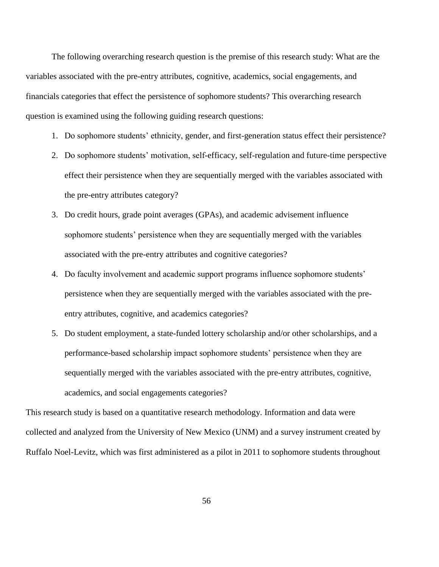The following overarching research question is the premise of this research study: What are the variables associated with the pre-entry attributes, cognitive, academics, social engagements, and financials categories that effect the persistence of sophomore students? This overarching research question is examined using the following guiding research questions:

- 1. Do sophomore students' ethnicity, gender, and first-generation status effect their persistence?
- 2. Do sophomore students' motivation, self-efficacy, self-regulation and future-time perspective effect their persistence when they are sequentially merged with the variables associated with the pre-entry attributes category?
- 3. Do credit hours, grade point averages (GPAs), and academic advisement influence sophomore students' persistence when they are sequentially merged with the variables associated with the pre-entry attributes and cognitive categories?
- 4. Do faculty involvement and academic support programs influence sophomore students' persistence when they are sequentially merged with the variables associated with the preentry attributes, cognitive, and academics categories?
- 5. Do student employment, a state-funded lottery scholarship and/or other scholarships, and a performance-based scholarship impact sophomore students' persistence when they are sequentially merged with the variables associated with the pre-entry attributes, cognitive, academics, and social engagements categories?

This research study is based on a quantitative research methodology. Information and data were collected and analyzed from the University of New Mexico (UNM) and a survey instrument created by Ruffalo Noel-Levitz, which was first administered as a pilot in 2011 to sophomore students throughout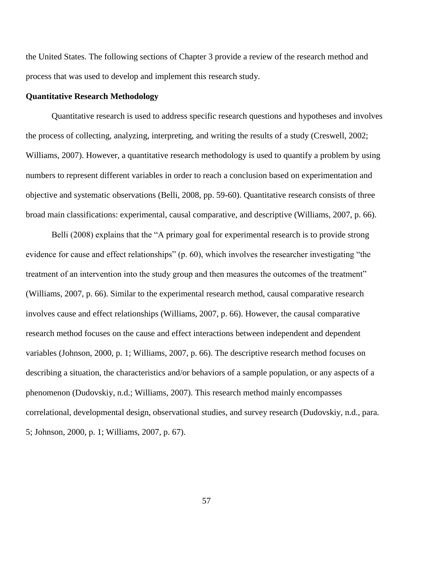the United States. The following sections of Chapter 3 provide a review of the research method and process that was used to develop and implement this research study.

## **Quantitative Research Methodology**

Quantitative research is used to address specific research questions and hypotheses and involves the process of collecting, analyzing, interpreting, and writing the results of a study (Creswell, 2002; Williams, 2007). However, a quantitative research methodology is used to quantify a problem by using numbers to represent different variables in order to reach a conclusion based on experimentation and objective and systematic observations (Belli, 2008, pp. 59-60). Quantitative research consists of three broad main classifications: experimental, causal comparative, and descriptive (Williams, 2007, p. 66).

Belli (2008) explains that the "A primary goal for experimental research is to provide strong evidence for cause and effect relationships" (p. 60), which involves the researcher investigating "the treatment of an intervention into the study group and then measures the outcomes of the treatment" (Williams, 2007, p. 66). Similar to the experimental research method, causal comparative research involves cause and effect relationships (Williams, 2007, p. 66). However, the causal comparative research method focuses on the cause and effect interactions between independent and dependent variables (Johnson, 2000, p. 1; Williams, 2007, p. 66). The descriptive research method focuses on describing a situation, the characteristics and/or behaviors of a sample population, or any aspects of a phenomenon (Dudovskiy, n.d.; Williams, 2007). This research method mainly encompasses correlational, developmental design, observational studies, and survey research (Dudovskiy, n.d., para. 5; Johnson, 2000, p. 1; Williams, 2007, p. 67).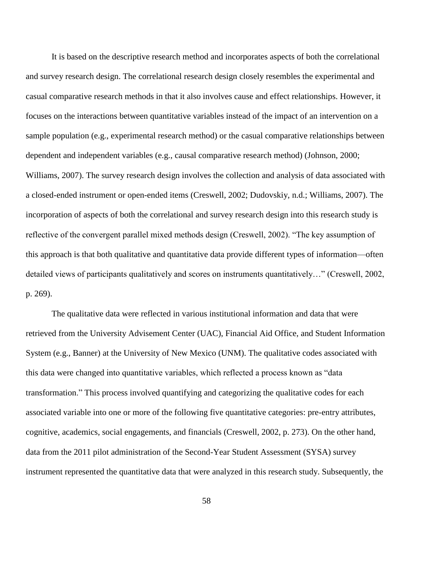It is based on the descriptive research method and incorporates aspects of both the correlational and survey research design. The correlational research design closely resembles the experimental and casual comparative research methods in that it also involves cause and effect relationships. However, it focuses on the interactions between quantitative variables instead of the impact of an intervention on a sample population (e.g., experimental research method) or the casual comparative relationships between dependent and independent variables (e.g., causal comparative research method) (Johnson, 2000; Williams, 2007). The survey research design involves the collection and analysis of data associated with a closed-ended instrument or open-ended items (Creswell, 2002; Dudovskiy, n.d.; Williams, 2007). The incorporation of aspects of both the correlational and survey research design into this research study is reflective of the convergent parallel mixed methods design (Creswell, 2002). "The key assumption of this approach is that both qualitative and quantitative data provide different types of information—often detailed views of participants qualitatively and scores on instruments quantitatively…" (Creswell, 2002, p. 269).

The qualitative data were reflected in various institutional information and data that were retrieved from the University Advisement Center (UAC), Financial Aid Office, and Student Information System (e.g., Banner) at the University of New Mexico (UNM). The qualitative codes associated with this data were changed into quantitative variables, which reflected a process known as "data transformation." This process involved quantifying and categorizing the qualitative codes for each associated variable into one or more of the following five quantitative categories: pre-entry attributes, cognitive, academics, social engagements, and financials (Creswell, 2002, p. 273). On the other hand, data from the 2011 pilot administration of the Second-Year Student Assessment (SYSA) survey instrument represented the quantitative data that were analyzed in this research study. Subsequently, the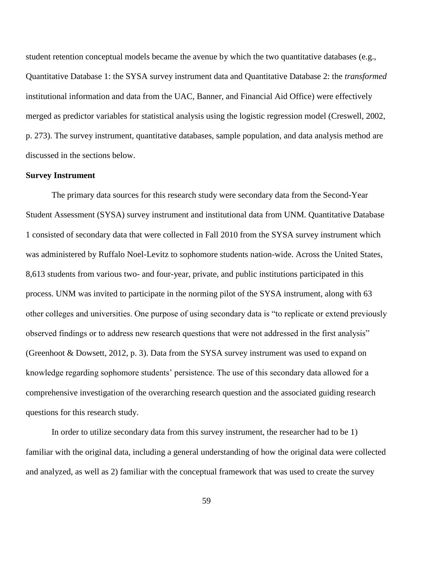student retention conceptual models became the avenue by which the two quantitative databases (e.g., Quantitative Database 1: the SYSA survey instrument data and Quantitative Database 2: the *transformed* institutional information and data from the UAC, Banner, and Financial Aid Office) were effectively merged as predictor variables for statistical analysis using the logistic regression model (Creswell, 2002, p. 273). The survey instrument, quantitative databases, sample population, and data analysis method are discussed in the sections below.

## **Survey Instrument**

The primary data sources for this research study were secondary data from the Second-Year Student Assessment (SYSA) survey instrument and institutional data from UNM. Quantitative Database 1 consisted of secondary data that were collected in Fall 2010 from the SYSA survey instrument which was administered by Ruffalo Noel-Levitz to sophomore students nation-wide. Across the United States, 8,613 students from various two- and four-year, private, and public institutions participated in this process. UNM was invited to participate in the norming pilot of the SYSA instrument, along with 63 other colleges and universities. One purpose of using secondary data is "to replicate or extend previously observed findings or to address new research questions that were not addressed in the first analysis" (Greenhoot & Dowsett, 2012, p. 3). Data from the SYSA survey instrument was used to expand on knowledge regarding sophomore students' persistence. The use of this secondary data allowed for a comprehensive investigation of the overarching research question and the associated guiding research questions for this research study.

In order to utilize secondary data from this survey instrument, the researcher had to be 1) familiar with the original data, including a general understanding of how the original data were collected and analyzed, as well as 2) familiar with the conceptual framework that was used to create the survey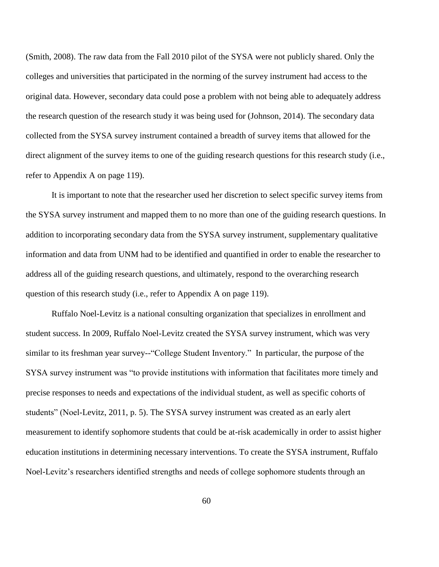(Smith, 2008). The raw data from the Fall 2010 pilot of the SYSA were not publicly shared. Only the colleges and universities that participated in the norming of the survey instrument had access to the original data. However, secondary data could pose a problem with not being able to adequately address the research question of the research study it was being used for (Johnson, 2014). The secondary data collected from the SYSA survey instrument contained a breadth of survey items that allowed for the direct alignment of the survey items to one of the guiding research questions for this research study (i.e., refer to Appendix A on page 119).

It is important to note that the researcher used her discretion to select specific survey items from the SYSA survey instrument and mapped them to no more than one of the guiding research questions. In addition to incorporating secondary data from the SYSA survey instrument, supplementary qualitative information and data from UNM had to be identified and quantified in order to enable the researcher to address all of the guiding research questions, and ultimately, respond to the overarching research question of this research study (i.e., refer to Appendix A on page 119).

Ruffalo Noel-Levitz is a national consulting organization that specializes in enrollment and student success. In 2009, Ruffalo Noel-Levitz created the SYSA survey instrument, which was very similar to its freshman year survey--"College Student Inventory." In particular, the purpose of the SYSA survey instrument was "to provide institutions with information that facilitates more timely and precise responses to needs and expectations of the individual student, as well as specific cohorts of students" (Noel-Levitz, 2011, p. 5). The SYSA survey instrument was created as an early alert measurement to identify sophomore students that could be at-risk academically in order to assist higher education institutions in determining necessary interventions. To create the SYSA instrument, Ruffalo Noel-Levitz's researchers identified strengths and needs of college sophomore students through an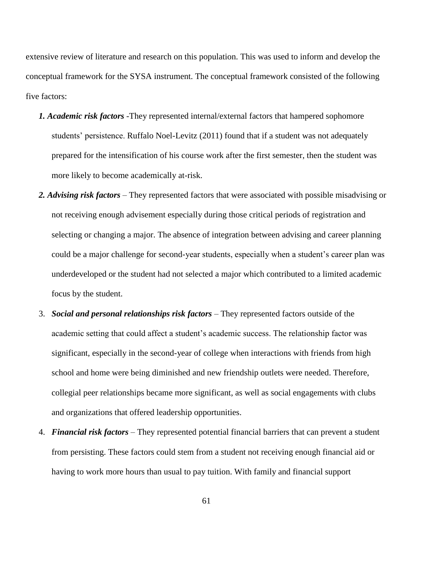extensive review of literature and research on this population. This was used to inform and develop the conceptual framework for the SYSA instrument. The conceptual framework consisted of the following five factors:

- *1. Academic risk factors* -They represented internal/external factors that hampered sophomore students' persistence. Ruffalo Noel-Levitz (2011) found that if a student was not adequately prepared for the intensification of his course work after the first semester, then the student was more likely to become academically at-risk.
- *2. Advising risk factors* They represented factors that were associated with possible misadvising or not receiving enough advisement especially during those critical periods of registration and selecting or changing a major. The absence of integration between advising and career planning could be a major challenge for second-year students, especially when a student's career plan was underdeveloped or the student had not selected a major which contributed to a limited academic focus by the student.
- 3. *Social and personal relationships risk factors* They represented factors outside of the academic setting that could affect a student's academic success. The relationship factor was significant, especially in the second-year of college when interactions with friends from high school and home were being diminished and new friendship outlets were needed. Therefore, collegial peer relationships became more significant, as well as social engagements with clubs and organizations that offered leadership opportunities.
- 4. *Financial risk factors* They represented potential financial barriers that can prevent a student from persisting. These factors could stem from a student not receiving enough financial aid or having to work more hours than usual to pay tuition. With family and financial support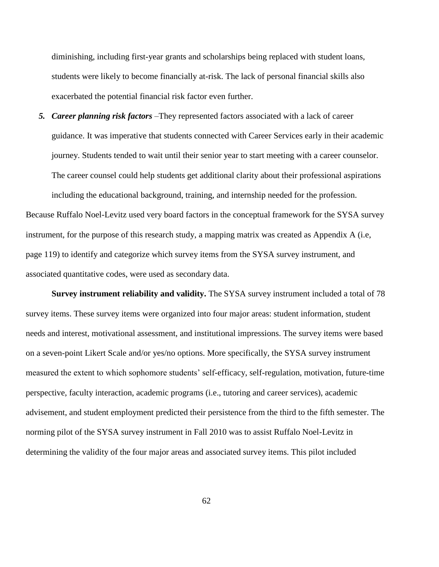diminishing, including first-year grants and scholarships being replaced with student loans, students were likely to become financially at-risk. The lack of personal financial skills also exacerbated the potential financial risk factor even further.

*5. Career planning risk factors* –They represented factors associated with a lack of career guidance. It was imperative that students connected with Career Services early in their academic journey. Students tended to wait until their senior year to start meeting with a career counselor. The career counsel could help students get additional clarity about their professional aspirations including the educational background, training, and internship needed for the profession. Because Ruffalo Noel-Levitz used very board factors in the conceptual framework for the SYSA survey instrument, for the purpose of this research study, a mapping matrix was created as Appendix A (i.e, page 119) to identify and categorize which survey items from the SYSA survey instrument, and associated quantitative codes, were used as secondary data.

**Survey instrument reliability and validity.** The SYSA survey instrument included a total of 78 survey items. These survey items were organized into four major areas: student information, student needs and interest, motivational assessment, and institutional impressions. The survey items were based on a seven-point Likert Scale and/or yes/no options. More specifically, the SYSA survey instrument measured the extent to which sophomore students' self-efficacy, self-regulation, motivation, future-time perspective, faculty interaction, academic programs (i.e., tutoring and career services), academic advisement, and student employment predicted their persistence from the third to the fifth semester. The norming pilot of the SYSA survey instrument in Fall 2010 was to assist Ruffalo Noel-Levitz in determining the validity of the four major areas and associated survey items. This pilot included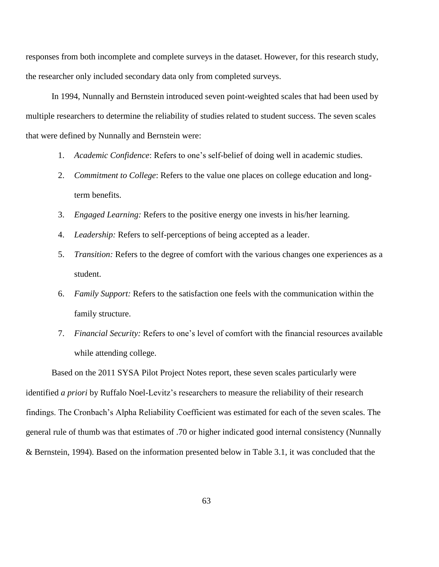responses from both incomplete and complete surveys in the dataset. However, for this research study, the researcher only included secondary data only from completed surveys.

In 1994, Nunnally and Bernstein introduced seven point-weighted scales that had been used by multiple researchers to determine the reliability of studies related to student success. The seven scales that were defined by Nunnally and Bernstein were:

- 1. *Academic Confidence*: Refers to one's self-belief of doing well in academic studies.
- 2. *Commitment to College*: Refers to the value one places on college education and longterm benefits.
- 3. *Engaged Learning:* Refers to the positive energy one invests in his/her learning.
- 4. *Leadership:* Refers to self-perceptions of being accepted as a leader.
- 5. *Transition:* Refers to the degree of comfort with the various changes one experiences as a student.
- 6. *Family Support:* Refers to the satisfaction one feels with the communication within the family structure.
- 7. *Financial Security:* Refers to one's level of comfort with the financial resources available while attending college.

Based on the 2011 SYSA Pilot Project Notes report, these seven scales particularly were identified *a priori* by Ruffalo Noel-Levitz's researchers to measure the reliability of their research findings. The Cronbach's Alpha Reliability Coefficient was estimated for each of the seven scales. The general rule of thumb was that estimates of .70 or higher indicated good internal consistency (Nunnally & Bernstein, 1994). Based on the information presented below in Table 3.1, it was concluded that the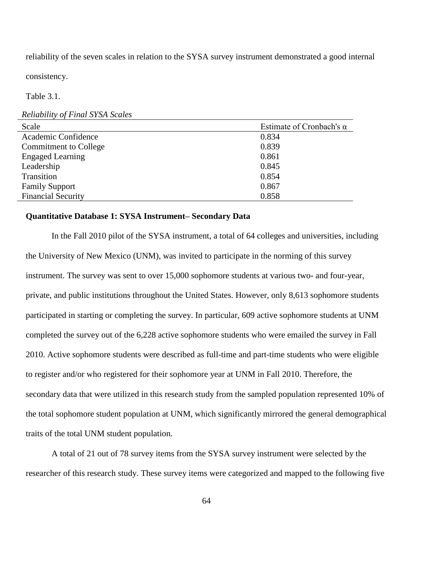reliability of the seven scales in relation to the SYSA survey instrument demonstrated a good internal

consistency.

Table 3.1.

#### *Reliability of Final SYSA Scales*

| Scale                        | Estimate of Cronbach's $\alpha$ |
|------------------------------|---------------------------------|
| Academic Confidence          | 0.834                           |
| <b>Commitment to College</b> | 0.839                           |
| <b>Engaged Learning</b>      | 0.861                           |
| Leadership                   | 0.845                           |
| Transition                   | 0.854                           |
| <b>Family Support</b>        | 0.867                           |
| <b>Financial Security</b>    | 0.858                           |

## **Quantitative Database 1: SYSA Instrument– Secondary Data**

In the Fall 2010 pilot of the SYSA instrument, a total of 64 colleges and universities, including the University of New Mexico (UNM), was invited to participate in the norming of this survey instrument. The survey was sent to over 15,000 sophomore students at various two- and four-year, private, and public institutions throughout the United States. However, only 8,613 sophomore students participated in starting or completing the survey. In particular, 609 active sophomore students at UNM completed the survey out of the 6,228 active sophomore students who were emailed the survey in Fall 2010. Active sophomore students were described as full-time and part-time students who were eligible to register and/or who registered for their sophomore year at UNM in Fall 2010. Therefore, the secondary data that were utilized in this research study from the sampled population represented 10% of the total sophomore student population at UNM, which significantly mirrored the general demographical traits of the total UNM student population.

A total of 21 out of 78 survey items from the SYSA survey instrument were selected by the researcher of this research study. These survey items were categorized and mapped to the following five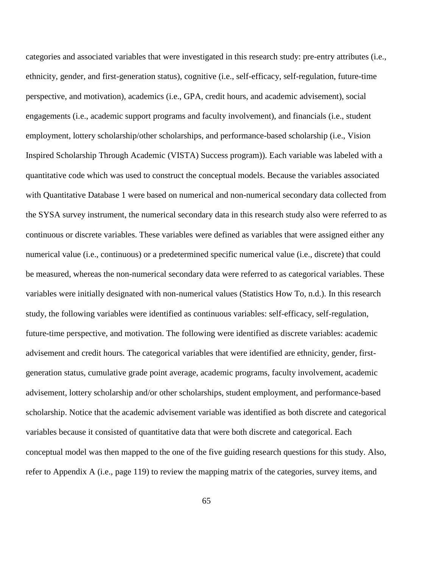categories and associated variables that were investigated in this research study: pre-entry attributes (i.e., ethnicity, gender, and first-generation status), cognitive (i.e., self-efficacy, self-regulation, future-time perspective, and motivation), academics (i.e., GPA, credit hours, and academic advisement), social engagements (i.e., academic support programs and faculty involvement), and financials (i.e., student employment, lottery scholarship/other scholarships, and performance-based scholarship (i.e., Vision Inspired Scholarship Through Academic (VISTA) Success program)). Each variable was labeled with a quantitative code which was used to construct the conceptual models. Because the variables associated with Quantitative Database 1 were based on numerical and non-numerical secondary data collected from the SYSA survey instrument, the numerical secondary data in this research study also were referred to as continuous or discrete variables. These variables were defined as variables that were assigned either any numerical value (i.e., continuous) or a predetermined specific numerical value (i.e., discrete) that could be measured, whereas the non-numerical secondary data were referred to as categorical variables. These variables were initially designated with non-numerical values (Statistics How To, n.d.). In this research study, the following variables were identified as continuous variables: self-efficacy, self-regulation, future-time perspective, and motivation. The following were identified as discrete variables: academic advisement and credit hours. The categorical variables that were identified are ethnicity, gender, firstgeneration status, cumulative grade point average, academic programs, faculty involvement, academic advisement, lottery scholarship and/or other scholarships, student employment, and performance-based scholarship. Notice that the academic advisement variable was identified as both discrete and categorical variables because it consisted of quantitative data that were both discrete and categorical. Each conceptual model was then mapped to the one of the five guiding research questions for this study. Also, refer to Appendix A (i.e., page 119) to review the mapping matrix of the categories, survey items, and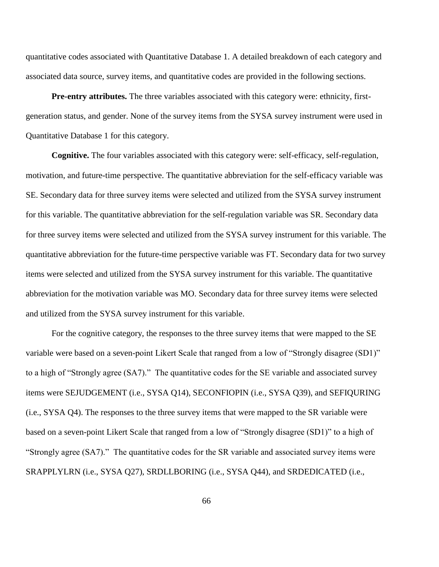quantitative codes associated with Quantitative Database 1. A detailed breakdown of each category and associated data source, survey items, and quantitative codes are provided in the following sections.

**Pre-entry attributes.** The three variables associated with this category were: ethnicity, firstgeneration status, and gender. None of the survey items from the SYSA survey instrument were used in Quantitative Database 1 for this category.

**Cognitive.** The four variables associated with this category were: self-efficacy, self-regulation, motivation, and future-time perspective. The quantitative abbreviation for the self-efficacy variable was SE. Secondary data for three survey items were selected and utilized from the SYSA survey instrument for this variable. The quantitative abbreviation for the self-regulation variable was SR. Secondary data for three survey items were selected and utilized from the SYSA survey instrument for this variable. The quantitative abbreviation for the future-time perspective variable was FT. Secondary data for two survey items were selected and utilized from the SYSA survey instrument for this variable. The quantitative abbreviation for the motivation variable was MO. Secondary data for three survey items were selected and utilized from the SYSA survey instrument for this variable.

For the cognitive category, the responses to the three survey items that were mapped to the SE variable were based on a seven-point Likert Scale that ranged from a low of "Strongly disagree (SD1)" to a high of "Strongly agree (SA7)." The quantitative codes for the SE variable and associated survey items were SEJUDGEMENT (i.e., SYSA Q14), SECONFIOPIN (i.e., SYSA Q39), and SEFIQURING (i.e., SYSA Q4). The responses to the three survey items that were mapped to the SR variable were based on a seven-point Likert Scale that ranged from a low of "Strongly disagree (SD1)" to a high of "Strongly agree (SA7)." The quantitative codes for the SR variable and associated survey items were SRAPPLYLRN (i.e., SYSA Q27), SRDLLBORING (i.e., SYSA Q44), and SRDEDICATED (i.e.,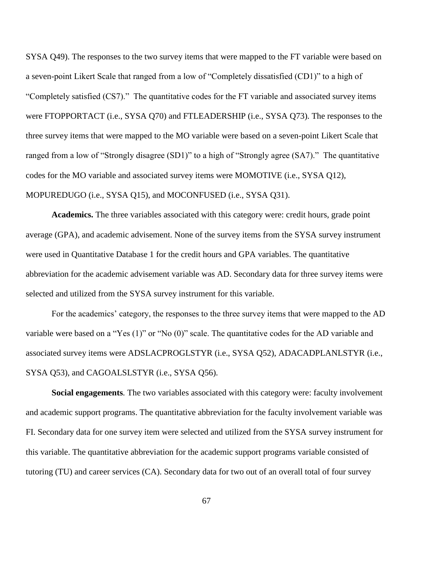SYSA Q49). The responses to the two survey items that were mapped to the FT variable were based on a seven-point Likert Scale that ranged from a low of "Completely dissatisfied (CD1)" to a high of "Completely satisfied (CS7)." The quantitative codes for the FT variable and associated survey items were FTOPPORTACT (i.e., SYSA Q70) and FTLEADERSHIP (i.e., SYSA Q73). The responses to the three survey items that were mapped to the MO variable were based on a seven-point Likert Scale that ranged from a low of "Strongly disagree (SD1)" to a high of "Strongly agree (SA7)." The quantitative codes for the MO variable and associated survey items were MOMOTIVE (i.e., SYSA Q12), MOPUREDUGO (i.e., SYSA Q15), and MOCONFUSED (i.e., SYSA Q31).

**Academics.** The three variables associated with this category were: credit hours, grade point average (GPA), and academic advisement. None of the survey items from the SYSA survey instrument were used in Quantitative Database 1 for the credit hours and GPA variables. The quantitative abbreviation for the academic advisement variable was AD. Secondary data for three survey items were selected and utilized from the SYSA survey instrument for this variable.

For the academics' category, the responses to the three survey items that were mapped to the AD variable were based on a "Yes (1)" or "No (0)" scale. The quantitative codes for the AD variable and associated survey items were ADSLACPROGLSTYR (i.e., SYSA Q52), ADACADPLANLSTYR (i.e., SYSA Q53), and CAGOALSLSTYR (i.e., SYSA Q56).

**Social engagements***.* The two variables associated with this category were: faculty involvement and academic support programs. The quantitative abbreviation for the faculty involvement variable was FI. Secondary data for one survey item were selected and utilized from the SYSA survey instrument for this variable. The quantitative abbreviation for the academic support programs variable consisted of tutoring (TU) and career services (CA). Secondary data for two out of an overall total of four survey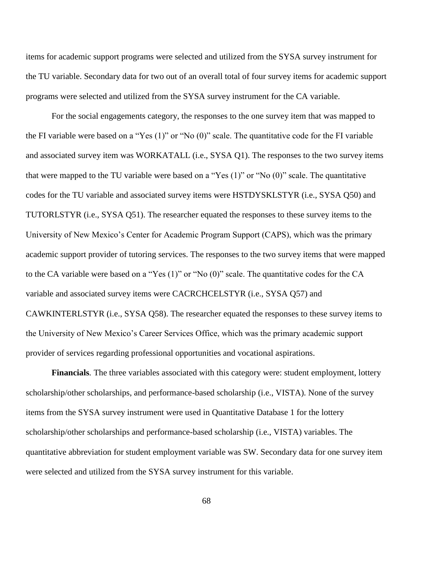items for academic support programs were selected and utilized from the SYSA survey instrument for the TU variable. Secondary data for two out of an overall total of four survey items for academic support programs were selected and utilized from the SYSA survey instrument for the CA variable.

For the social engagements category, the responses to the one survey item that was mapped to the FI variable were based on a "Yes (1)" or "No (0)" scale. The quantitative code for the FI variable and associated survey item was WORKATALL (i.e., SYSA Q1). The responses to the two survey items that were mapped to the TU variable were based on a "Yes (1)" or "No (0)" scale. The quantitative codes for the TU variable and associated survey items were HSTDYSKLSTYR (i.e., SYSA Q50) and TUTORLSTYR (i.e., SYSA Q51). The researcher equated the responses to these survey items to the University of New Mexico's Center for Academic Program Support (CAPS), which was the primary academic support provider of tutoring services. The responses to the two survey items that were mapped to the CA variable were based on a "Yes (1)" or "No (0)" scale. The quantitative codes for the CA variable and associated survey items were CACRCHCELSTYR (i.e., SYSA Q57) and CAWKINTERLSTYR (i.e., SYSA Q58). The researcher equated the responses to these survey items to the University of New Mexico's Career Services Office, which was the primary academic support provider of services regarding professional opportunities and vocational aspirations.

**Financials***.* The three variables associated with this category were: student employment, lottery scholarship/other scholarships, and performance-based scholarship (i.e., VISTA). None of the survey items from the SYSA survey instrument were used in Quantitative Database 1 for the lottery scholarship/other scholarships and performance-based scholarship (i.e., VISTA) variables. The quantitative abbreviation for student employment variable was SW. Secondary data for one survey item were selected and utilized from the SYSA survey instrument for this variable.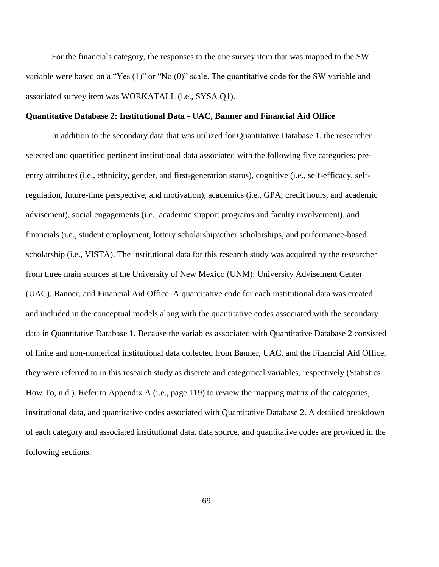For the financials category, the responses to the one survey item that was mapped to the SW variable were based on a "Yes (1)" or "No (0)" scale. The quantitative code for the SW variable and associated survey item was WORKATALL (i.e., SYSA Q1).

## **Quantitative Database 2: Institutional Data - UAC, Banner and Financial Aid Office**

In addition to the secondary data that was utilized for Quantitative Database 1, the researcher selected and quantified pertinent institutional data associated with the following five categories: preentry attributes (i.e., ethnicity, gender, and first-generation status), cognitive (i.e., self-efficacy, selfregulation, future-time perspective, and motivation), academics (i.e., GPA, credit hours, and academic advisement), social engagements (i.e., academic support programs and faculty involvement), and financials (i.e., student employment, lottery scholarship/other scholarships, and performance-based scholarship (i.e., VISTA). The institutional data for this research study was acquired by the researcher from three main sources at the University of New Mexico (UNM): University Advisement Center (UAC), Banner, and Financial Aid Office. A quantitative code for each institutional data was created and included in the conceptual models along with the quantitative codes associated with the secondary data in Quantitative Database 1. Because the variables associated with Quantitative Database 2 consisted of finite and non-numerical institutional data collected from Banner, UAC, and the Financial Aid Office, they were referred to in this research study as discrete and categorical variables, respectively (Statistics How To, n.d.). Refer to Appendix A (i.e., page 119) to review the mapping matrix of the categories, institutional data, and quantitative codes associated with Quantitative Database 2. A detailed breakdown of each category and associated institutional data, data source, and quantitative codes are provided in the following sections.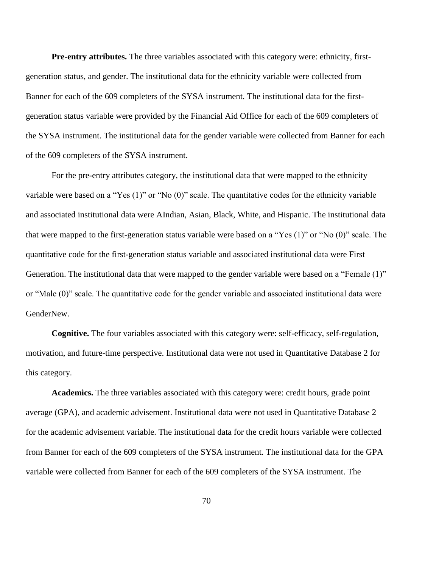**Pre-entry attributes.** The three variables associated with this category were: ethnicity, firstgeneration status, and gender. The institutional data for the ethnicity variable were collected from Banner for each of the 609 completers of the SYSA instrument. The institutional data for the firstgeneration status variable were provided by the Financial Aid Office for each of the 609 completers of the SYSA instrument. The institutional data for the gender variable were collected from Banner for each of the 609 completers of the SYSA instrument.

For the pre-entry attributes category, the institutional data that were mapped to the ethnicity variable were based on a "Yes (1)" or "No (0)" scale. The quantitative codes for the ethnicity variable and associated institutional data were AIndian, Asian, Black, White, and Hispanic. The institutional data that were mapped to the first-generation status variable were based on a "Yes (1)" or "No (0)" scale. The quantitative code for the first-generation status variable and associated institutional data were First Generation. The institutional data that were mapped to the gender variable were based on a "Female (1)" or "Male (0)" scale. The quantitative code for the gender variable and associated institutional data were GenderNew.

**Cognitive.** The four variables associated with this category were: self-efficacy, self-regulation, motivation, and future-time perspective. Institutional data were not used in Quantitative Database 2 for this category.

**Academics.** The three variables associated with this category were: credit hours, grade point average (GPA), and academic advisement. Institutional data were not used in Quantitative Database 2 for the academic advisement variable. The institutional data for the credit hours variable were collected from Banner for each of the 609 completers of the SYSA instrument. The institutional data for the GPA variable were collected from Banner for each of the 609 completers of the SYSA instrument. The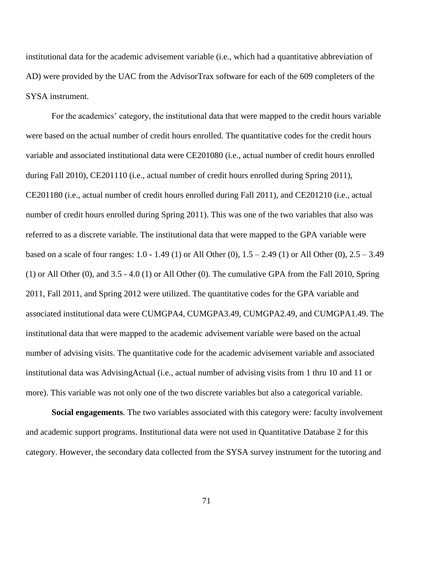institutional data for the academic advisement variable (i.e., which had a quantitative abbreviation of AD) were provided by the UAC from the AdvisorTrax software for each of the 609 completers of the SYSA instrument.

For the academics' category, the institutional data that were mapped to the credit hours variable were based on the actual number of credit hours enrolled. The quantitative codes for the credit hours variable and associated institutional data were CE201080 (i.e., actual number of credit hours enrolled during Fall 2010), CE201110 (i.e., actual number of credit hours enrolled during Spring 2011), CE201180 (i.e., actual number of credit hours enrolled during Fall 2011), and CE201210 (i.e., actual number of credit hours enrolled during Spring 2011). This was one of the two variables that also was referred to as a discrete variable. The institutional data that were mapped to the GPA variable were based on a scale of four ranges: 1.0 - 1.49 (1) or All Other (0), 1.5 – 2.49 (1) or All Other (0), 2.5 – 3.49 (1) or All Other (0), and 3.5 - 4.0 (1) or All Other (0). The cumulative GPA from the Fall 2010, Spring 2011, Fall 2011, and Spring 2012 were utilized. The quantitative codes for the GPA variable and associated institutional data were CUMGPA4, CUMGPA3.49, CUMGPA2.49, and CUMGPA1.49. The institutional data that were mapped to the academic advisement variable were based on the actual number of advising visits. The quantitative code for the academic advisement variable and associated institutional data was AdvisingActual (i.e., actual number of advising visits from 1 thru 10 and 11 or more). This variable was not only one of the two discrete variables but also a categorical variable.

**Social engagements***.* The two variables associated with this category were: faculty involvement and academic support programs. Institutional data were not used in Quantitative Database 2 for this category. However, the secondary data collected from the SYSA survey instrument for the tutoring and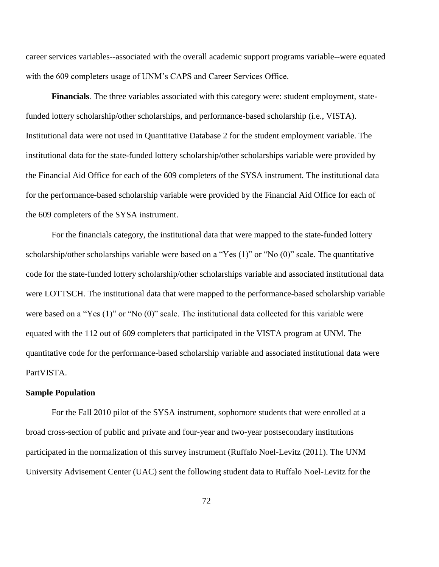career services variables--associated with the overall academic support programs variable--were equated with the 609 completers usage of UNM's CAPS and Career Services Office.

**Financials***.* The three variables associated with this category were: student employment, statefunded lottery scholarship/other scholarships, and performance-based scholarship (i.e., VISTA). Institutional data were not used in Quantitative Database 2 for the student employment variable. The institutional data for the state-funded lottery scholarship/other scholarships variable were provided by the Financial Aid Office for each of the 609 completers of the SYSA instrument. The institutional data for the performance-based scholarship variable were provided by the Financial Aid Office for each of the 609 completers of the SYSA instrument.

For the financials category, the institutional data that were mapped to the state-funded lottery scholarship/other scholarships variable were based on a "Yes (1)" or "No (0)" scale. The quantitative code for the state-funded lottery scholarship/other scholarships variable and associated institutional data were LOTTSCH. The institutional data that were mapped to the performance-based scholarship variable were based on a "Yes (1)" or "No (0)" scale. The institutional data collected for this variable were equated with the 112 out of 609 completers that participated in the VISTA program at UNM. The quantitative code for the performance-based scholarship variable and associated institutional data were PartVISTA.

## **Sample Population**

For the Fall 2010 pilot of the SYSA instrument, sophomore students that were enrolled at a broad cross-section of public and private and four-year and two-year postsecondary institutions participated in the normalization of this survey instrument (Ruffalo Noel-Levitz (2011). The UNM University Advisement Center (UAC) sent the following student data to Ruffalo Noel-Levitz for the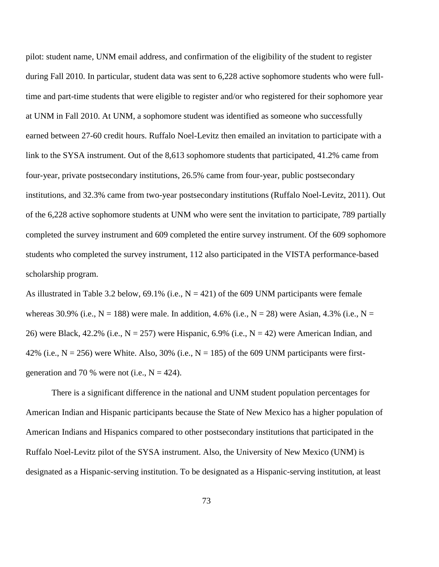pilot: student name, UNM email address, and confirmation of the eligibility of the student to register during Fall 2010. In particular, student data was sent to 6,228 active sophomore students who were fulltime and part-time students that were eligible to register and/or who registered for their sophomore year at UNM in Fall 2010. At UNM, a sophomore student was identified as someone who successfully earned between 27-60 credit hours. Ruffalo Noel-Levitz then emailed an invitation to participate with a link to the SYSA instrument. Out of the 8,613 sophomore students that participated, 41.2% came from four-year, private postsecondary institutions, 26.5% came from four-year, public postsecondary institutions, and 32.3% came from two-year postsecondary institutions (Ruffalo Noel-Levitz, 2011). Out of the 6,228 active sophomore students at UNM who were sent the invitation to participate, 789 partially completed the survey instrument and 609 completed the entire survey instrument. Of the 609 sophomore students who completed the survey instrument, 112 also participated in the VISTA performance-based scholarship program.

As illustrated in Table 3.2 below, 69.1% (i.e.,  $N = 421$ ) of the 609 UNM participants were female whereas 30.9% (i.e.,  $N = 188$ ) were male. In addition, 4.6% (i.e.,  $N = 28$ ) were Asian, 4.3% (i.e.,  $N =$ 26) were Black, 42.2% (i.e.,  $N = 257$ ) were Hispanic, 6.9% (i.e.,  $N = 42$ ) were American Indian, and 42% (i.e.,  $N = 256$ ) were White. Also, 30% (i.e.,  $N = 185$ ) of the 609 UNM participants were firstgeneration and 70 % were not (i.e.,  $N = 424$ ).

There is a significant difference in the national and UNM student population percentages for American Indian and Hispanic participants because the State of New Mexico has a higher population of American Indians and Hispanics compared to other postsecondary institutions that participated in the Ruffalo Noel-Levitz pilot of the SYSA instrument. Also, the University of New Mexico (UNM) is designated as a Hispanic-serving institution. To be designated as a Hispanic-serving institution, at least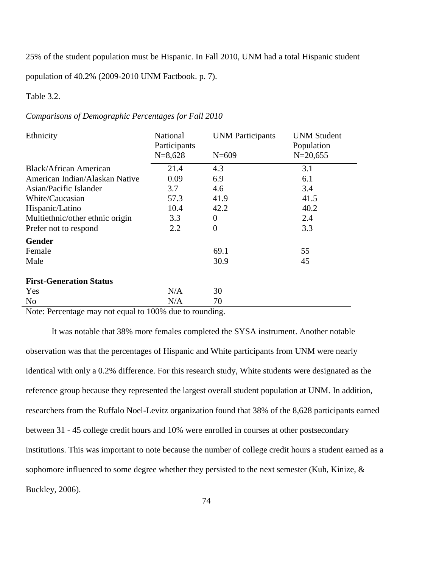25% of the student population must be Hispanic. In Fall 2010, UNM had a total Hispanic student

population of 40.2% (2009-2010 UNM Factbook. p. 7).

# Table 3.2.

# *Comparisons of Demographic Percentages for Fall 2010*

| Ethnicity                       | National<br>Participants<br>$N=8,628$ | <b>UNM</b> Participants<br>$N = 609$ | <b>UNM Student</b><br>Population<br>$N = 20,655$ |
|---------------------------------|---------------------------------------|--------------------------------------|--------------------------------------------------|
| Black/African American          | 21.4                                  | 4.3                                  | 3.1                                              |
| American Indian/Alaskan Native  | 0.09                                  | 6.9                                  | 6.1                                              |
| Asian/Pacific Islander          | 3.7                                   | 4.6                                  | 3.4                                              |
| White/Caucasian                 | 57.3                                  | 41.9                                 | 41.5                                             |
| Hispanic/Latino                 | 10.4                                  | 42.2                                 | 40.2                                             |
| Multiethnic/other ethnic origin | 3.3                                   | $\overline{0}$                       | 2.4                                              |
| Prefer not to respond           | 2.2                                   | $\overline{0}$                       | 3.3                                              |
| <b>Gender</b>                   |                                       |                                      |                                                  |
| Female                          |                                       | 69.1                                 | 55                                               |
| Male                            |                                       | 30.9                                 | 45                                               |
| <b>First-Generation Status</b>  |                                       |                                      |                                                  |
| Yes                             | N/A                                   | 30                                   |                                                  |
| N <sub>0</sub>                  | N/A                                   | 70                                   |                                                  |

Note: Percentage may not equal to 100% due to rounding.

It was notable that 38% more females completed the SYSA instrument. Another notable observation was that the percentages of Hispanic and White participants from UNM were nearly identical with only a 0.2% difference. For this research study, White students were designated as the reference group because they represented the largest overall student population at UNM. In addition, researchers from the Ruffalo Noel-Levitz organization found that 38% of the 8,628 participants earned between 31 - 45 college credit hours and 10% were enrolled in courses at other postsecondary institutions. This was important to note because the number of college credit hours a student earned as a sophomore influenced to some degree whether they persisted to the next semester (Kuh, Kinize, & Buckley, 2006).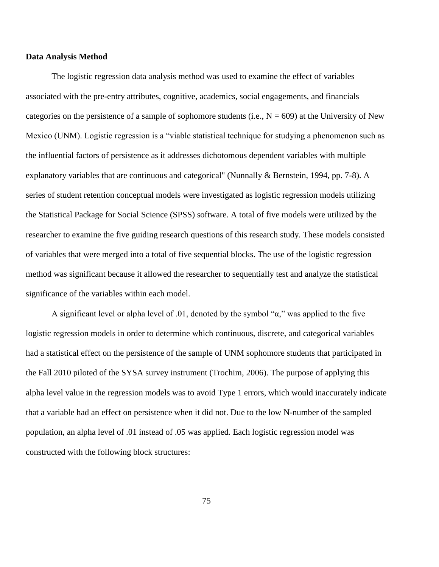#### **Data Analysis Method**

The logistic regression data analysis method was used to examine the effect of variables associated with the pre-entry attributes, cognitive, academics, social engagements, and financials categories on the persistence of a sample of sophomore students (i.e.,  $N = 609$ ) at the University of New Mexico (UNM). Logistic regression is a "viable statistical technique for studying a phenomenon such as the influential factors of persistence as it addresses dichotomous dependent variables with multiple explanatory variables that are continuous and categorical" (Nunnally & Bernstein, 1994, pp. 7-8). A series of student retention conceptual models were investigated as logistic regression models utilizing the Statistical Package for Social Science (SPSS) software. A total of five models were utilized by the researcher to examine the five guiding research questions of this research study. These models consisted of variables that were merged into a total of five sequential blocks. The use of the logistic regression method was significant because it allowed the researcher to sequentially test and analyze the statistical significance of the variables within each model.

A significant level or alpha level of .01, denoted by the symbol " $\alpha$ ," was applied to the five logistic regression models in order to determine which continuous, discrete, and categorical variables had a statistical effect on the persistence of the sample of UNM sophomore students that participated in the Fall 2010 piloted of the SYSA survey instrument (Trochim, 2006). The purpose of applying this alpha level value in the regression models was to avoid Type 1 errors, which would inaccurately indicate that a variable had an effect on persistence when it did not. Due to the low N-number of the sampled population, an alpha level of .01 instead of .05 was applied. Each logistic regression model was constructed with the following block structures: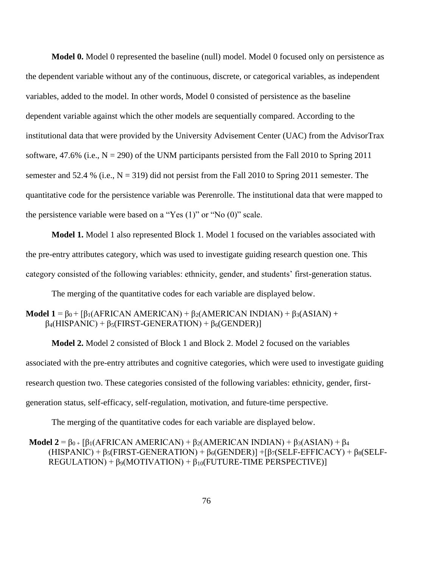**Model 0.** Model 0 represented the baseline (null) model. Model 0 focused only on persistence as the dependent variable without any of the continuous, discrete, or categorical variables, as independent variables, added to the model. In other words, Model 0 consisted of persistence as the baseline dependent variable against which the other models are sequentially compared. According to the institutional data that were provided by the University Advisement Center (UAC) from the AdvisorTrax software, 47.6% (i.e.,  $N = 290$ ) of the UNM participants persisted from the Fall 2010 to Spring 2011 semester and 52.4 % (i.e.,  $N = 319$ ) did not persist from the Fall 2010 to Spring 2011 semester. The quantitative code for the persistence variable was Perenrolle. The institutional data that were mapped to the persistence variable were based on a "Yes (1)" or "No (0)" scale.

**Model 1.** Model 1 also represented Block 1. Model 1 focused on the variables associated with the pre-entry attributes category, which was used to investigate guiding research question one. This category consisted of the following variables: ethnicity, gender, and students' first-generation status.

The merging of the quantitative codes for each variable are displayed below.

# **Model 1** =  $β_0 + [β_1(AFRICAN AMERICAN) + β_2(AMERICAN INDIAN) + β_3(ASIAN) +$  $\beta_4(HISPANIC) + \beta_5(FIRST-GENERATION) + \beta_6(GENDER)$

**Model 2.** Model 2 consisted of Block 1 and Block 2. Model 2 focused on the variables associated with the pre-entry attributes and cognitive categories, which were used to investigate guiding research question two. These categories consisted of the following variables: ethnicity, gender, firstgeneration status, self-efficacy, self-regulation, motivation, and future-time perspective.

The merging of the quantitative codes for each variable are displayed below.

**Model 2** =  $\beta_{0+}$  [β<sub>1</sub>(AFRICAN AMERICAN) + β<sub>2</sub>(AMERICAN INDIAN) + β<sub>3</sub>(ASIAN) + β<sub>4</sub>  $(HISPANIC)$  +  $\beta_5(FIRST-GENERATION)$  +  $\beta_6(GENDER)$ ] +  $\beta_7(SELF-EFFICACY)$  +  $\beta_8(SELF REGULATION$ ) +  $\beta$ <sub>9</sub>(MOTIVATION) +  $\beta_{10}$ (FUTURE-TIME PERSPECTIVE)]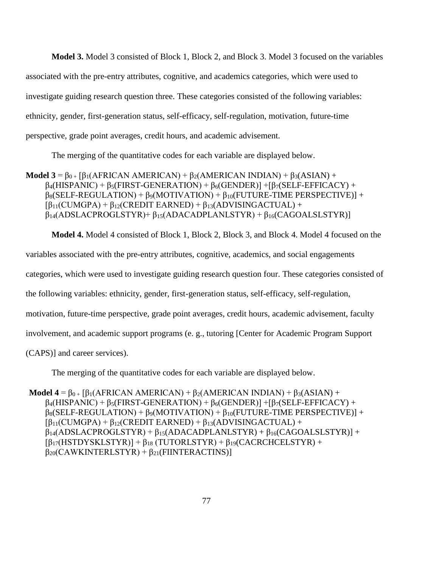**Model 3.** Model 3 consisted of Block 1, Block 2, and Block 3. Model 3 focused on the variables associated with the pre-entry attributes, cognitive, and academics categories, which were used to investigate guiding research question three. These categories consisted of the following variables: ethnicity, gender, first-generation status, self-efficacy, self-regulation, motivation, future-time perspective, grade point averages, credit hours, and academic advisement.

The merging of the quantitative codes for each variable are displayed below.

**Model 3** =  $\beta_{0+}$  [ $\beta_1$ (AFRICAN AMERICAN) +  $\beta_2$ (AMERICAN INDIAN) +  $\beta_3$ (ASIAN) +  $\beta_4$ (HISPANIC) +  $\beta_5$ (FIRST-GENERATION) +  $\beta_6$ (GENDER)] + [ $\beta_7$ (SELF-EFFICACY) +  $\beta_8$ (SELF-REGULATION) +  $\beta_9$ (MOTIVATION) +  $\beta_{10}$ (FUTURE-TIME PERSPECTIVE)] +  $\beta_{11}(CUMGPA) + \beta_{12}(CREDIT EARNED) + \beta_{13}(ADVISINGACTUAL) +$  $\beta_{14}$ (ADSLACPROGLSTYR)+  $\beta_{15}$ (ADACADPLANLSTYR) +  $\beta_{16}$ (CAGOALSLSTYR)]

**Model 4.** Model 4 consisted of Block 1, Block 2, Block 3, and Block 4. Model 4 focused on the variables associated with the pre-entry attributes, cognitive, academics, and social engagements categories, which were used to investigate guiding research question four. These categories consisted of the following variables: ethnicity, gender, first-generation status, self-efficacy, self-regulation, motivation, future-time perspective, grade point averages, credit hours, academic advisement, faculty involvement, and academic support programs (e. g., tutoring [Center for Academic Program Support (CAPS)] and career services).

The merging of the quantitative codes for each variable are displayed below.

**Model 4** =  $\beta_{0+}$  [ $\beta_1$ (AFRICAN AMERICAN) +  $\beta_2$ (AMERICAN INDIAN) +  $\beta_3$ (ASIAN) +  $\beta_4(HISPANIC) + \beta_5(FIRST-GENERATION) + \beta_6(GENDER) + \beta_7(SELF-EFFICACY) +$  $\beta_8$ (SELF-REGULATION) +  $\beta_9$ (MOTIVATION) +  $\beta_{10}$ (FUTURE-TIME PERSPECTIVE)] +  $\beta_{11}(CUMGPA) + \beta_{12}(CREDIT EARNED) + \beta_{13}(ADVISINGACTUAL) +$  $\beta_{14}$ (ADSLACPROGLSTYR) +  $\beta_{15}$ (ADACADPLANLSTYR) +  $\beta_{16}$ (CAGOALSLSTYR)] +  $[\beta_{17}(HSTDYSKLSTYR)] + \beta_{18} (TUTORLSTYR) + \beta_{19}(CACRCHCELSTYR) +$  $\beta_{20}$ (CAWKINTERLSTYR) +  $\beta_{21}$ (FIINTERACTINS)]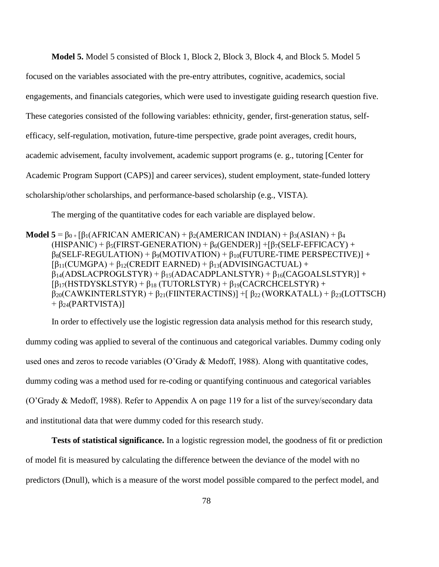**Model 5.** Model 5 consisted of Block 1, Block 2, Block 3, Block 4, and Block 5. Model 5

focused on the variables associated with the pre-entry attributes, cognitive, academics, social engagements, and financials categories, which were used to investigate guiding research question five. These categories consisted of the following variables: ethnicity, gender, first-generation status, selfefficacy, self-regulation, motivation, future-time perspective, grade point averages, credit hours, academic advisement, faculty involvement, academic support programs (e. g., tutoring [Center for Academic Program Support (CAPS)] and career services), student employment, state-funded lottery scholarship/other scholarships, and performance-based scholarship (e.g., VISTA).

The merging of the quantitative codes for each variable are displayed below.

**Model 5** =  $\beta_{0+}$  [ $\beta_1$ (AFRICAN AMERICAN) +  $\beta_2$ (AMERICAN INDIAN) +  $\beta_3$ (ASIAN) +  $\beta_4$  $(HISPANIC) + \beta_5(FIRST-GENERATION) + \beta_6(GENDER) + [\beta_7(SELF-EFFICACY) +$  $\beta_8$ (SELF-REGULATION) +  $\beta_9$ (MOTIVATION) +  $\beta_{10}$ (FUTURE-TIME PERSPECTIVE)] +  $\left[\beta_{11}(CUMGPA) + \beta_{12}(CREDIT EARNED) + \beta_{13}(ADVISINGACTUAL) + \right]$  $\beta_{14}$ (ADSLACPROGLSTYR) +  $\beta_{15}$ (ADACADPLANLSTYR) +  $\beta_{16}$ (CAGOALSLSTYR)] +  $\left[\beta_{17}(HSTDYSKLSTYR) + \beta_{18}(TUTORLSTYR) + \beta_{19}(CACRCHCELSTYR) + \right]$  $β_{20}(CAWKINTERLSTYR) + β_{21}(FINTERACTINS)] + [β_{22}(WORKATAL) + β_{23}(LOTTSCH)$  $+ \beta_{24}$ (PARTVISTA)]

In order to effectively use the logistic regression data analysis method for this research study, dummy coding was applied to several of the continuous and categorical variables. Dummy coding only used ones and zeros to recode variables (O'Grady & Medoff, 1988). Along with quantitative codes, dummy coding was a method used for re-coding or quantifying continuous and categorical variables (O'Grady & Medoff, 1988). Refer to Appendix A on page 119 for a list of the survey/secondary data and institutional data that were dummy coded for this research study.

**Tests of statistical significance.** In a logistic regression model, the goodness of fit or prediction of model fit is measured by calculating the difference between the deviance of the model with no predictors (Dnull), which is a measure of the worst model possible compared to the perfect model, and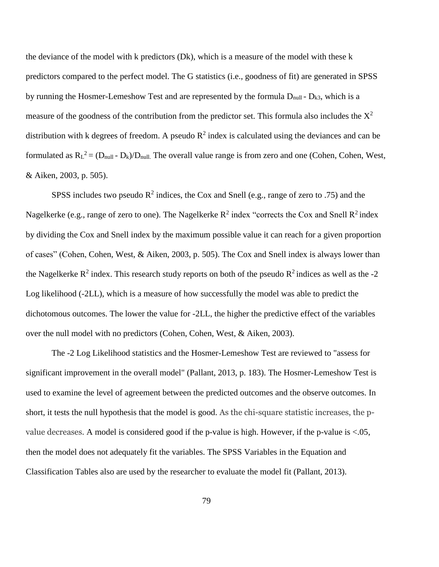the deviance of the model with k predictors (Dk), which is a measure of the model with these k predictors compared to the perfect model. The G statistics (i.e., goodness of fit) are generated in SPSS by running the Hosmer-Lemeshow Test and are represented by the formula  $D_{null}$  -  $D_{k3}$ , which is a measure of the goodness of the contribution from the predictor set. This formula also includes the  $X^2$ distribution with k degrees of freedom. A pseudo  $R^2$  index is calculated using the deviances and can be formulated as  $R_L^2 = (D_{null} - D_k)/D_{null}$ . The overall value range is from zero and one (Cohen, Cohen, West, & Aiken, 2003, p. 505).

SPSS includes two pseudo  $R^2$  indices, the Cox and Snell (e.g., range of zero to .75) and the Nagelkerke (e.g., range of zero to one). The Nagelkerke  $R^2$  index "corrects the Cox and Snell  $R^2$  index by dividing the Cox and Snell index by the maximum possible value it can reach for a given proportion of cases" (Cohen, Cohen, West, & Aiken, 2003, p. 505). The Cox and Snell index is always lower than the Nagelkerke  $R^2$  index. This research study reports on both of the pseudo  $R^2$  indices as well as the -2 Log likelihood (-2LL), which is a measure of how successfully the model was able to predict the dichotomous outcomes. The lower the value for -2LL, the higher the predictive effect of the variables over the null model with no predictors (Cohen, Cohen, West, & Aiken, 2003).

The -2 Log Likelihood statistics and the Hosmer-Lemeshow Test are reviewed to "assess for significant improvement in the overall model" (Pallant, 2013, p. 183). The Hosmer-Lemeshow Test is used to examine the level of agreement between the predicted outcomes and the observe outcomes. In short, it tests the null hypothesis that the model is good. As the chi-square statistic increases, the pvalue decreases. A model is considered good if the p-value is high. However, if the p-value is <.05, then the model does not adequately fit the variables. The SPSS Variables in the Equation and Classification Tables also are used by the researcher to evaluate the model fit (Pallant, 2013).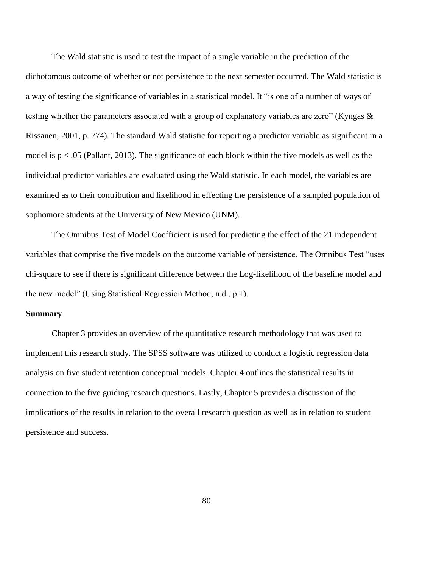The Wald statistic is used to test the impact of a single variable in the prediction of the dichotomous outcome of whether or not persistence to the next semester occurred. The Wald statistic is a way of testing the significance of variables in a statistical model. It "is one of a number of ways of testing whether the parameters associated with a group of explanatory variables are zero" (Kyngas & Rissanen, 2001, p. 774). The standard Wald statistic for reporting a predictor variable as significant in a model is  $p < .05$  (Pallant, 2013). The significance of each block within the five models as well as the individual predictor variables are evaluated using the Wald statistic. In each model, the variables are examined as to their contribution and likelihood in effecting the persistence of a sampled population of sophomore students at the University of New Mexico (UNM).

The Omnibus Test of Model Coefficient is used for predicting the effect of the 21 independent variables that comprise the five models on the outcome variable of persistence. The Omnibus Test "uses chi-square to see if there is significant difference between the Log-likelihood of the baseline model and the new model" (Using Statistical Regression Method, n.d., p.1).

#### **Summary**

Chapter 3 provides an overview of the quantitative research methodology that was used to implement this research study. The SPSS software was utilized to conduct a logistic regression data analysis on five student retention conceptual models. Chapter 4 outlines the statistical results in connection to the five guiding research questions. Lastly, Chapter 5 provides a discussion of the implications of the results in relation to the overall research question as well as in relation to student persistence and success.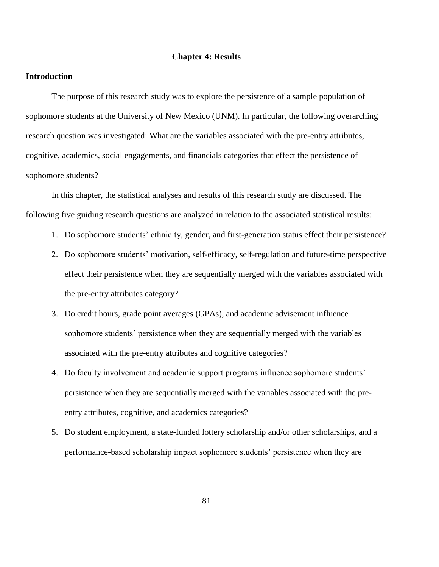## **Chapter 4: Results**

# **Introduction**

The purpose of this research study was to explore the persistence of a sample population of sophomore students at the University of New Mexico (UNM). In particular, the following overarching research question was investigated: What are the variables associated with the pre-entry attributes, cognitive, academics, social engagements, and financials categories that effect the persistence of sophomore students?

In this chapter, the statistical analyses and results of this research study are discussed. The following five guiding research questions are analyzed in relation to the associated statistical results:

- 1. Do sophomore students' ethnicity, gender, and first-generation status effect their persistence?
- 2. Do sophomore students' motivation, self-efficacy, self-regulation and future-time perspective effect their persistence when they are sequentially merged with the variables associated with the pre-entry attributes category?
- 3. Do credit hours, grade point averages (GPAs), and academic advisement influence sophomore students' persistence when they are sequentially merged with the variables associated with the pre-entry attributes and cognitive categories?
- 4. Do faculty involvement and academic support programs influence sophomore students' persistence when they are sequentially merged with the variables associated with the preentry attributes, cognitive, and academics categories?
- 5. Do student employment, a state-funded lottery scholarship and/or other scholarships, and a performance-based scholarship impact sophomore students' persistence when they are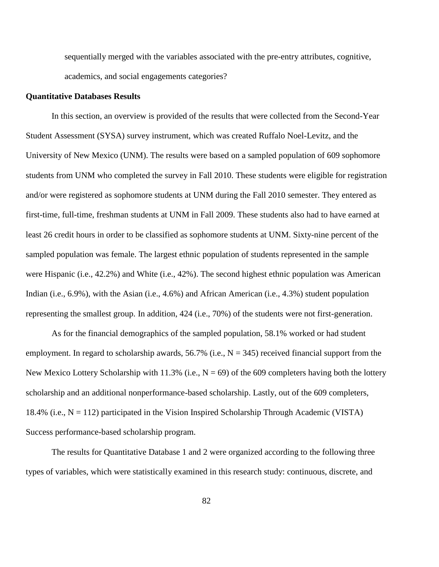sequentially merged with the variables associated with the pre-entry attributes, cognitive, academics, and social engagements categories?

#### **Quantitative Databases Results**

In this section, an overview is provided of the results that were collected from the Second-Year Student Assessment (SYSA) survey instrument, which was created Ruffalo Noel-Levitz, and the University of New Mexico (UNM). The results were based on a sampled population of 609 sophomore students from UNM who completed the survey in Fall 2010. These students were eligible for registration and/or were registered as sophomore students at UNM during the Fall 2010 semester. They entered as first-time, full-time, freshman students at UNM in Fall 2009. These students also had to have earned at least 26 credit hours in order to be classified as sophomore students at UNM. Sixty-nine percent of the sampled population was female. The largest ethnic population of students represented in the sample were Hispanic (i.e., 42.2%) and White (i.e., 42%). The second highest ethnic population was American Indian (i.e., 6.9%), with the Asian (i.e., 4.6%) and African American (i.e., 4.3%) student population representing the smallest group. In addition, 424 (i.e., 70%) of the students were not first-generation.

As for the financial demographics of the sampled population, 58.1% worked or had student employment. In regard to scholarship awards, 56.7% (i.e.,  $N = 345$ ) received financial support from the New Mexico Lottery Scholarship with 11.3% (i.e.,  $N = 69$ ) of the 609 completers having both the lottery scholarship and an additional nonperformance-based scholarship. Lastly, out of the 609 completers, 18.4% (i.e.,  $N = 112$ ) participated in the Vision Inspired Scholarship Through Academic (VISTA) Success performance-based scholarship program.

The results for Quantitative Database 1 and 2 were organized according to the following three types of variables, which were statistically examined in this research study: continuous, discrete, and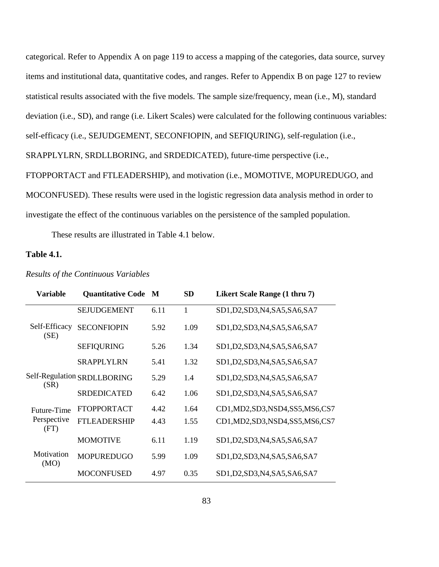categorical. Refer to Appendix A on page 119 to access a mapping of the categories, data source, survey items and institutional data, quantitative codes, and ranges. Refer to Appendix B on page 127 to review statistical results associated with the five models. The sample size/frequency, mean (i.e., M), standard deviation (i.e., SD), and range (i.e. Likert Scales) were calculated for the following continuous variables: self-efficacy (i.e., SEJUDGEMENT, SECONFIOPIN, and SEFIQURING), self-regulation (i.e., SRAPPLYLRN, SRDLLBORING, and SRDEDICATED), future-time perspective (i.e., FTOPPORTACT and FTLEADERSHIP), and motivation (i.e., MOMOTIVE, MOPUREDUGO, and

MOCONFUSED). These results were used in the logistic regression data analysis method in order to investigate the effect of the continuous variables on the persistence of the sampled population.

These results are illustrated in Table 4.1 below.

# **Table 4.1.**

| <b>Variable</b>       | <b>Quantitative Code</b>    | M    | <b>SD</b> | Likert Scale Range (1 thru 7)      |
|-----------------------|-----------------------------|------|-----------|------------------------------------|
|                       | <b>SEJUDGEMENT</b>          | 6.11 | 1         | SD1, D2, SD3, N4, SA5, SA6, SA7    |
| Self-Efficacy<br>(SE) | <b>SECONFIOPIN</b>          | 5.92 | 1.09      | SD1, D2, SD3, N4, SA5, SA6, SA7    |
|                       | <b>SEFIQURING</b>           | 5.26 | 1.34      | SD1, D2, SD3, N4, SA5, SA6, SA7    |
|                       | <b>SRAPPLYLRN</b>           | 5.41 | 1.32      | SD1, D2, SD3, N4, SA5, SA6, SA7    |
| (SR)                  | Self-Regulation SRDLLBORING | 5.29 | 1.4       | SD1, D2, SD3, N4, SA5, SA6, SA7    |
|                       | <b>SRDEDICATED</b>          | 6.42 | 1.06      | SD1, D2, SD3, N4, SA5, SA6, SA7    |
| Future-Time           | <b>FTOPPORTACT</b>          | 4.42 | 1.64      | CD1, MD2, SD3, NSD4, SS5, MS6, CS7 |
| Perspective<br>(FT)   | <b>FTLEADERSHIP</b>         | 4.43 | 1.55      | CD1, MD2, SD3, NSD4, SS5, MS6, CS7 |
|                       | <b>MOMOTIVE</b>             | 6.11 | 1.19      | SD1, D2, SD3, N4, SA5, SA6, SA7    |
| Motivation<br>(MO)    | <b>MOPUREDUGO</b>           | 5.99 | 1.09      | SD1, D2, SD3, N4, SA5, SA6, SA7    |
|                       | <b>MOCONFUSED</b>           | 4.97 | 0.35      | SD1, D2, SD3, N4, SA5, SA6, SA7    |

## *Results of the Continuous Variables*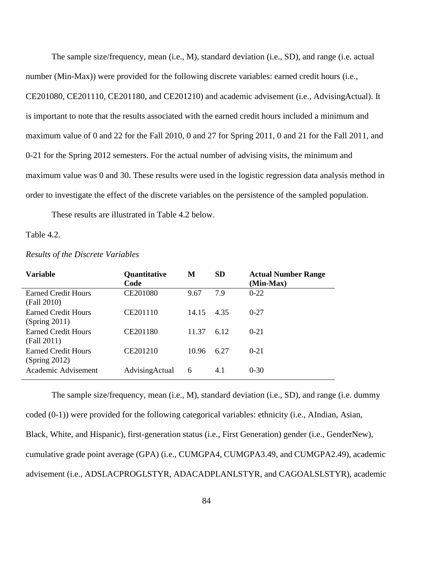The sample size/frequency, mean (i.e., M), standard deviation (i.e., SD), and range (i.e. actual number (Min-Max)) were provided for the following discrete variables: earned credit hours (i.e., CE201080, CE201110, CE201180, and CE201210) and academic advisement (i.e., AdvisingActual). It is important to note that the results associated with the earned credit hours included a minimum and maximum value of 0 and 22 for the Fall 2010, 0 and 27 for Spring 2011, 0 and 21 for the Fall 2011, and 0-21 for the Spring 2012 semesters. For the actual number of advising visits, the minimum and maximum value was 0 and 30. These results were used in the logistic regression data analysis method in order to investigate the effect of the discrete variables on the persistence of the sampled population.

These results are illustrated in Table 4.2 below.

#### Table 4.2.

| <b>Variable</b>                             | <b>Quantitative</b><br>Code | M     | <b>SD</b> | <b>Actual Number Range</b><br>(Min-Max) |
|---------------------------------------------|-----------------------------|-------|-----------|-----------------------------------------|
| <b>Earned Credit Hours</b><br>(Fall 2010)   | CE201080                    | 9.67  | 7.9       | $0-22$                                  |
| <b>Earned Credit Hours</b><br>(Spring 2011) | CE201110                    | 14.15 | 4.35      | $0 - 27$                                |
| <b>Earned Credit Hours</b><br>(Fall 2011)   | CE201180                    | 11.37 | 6.12      | $0 - 21$                                |
| <b>Earned Credit Hours</b><br>(Spring 2012) | CE201210                    | 10.96 | 6.27      | $0 - 21$                                |
| Academic Advisement                         | AdvisingActual              | 6     | 4.1       | $0 - 30$                                |

#### *Results of the Discrete Variables*

The sample size/frequency, mean (i.e., M), standard deviation (i.e., SD), and range (i.e. dummy coded (0-1)) were provided for the following categorical variables: ethnicity (i.e., AIndian, Asian, Black, White, and Hispanic), first-generation status (i.e., First Generation) gender (i.e., GenderNew), cumulative grade point average (GPA) (i.e., CUMGPA4, CUMGPA3.49, and CUMGPA2.49), academic advisement (i.e., ADSLACPROGLSTYR, ADACADPLANLSTYR, and CAGOALSLSTYR), academic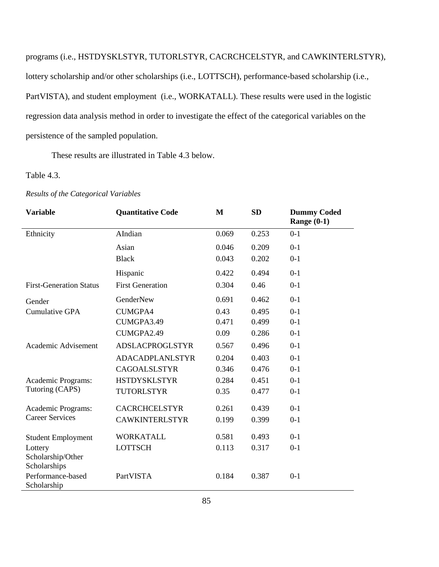programs (i.e., HSTDYSKLSTYR, TUTORLSTYR, CACRCHCELSTYR, and CAWKINTERLSTYR), lottery scholarship and/or other scholarships (i.e., LOTTSCH), performance-based scholarship (i.e., PartVISTA), and student employment (i.e., WORKATALL). These results were used in the logistic regression data analysis method in order to investigate the effect of the categorical variables on the persistence of the sampled population.

These results are illustrated in Table 4.3 below.

## Table 4.3.

| <b>Variable</b>                  | <b>Quantitative Code</b> | M     | <b>SD</b> | <b>Dummy Coded</b><br>Range $(0-1)$ |
|----------------------------------|--------------------------|-------|-----------|-------------------------------------|
| Ethnicity                        | AIndian                  | 0.069 | 0.253     | $0-1$                               |
|                                  | Asian                    | 0.046 | 0.209     | $0-1$                               |
|                                  | <b>Black</b>             | 0.043 | 0.202     | $0-1$                               |
|                                  | Hispanic                 | 0.422 | 0.494     | $0-1$                               |
| <b>First-Generation Status</b>   | <b>First Generation</b>  | 0.304 | 0.46      | $0-1$                               |
| Gender                           | GenderNew                | 0.691 | 0.462     | $0-1$                               |
| <b>Cumulative GPA</b>            | <b>CUMGPA4</b>           | 0.43  | 0.495     | $0-1$                               |
|                                  | CUMGPA3.49               | 0.471 | 0.499     | $0-1$                               |
|                                  | CUMGPA2.49               | 0.09  | 0.286     | $0-1$                               |
| Academic Advisement              | <b>ADSLACPROGLSTYR</b>   | 0.567 | 0.496     | $0-1$                               |
|                                  | <b>ADACADPLANLSTYR</b>   | 0.204 | 0.403     | $0-1$                               |
|                                  | <b>CAGOALSLSTYR</b>      | 0.346 | 0.476     | $0-1$                               |
| Academic Programs:               | <b>HSTDYSKLSTYR</b>      | 0.284 | 0.451     | $0 - 1$                             |
| Tutoring (CAPS)                  | <b>TUTORLSTYR</b>        | 0.35  | 0.477     | $0-1$                               |
| Academic Programs:               | <b>CACRCHCELSTYR</b>     | 0.261 | 0.439     | $0-1$                               |
| <b>Career Services</b>           | <b>CAWKINTERLSTYR</b>    | 0.199 | 0.399     | $0 - 1$                             |
| <b>Student Employment</b>        | <b>WORKATALL</b>         | 0.581 | 0.493     | $0-1$                               |
| Lottery                          | <b>LOTTSCH</b>           | 0.113 | 0.317     | $0 - 1$                             |
| Scholarship/Other                |                          |       |           |                                     |
| Scholarships                     |                          |       |           |                                     |
| Performance-based<br>Scholarship | <b>PartVISTA</b>         | 0.184 | 0.387     | $0-1$                               |

## *Results of the Categorical Variables*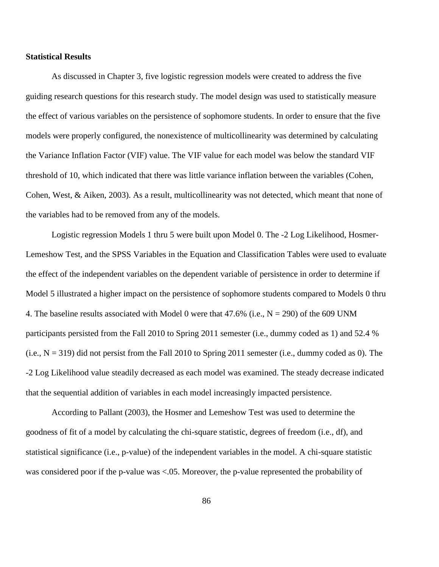## **Statistical Results**

As discussed in Chapter 3, five logistic regression models were created to address the five guiding research questions for this research study. The model design was used to statistically measure the effect of various variables on the persistence of sophomore students. In order to ensure that the five models were properly configured, the nonexistence of multicollinearity was determined by calculating the Variance Inflation Factor (VIF) value. The VIF value for each model was below the standard VIF threshold of 10, which indicated that there was little variance inflation between the variables (Cohen, Cohen, West, & Aiken, 2003). As a result, multicollinearity was not detected, which meant that none of the variables had to be removed from any of the models.

Logistic regression Models 1 thru 5 were built upon Model 0. The -2 Log Likelihood, Hosmer-Lemeshow Test, and the SPSS Variables in the Equation and Classification Tables were used to evaluate the effect of the independent variables on the dependent variable of persistence in order to determine if Model 5 illustrated a higher impact on the persistence of sophomore students compared to Models 0 thru 4. The baseline results associated with Model 0 were that  $47.6\%$  (i.e., N = 290) of the 609 UNM participants persisted from the Fall 2010 to Spring 2011 semester (i.e., dummy coded as 1) and 52.4 %  $(i.e., N = 319)$  did not persist from the Fall 2010 to Spring 2011 semester (i.e., dummy coded as 0). The -2 Log Likelihood value steadily decreased as each model was examined. The steady decrease indicated that the sequential addition of variables in each model increasingly impacted persistence.

According to Pallant (2003), the Hosmer and Lemeshow Test was used to determine the goodness of fit of a model by calculating the chi-square statistic, degrees of freedom (i.e., df), and statistical significance (i.e., p-value) of the independent variables in the model. A chi-square statistic was considered poor if the p-value was <.05. Moreover, the p-value represented the probability of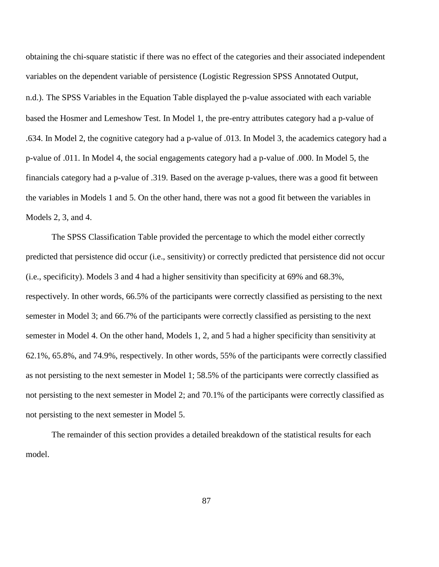obtaining the chi-square statistic if there was no effect of the categories and their associated independent variables on the dependent variable of persistence (Logistic Regression SPSS Annotated Output, n.d.). The SPSS Variables in the Equation Table displayed the p-value associated with each variable based the Hosmer and Lemeshow Test. In Model 1, the pre-entry attributes category had a p-value of .634. In Model 2, the cognitive category had a p-value of .013. In Model 3, the academics category had a p-value of .011. In Model 4, the social engagements category had a p-value of .000. In Model 5, the financials category had a p-value of .319. Based on the average p-values, there was a good fit between the variables in Models 1 and 5. On the other hand, there was not a good fit between the variables in Models 2, 3, and 4.

The SPSS Classification Table provided the percentage to which the model either correctly predicted that persistence did occur (i.e., sensitivity) or correctly predicted that persistence did not occur (i.e., specificity). Models 3 and 4 had a higher sensitivity than specificity at 69% and 68.3%, respectively. In other words, 66.5% of the participants were correctly classified as persisting to the next semester in Model 3; and 66.7% of the participants were correctly classified as persisting to the next semester in Model 4. On the other hand, Models 1, 2, and 5 had a higher specificity than sensitivity at 62.1%, 65.8%, and 74.9%, respectively. In other words, 55% of the participants were correctly classified as not persisting to the next semester in Model 1; 58.5% of the participants were correctly classified as not persisting to the next semester in Model 2; and 70.1% of the participants were correctly classified as not persisting to the next semester in Model 5.

The remainder of this section provides a detailed breakdown of the statistical results for each model.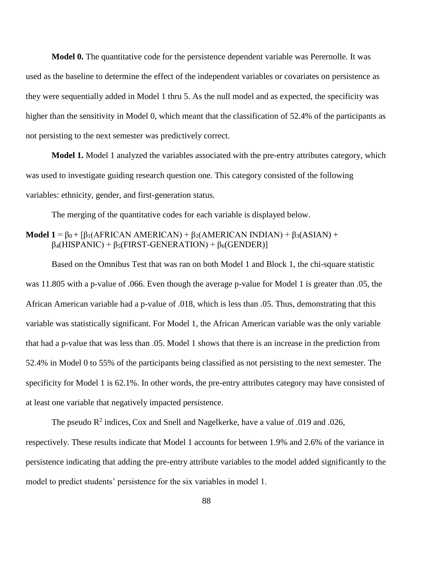**Model 0.** The quantitative code for the persistence dependent variable was Perernolle. It was used as the baseline to determine the effect of the independent variables or covariates on persistence as they were sequentially added in Model 1 thru 5. As the null model and as expected, the specificity was higher than the sensitivity in Model 0, which meant that the classification of 52.4% of the participants as not persisting to the next semester was predictively correct.

**Model 1.** Model 1 analyzed the variables associated with the pre-entry attributes category, which was used to investigate guiding research question one. This category consisted of the following variables: ethnicity, gender, and first-generation status.

The merging of the quantitative codes for each variable is displayed below.

# **Model 1** =  $β_0 + [β_1(AFRICAN AMERICAN) + β_2(AMERICAN INDIAN) + β_3(ASIAN) +$  $\beta_4(HISPANIC) + \beta_5(FIRST-GENERATION) + \beta_6(GENDER)$

Based on the Omnibus Test that was ran on both Model 1 and Block 1, the chi-square statistic was 11.805 with a p-value of .066. Even though the average p-value for Model 1 is greater than .05, the African American variable had a p-value of .018, which is less than .05. Thus, demonstrating that this variable was statistically significant. For Model 1, the African American variable was the only variable that had a p-value that was less than .05. Model 1 shows that there is an increase in the prediction from 52.4% in Model 0 to 55% of the participants being classified as not persisting to the next semester. The specificity for Model 1 is 62.1%. In other words, the pre-entry attributes category may have consisted of at least one variable that negatively impacted persistence.

The pseudo  $R^2$  indices, Cox and Snell and Nagelkerke, have a value of .019 and .026, respectively. These results indicate that Model 1 accounts for between 1.9% and 2.6% of the variance in persistence indicating that adding the pre-entry attribute variables to the model added significantly to the model to predict students' persistence for the six variables in model 1.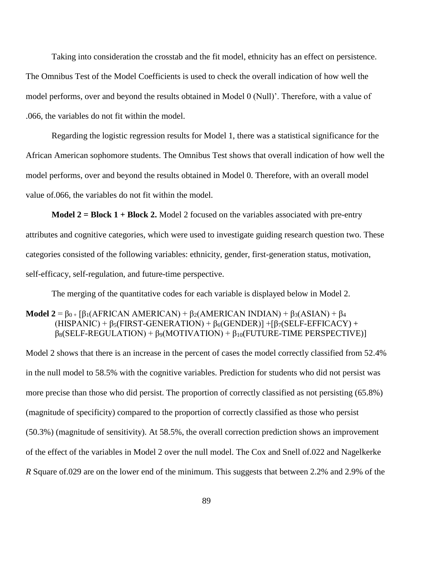Taking into consideration the crosstab and the fit model, ethnicity has an effect on persistence. The Omnibus Test of the Model Coefficients is used to check the overall indication of how well the model performs, over and beyond the results obtained in Model 0 (Null)'. Therefore, with a value of .066, the variables do not fit within the model.

Regarding the logistic regression results for Model 1, there was a statistical significance for the African American sophomore students. The Omnibus Test shows that overall indication of how well the model performs, over and beyond the results obtained in Model 0. Therefore, with an overall model value of.066, the variables do not fit within the model.

**Model 2 = Block 1 + Block 2.** Model 2 focused on the variables associated with pre-entry attributes and cognitive categories, which were used to investigate guiding research question two. These categories consisted of the following variables: ethnicity, gender, first-generation status, motivation, self-efficacy, self-regulation, and future-time perspective.

The merging of the quantitative codes for each variable is displayed below in Model 2.

# **Model 2** =  $\beta_{0+}$  [ $\beta_1$ (AFRICAN AMERICAN) +  $\beta_2$ (AMERICAN INDIAN) +  $\beta_3$ (ASIAN) +  $\beta_4$  $(HISPANIC) + \beta_5(FIRST-GENERATION) + \beta_6(GENDER) + \beta_7(SELF-EFFICACY) +$  $\beta_8(SELF-REGULATION) + \beta_9(MOTIVATION) + \beta_{10}(FUTURE-TIME PERSPECTIVE)$

Model 2 shows that there is an increase in the percent of cases the model correctly classified from 52.4% in the null model to 58.5% with the cognitive variables. Prediction for students who did not persist was more precise than those who did persist. The proportion of correctly classified as not persisting (65.8%) (magnitude of specificity) compared to the proportion of correctly classified as those who persist (50.3%) (magnitude of sensitivity). At 58.5%, the overall correction prediction shows an improvement of the effect of the variables in Model 2 over the null model. The Cox and Snell of.022 and Nagelkerke *R* Square of.029 are on the lower end of the minimum. This suggests that between 2.2% and 2.9% of the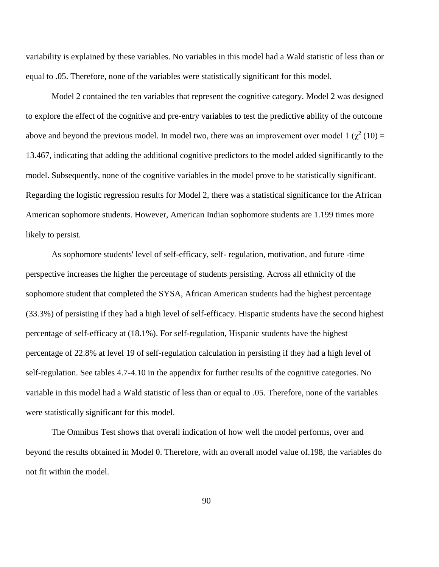variability is explained by these variables. No variables in this model had a Wald statistic of less than or equal to .05. Therefore, none of the variables were statistically significant for this model.

Model 2 contained the ten variables that represent the cognitive category. Model 2 was designed to explore the effect of the cognitive and pre-entry variables to test the predictive ability of the outcome above and beyond the previous model. In model two, there was an improvement over model  $1 (\chi^2 (10) =$ 13.467, indicating that adding the additional cognitive predictors to the model added significantly to the model. Subsequently, none of the cognitive variables in the model prove to be statistically significant. Regarding the logistic regression results for Model 2, there was a statistical significance for the African American sophomore students. However, American Indian sophomore students are 1.199 times more likely to persist.

As sophomore students' level of self-efficacy, self- regulation, motivation, and future -time perspective increases the higher the percentage of students persisting. Across all ethnicity of the sophomore student that completed the SYSA, African American students had the highest percentage (33.3%) of persisting if they had a high level of self-efficacy. Hispanic students have the second highest percentage of self-efficacy at (18.1%). For self-regulation, Hispanic students have the highest percentage of 22.8% at level 19 of self-regulation calculation in persisting if they had a high level of self-regulation. See tables 4.7-4.10 in the appendix for further results of the cognitive categories. No variable in this model had a Wald statistic of less than or equal to .05. Therefore, none of the variables were statistically significant for this model.

The Omnibus Test shows that overall indication of how well the model performs, over and beyond the results obtained in Model 0. Therefore, with an overall model value of.198, the variables do not fit within the model.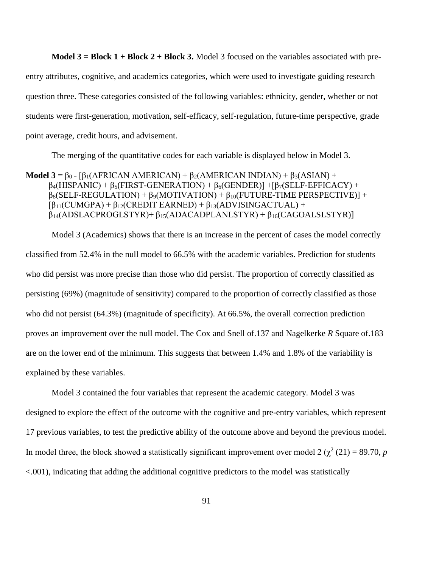**Model 3 = Block 1 + Block 2 + Block 3.** Model 3 focused on the variables associated with preentry attributes, cognitive, and academics categories, which were used to investigate guiding research question three. These categories consisted of the following variables: ethnicity, gender, whether or not students were first-generation, motivation, self-efficacy, self-regulation, future-time perspective, grade point average, credit hours, and advisement.

The merging of the quantitative codes for each variable is displayed below in Model 3.

**Model 3** =  $\beta_{0+}$  [ $\beta_1$ (AFRICAN AMERICAN) +  $\beta_2$ (AMERICAN INDIAN) +  $\beta_3$ (ASIAN) +  $\beta_4$ (HISPANIC) +  $\beta_5$ (FIRST-GENERATION) +  $\beta_6$ (GENDER)] + [ $\beta_7$ (SELF-EFFICACY) +  $\beta_8$ (SELF-REGULATION) +  $\beta_9$ (MOTIVATION) +  $\beta_{10}$ (FUTURE-TIME PERSPECTIVE)] +  $\beta_{11}(CUMGPA) + \beta_{12}(CREDIT EARNED) + \beta_{13}(ADVISINGACTUAL) +$  $\beta_{14}$ (ADSLACPROGLSTYR)+  $\beta_{15}$ (ADACADPLANLSTYR) +  $\beta_{16}$ (CAGOALSLSTYR)]

Model 3 (Academics) shows that there is an increase in the percent of cases the model correctly classified from 52.4% in the null model to 66.5% with the academic variables. Prediction for students who did persist was more precise than those who did persist. The proportion of correctly classified as persisting (69%) (magnitude of sensitivity) compared to the proportion of correctly classified as those who did not persist (64.3%) (magnitude of specificity). At 66.5%, the overall correction prediction proves an improvement over the null model. The Cox and Snell of.137 and Nagelkerke *R* Square of.183 are on the lower end of the minimum. This suggests that between 1.4% and 1.8% of the variability is explained by these variables.

Model 3 contained the four variables that represent the academic category. Model 3 was designed to explore the effect of the outcome with the cognitive and pre-entry variables, which represent 17 previous variables, to test the predictive ability of the outcome above and beyond the previous model. In model three, the block showed a statistically significant improvement over model  $2 (\chi^2 (21) = 89.70, p)$ <.001), indicating that adding the additional cognitive predictors to the model was statistically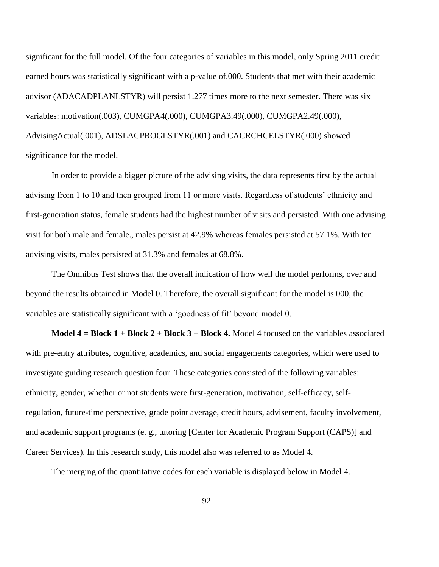significant for the full model. Of the four categories of variables in this model, only Spring 2011 credit earned hours was statistically significant with a p-value of.000. Students that met with their academic advisor (ADACADPLANLSTYR) will persist 1.277 times more to the next semester. There was six variables: motivation(.003), CUMGPA4(.000), CUMGPA3.49(.000), CUMGPA2.49(.000), AdvisingActual(.001), ADSLACPROGLSTYR(.001) and CACRCHCELSTYR(.000) showed significance for the model.

In order to provide a bigger picture of the advising visits, the data represents first by the actual advising from 1 to 10 and then grouped from 11 or more visits. Regardless of students' ethnicity and first-generation status, female students had the highest number of visits and persisted. With one advising visit for both male and female., males persist at 42.9% whereas females persisted at 57.1%. With ten advising visits, males persisted at 31.3% and females at 68.8%.

The Omnibus Test shows that the overall indication of how well the model performs, over and beyond the results obtained in Model 0. Therefore, the overall significant for the model is.000, the variables are statistically significant with a 'goodness of fit' beyond model 0.

**Model 4 = Block 1 + Block 2 + Block 3 + Block 4.** Model 4 focused on the variables associated with pre-entry attributes, cognitive, academics, and social engagements categories, which were used to investigate guiding research question four. These categories consisted of the following variables: ethnicity, gender, whether or not students were first-generation, motivation, self-efficacy, selfregulation, future-time perspective, grade point average, credit hours, advisement, faculty involvement, and academic support programs (e. g., tutoring [Center for Academic Program Support (CAPS)] and Career Services). In this research study, this model also was referred to as Model 4.

The merging of the quantitative codes for each variable is displayed below in Model 4.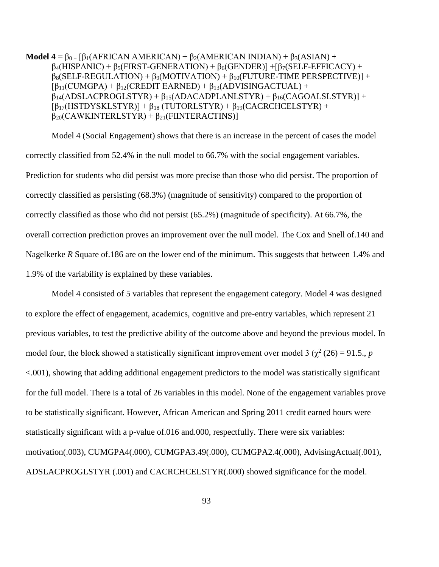**Model 4** =  $\beta_{0+}$  [ $\beta_1$ (AFRICAN AMERICAN) +  $\beta_2$ (AMERICAN INDIAN) +  $\beta_3$ (ASIAN) +  $\beta$ <sub>4</sub>(HISPANIC) +  $\beta$ <sub>5</sub>(FIRST-GENERATION) +  $\beta$ <sub>6</sub>(GENDER)] +  $\beta$ <sub>7</sub>(SELF-EFFICACY) +  $\beta_8$ (SELF-REGULATION) +  $\beta_9$ (MOTIVATION) +  $\beta_{10}$ (FUTURE-TIME PERSPECTIVE)] +  $\beta_{11}(CUMGPA) + \beta_{12}(CREDIT EARNED) + \beta_{13}(ADVISINGACTUAL) +$  $\beta_{14}$ (ADSLACPROGLSTYR) +  $\beta_{15}$ (ADACADPLANLSTYR) +  $\beta_{16}$ (CAGOALSLSTYR)] +  $[\beta_{17}(HSTDYSKLSTYR)] + \beta_{18} (TUTORLSTYR) + \beta_{19}(CACRCHCELSTYR) +$  $\beta_{20}$ (CAWKINTERLSTYR) +  $\beta_{21}$ (FIINTERACTINS)]

Model 4 (Social Engagement) shows that there is an increase in the percent of cases the model correctly classified from 52.4% in the null model to 66.7% with the social engagement variables. Prediction for students who did persist was more precise than those who did persist. The proportion of correctly classified as persisting (68.3%) (magnitude of sensitivity) compared to the proportion of correctly classified as those who did not persist (65.2%) (magnitude of specificity). At 66.7%, the overall correction prediction proves an improvement over the null model. The Cox and Snell of.140 and Nagelkerke *R* Square of.186 are on the lower end of the minimum. This suggests that between 1.4% and 1.9% of the variability is explained by these variables.

Model 4 consisted of 5 variables that represent the engagement category. Model 4 was designed to explore the effect of engagement, academics, cognitive and pre-entry variables, which represent 21 previous variables, to test the predictive ability of the outcome above and beyond the previous model. In model four, the block showed a statistically significant improvement over model 3 ( $\chi^2$  (26) = 91.5., *p* <.001), showing that adding additional engagement predictors to the model was statistically significant for the full model. There is a total of 26 variables in this model. None of the engagement variables prove to be statistically significant. However, African American and Spring 2011 credit earned hours were statistically significant with a p-value of.016 and.000, respectfully. There were six variables: motivation(.003), CUMGPA4(.000), CUMGPA3.49(.000), CUMGPA2.4(.000), AdvisingActual(.001), ADSLACPROGLSTYR (.001) and CACRCHCELSTYR(.000) showed significance for the model.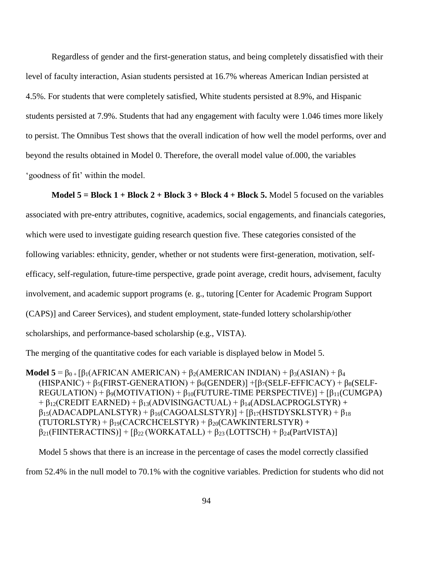Regardless of gender and the first-generation status, and being completely dissatisfied with their level of faculty interaction, Asian students persisted at 16.7% whereas American Indian persisted at 4.5%. For students that were completely satisfied, White students persisted at 8.9%, and Hispanic students persisted at 7.9%. Students that had any engagement with faculty were 1.046 times more likely to persist. The Omnibus Test shows that the overall indication of how well the model performs, over and beyond the results obtained in Model 0. Therefore, the overall model value of.000, the variables 'goodness of fit' within the model.

**Model 5 = Block 1 + Block 2 + Block 3 + Block 4 + Block 5.** Model 5 focused on the variables associated with pre-entry attributes, cognitive, academics, social engagements, and financials categories, which were used to investigate guiding research question five. These categories consisted of the following variables: ethnicity, gender, whether or not students were first-generation, motivation, selfefficacy, self-regulation, future-time perspective, grade point average, credit hours, advisement, faculty involvement, and academic support programs (e. g., tutoring [Center for Academic Program Support (CAPS)] and Career Services), and student employment, state-funded lottery scholarship/other scholarships, and performance-based scholarship (e.g., VISTA).

The merging of the quantitative codes for each variable is displayed below in Model 5.

**Model 5** =  $\beta_{0+}$  [β<sub>1</sub>(AFRICAN AMERICAN) + β<sub>2</sub>(AMERICAN INDIAN) + β<sub>3</sub>(ASIAN) + β<sub>4</sub>  $(HISPANIC) + \beta_5(FIRST-GENERATION) + \beta_6(GENDER) + \beta_7(SELF-EFFICACY) + \beta_8(SELF-EIFICACY)$ REGULATION) +  $\beta_9(MOTIVATION) + \beta_{10}(FUTURE-TIME PERSPECTIVE)] + [\beta_{11}(CUMGPA)$  $+ \beta_{12}(CREDIT EARNED) + \beta_{13}(ADVISINGACTUAL) + \beta_{14}(ADSLACPROGLSTYR) +$  $\beta_{15}(ADACADPLANLSTYR) + \beta_{16}(CAGOALSLSTYR) + [\beta_{17}(HSTDYSKLSTYR) + \beta_{18}$  $(TUTORLSTYR) + \beta_{19}(CACRCHCELSTYR) + \beta_{20}(CAWKINTERLSTYR) +$  $\beta_{21}$ (FIINTERACTINS)] +  $\beta_{22}$  (WORKATALL) +  $\beta_{23}$  (LOTTSCH) +  $\beta_{24}$ (PartVISTA)]

Model 5 shows that there is an increase in the percentage of cases the model correctly classified from 52.4% in the null model to 70.1% with the cognitive variables. Prediction for students who did not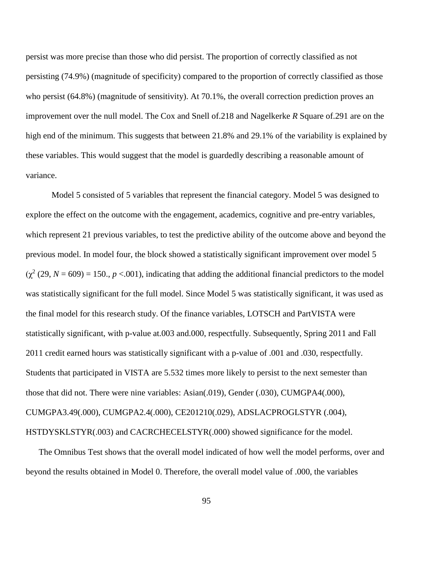persist was more precise than those who did persist. The proportion of correctly classified as not persisting (74.9%) (magnitude of specificity) compared to the proportion of correctly classified as those who persist (64.8%) (magnitude of sensitivity). At 70.1%, the overall correction prediction proves an improvement over the null model. The Cox and Snell of.218 and Nagelkerke *R* Square of.291 are on the high end of the minimum. This suggests that between 21.8% and 29.1% of the variability is explained by these variables. This would suggest that the model is guardedly describing a reasonable amount of variance.

Model 5 consisted of 5 variables that represent the financial category. Model 5 was designed to explore the effect on the outcome with the engagement, academics, cognitive and pre-entry variables, which represent 21 previous variables, to test the predictive ability of the outcome above and beyond the previous model. In model four, the block showed a statistically significant improvement over model 5  $(\chi^2 (29, N = 609) = 150., p < .001)$ , indicating that adding the additional financial predictors to the model was statistically significant for the full model. Since Model 5 was statistically significant, it was used as the final model for this research study. Of the finance variables, LOTSCH and PartVISTA were statistically significant, with p-value at.003 and.000, respectfully. Subsequently, Spring 2011 and Fall 2011 credit earned hours was statistically significant with a p-value of .001 and .030, respectfully. Students that participated in VISTA are 5.532 times more likely to persist to the next semester than those that did not. There were nine variables: Asian(.019), Gender (.030), CUMGPA4(.000), CUMGPA3.49(.000), CUMGPA2.4(.000), CE201210(.029), ADSLACPROGLSTYR (.004), HSTDYSKLSTYR(.003) and CACRCHECELSTYR(.000) showed significance for the model.

The Omnibus Test shows that the overall model indicated of how well the model performs, over and beyond the results obtained in Model 0. Therefore, the overall model value of .000, the variables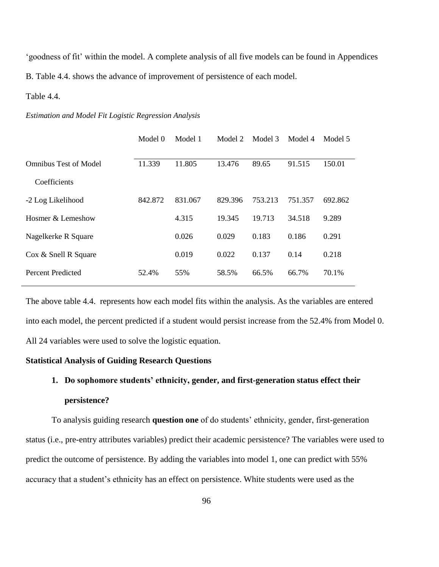'goodness of fit' within the model. A complete analysis of all five models can be found in Appendices B. Table 4.4. shows the advance of improvement of persistence of each model.

Table 4.4.

#### *Estimation and Model Fit Logistic Regression Analysis*

|                              | Model 0 | Model 1 | Model 2 | Model 3 | Model 4 | Model 5 |
|------------------------------|---------|---------|---------|---------|---------|---------|
| <b>Omnibus Test of Model</b> | 11.339  | 11.805  | 13.476  | 89.65   | 91.515  | 150.01  |
| Coefficients                 |         |         |         |         |         |         |
| -2 Log Likelihood            | 842.872 | 831.067 | 829.396 | 753.213 | 751.357 | 692.862 |
| Hosmer & Lemeshow            |         | 4.315   | 19.345  | 19.713  | 34.518  | 9.289   |
| Nagelkerke R Square          |         | 0.026   | 0.029   | 0.183   | 0.186   | 0.291   |
| Cox & Snell R Square         |         | 0.019   | 0.022   | 0.137   | 0.14    | 0.218   |
| <b>Percent Predicted</b>     | 52.4%   | 55%     | 58.5%   | 66.5%   | 66.7%   | 70.1%   |
|                              |         |         |         |         |         |         |

The above table 4.4. represents how each model fits within the analysis. As the variables are entered into each model, the percent predicted if a student would persist increase from the 52.4% from Model 0. All 24 variables were used to solve the logistic equation.

## **Statistical Analysis of Guiding Research Questions**

# **1. Do sophomore students' ethnicity, gender, and first-generation status effect their persistence?**

To analysis guiding research **question one** of do students' ethnicity, gender, first-generation status (i.e., pre-entry attributes variables) predict their academic persistence? The variables were used to predict the outcome of persistence. By adding the variables into model 1, one can predict with 55% accuracy that a student's ethnicity has an effect on persistence. White students were used as the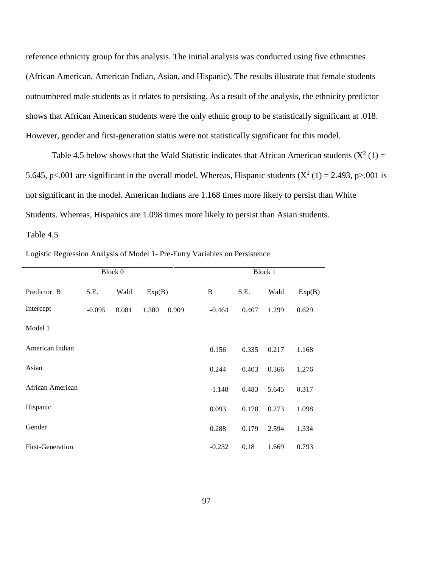reference ethnicity group for this analysis. The initial analysis was conducted using five ethnicities (African American, American Indian, Asian, and Hispanic). The results illustrate that female students outnumbered male students as it relates to persisting. As a result of the analysis, the ethnicity predictor shows that African American students were the only ethnic group to be statistically significant at .018. However, gender and first-generation status were not statistically significant for this model.

Table 4.5 below shows that the Wald Statistic indicates that African American students  $(X^2(1) =$ 5.645, p<.001 are significant in the overall model. Whereas, Hispanic students  $(X^2(1) = 2.493, p > .001$  is not significant in the model. American Indians are 1.168 times more likely to persist than White Students. Whereas, Hispanics are 1.098 times more likely to persist than Asian students.

Table 4.5

| Block 0                 |          |       |        | Block 1 |          |       |       |        |
|-------------------------|----------|-------|--------|---------|----------|-------|-------|--------|
| Predictor B             | S.E.     | Wald  | Exp(B) |         | B        | S.E.  | Wald  | Exp(B) |
| Intercept               | $-0.095$ | 0.081 | 1.380  | 0.909   | $-0.464$ | 0.407 | 1.299 | 0.629  |
| Model 1                 |          |       |        |         |          |       |       |        |
| American Indian         |          |       |        |         | 0.156    | 0.335 | 0.217 | 1.168  |
| Asian                   |          |       |        |         | 0.244    | 0.403 | 0.366 | 1.276  |
| African American        |          |       |        |         | $-1.148$ | 0.483 | 5.645 | 0.317  |
| Hispanic                |          |       |        |         | 0.093    | 0.178 | 0.273 | 1.098  |
| Gender                  |          |       |        |         | 0.288    | 0.179 | 2.594 | 1.334  |
| <b>First-Generation</b> |          |       |        |         | $-0.232$ | 0.18  | 1.669 | 0.793  |

Logistic Regression Analysis of Model 1- Pre-Entry Variables on Persistence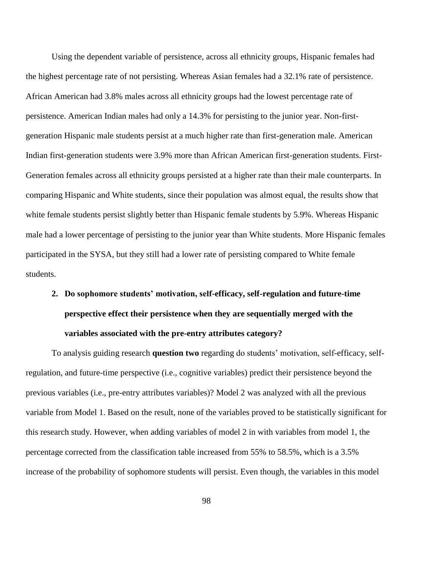Using the dependent variable of persistence, across all ethnicity groups, Hispanic females had the highest percentage rate of not persisting. Whereas Asian females had a 32.1% rate of persistence. African American had 3.8% males across all ethnicity groups had the lowest percentage rate of persistence. American Indian males had only a 14.3% for persisting to the junior year. Non-firstgeneration Hispanic male students persist at a much higher rate than first-generation male. American Indian first-generation students were 3.9% more than African American first-generation students. First-Generation females across all ethnicity groups persisted at a higher rate than their male counterparts. In comparing Hispanic and White students, since their population was almost equal, the results show that white female students persist slightly better than Hispanic female students by 5.9%. Whereas Hispanic male had a lower percentage of persisting to the junior year than White students. More Hispanic females participated in the SYSA, but they still had a lower rate of persisting compared to White female students.

**2. Do sophomore students' motivation, self-efficacy, self-regulation and future-time perspective effect their persistence when they are sequentially merged with the variables associated with the pre-entry attributes category?**

To analysis guiding research **question two** regarding do students' motivation, self-efficacy, selfregulation, and future-time perspective (i.e., cognitive variables) predict their persistence beyond the previous variables (i.e., pre-entry attributes variables)? Model 2 was analyzed with all the previous variable from Model 1. Based on the result, none of the variables proved to be statistically significant for this research study. However, when adding variables of model 2 in with variables from model 1, the percentage corrected from the classification table increased from 55% to 58.5%, which is a 3.5% increase of the probability of sophomore students will persist. Even though, the variables in this model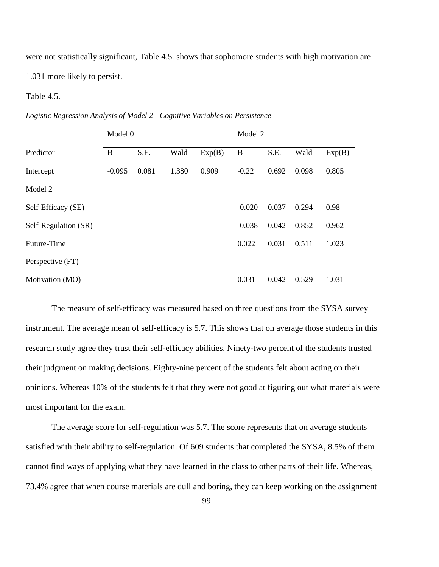were not statistically significant, Table 4.5. shows that sophomore students with high motivation are 1.031 more likely to persist.

#### Table 4.5.

|                      | Model 0  |       |       |        | Model 2  |       |       |        |  |  |  |
|----------------------|----------|-------|-------|--------|----------|-------|-------|--------|--|--|--|
| Predictor            | B        | S.E.  | Wald  | Exp(B) | B        | S.E.  | Wald  | Exp(B) |  |  |  |
| Intercept            | $-0.095$ | 0.081 | 1.380 | 0.909  | $-0.22$  | 0.692 | 0.098 | 0.805  |  |  |  |
| Model 2              |          |       |       |        |          |       |       |        |  |  |  |
| Self-Efficacy (SE)   |          |       |       |        | $-0.020$ | 0.037 | 0.294 | 0.98   |  |  |  |
| Self-Regulation (SR) |          |       |       |        | $-0.038$ | 0.042 | 0.852 | 0.962  |  |  |  |
| Future-Time          |          |       |       |        | 0.022    | 0.031 | 0.511 | 1.023  |  |  |  |
| Perspective (FT)     |          |       |       |        |          |       |       |        |  |  |  |
| Motivation (MO)      |          |       |       |        | 0.031    | 0.042 | 0.529 | 1.031  |  |  |  |

*Logistic Regression Analysis of Model 2 - Cognitive Variables on Persistence*

The measure of self-efficacy was measured based on three questions from the SYSA survey instrument. The average mean of self-efficacy is 5.7. This shows that on average those students in this research study agree they trust their self-efficacy abilities. Ninety-two percent of the students trusted their judgment on making decisions. Eighty-nine percent of the students felt about acting on their opinions. Whereas 10% of the students felt that they were not good at figuring out what materials were most important for the exam.

The average score for self-regulation was 5.7. The score represents that on average students satisfied with their ability to self-regulation. Of 609 students that completed the SYSA, 8.5% of them cannot find ways of applying what they have learned in the class to other parts of their life. Whereas, 73.4% agree that when course materials are dull and boring, they can keep working on the assignment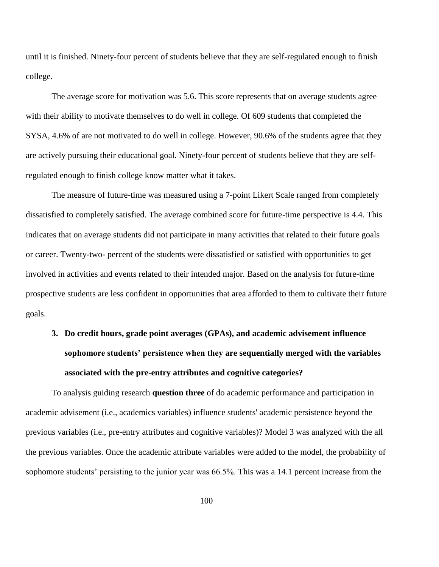until it is finished. Ninety-four percent of students believe that they are self-regulated enough to finish college.

The average score for motivation was 5.6. This score represents that on average students agree with their ability to motivate themselves to do well in college. Of 609 students that completed the SYSA, 4.6% of are not motivated to do well in college. However, 90.6% of the students agree that they are actively pursuing their educational goal. Ninety-four percent of students believe that they are selfregulated enough to finish college know matter what it takes.

The measure of future-time was measured using a 7-point Likert Scale ranged from completely dissatisfied to completely satisfied. The average combined score for future-time perspective is 4.4. This indicates that on average students did not participate in many activities that related to their future goals or career. Twenty-two- percent of the students were dissatisfied or satisfied with opportunities to get involved in activities and events related to their intended major. Based on the analysis for future-time prospective students are less confident in opportunities that area afforded to them to cultivate their future goals.

## **3. Do credit hours, grade point averages (GPAs), and academic advisement influence sophomore students' persistence when they are sequentially merged with the variables associated with the pre-entry attributes and cognitive categories?**

To analysis guiding research **question three** of do academic performance and participation in academic advisement (i.e., academics variables) influence students' academic persistence beyond the previous variables (i.e., pre-entry attributes and cognitive variables)? Model 3 was analyzed with the all the previous variables. Once the academic attribute variables were added to the model, the probability of sophomore students' persisting to the junior year was 66.5%. This was a 14.1 percent increase from the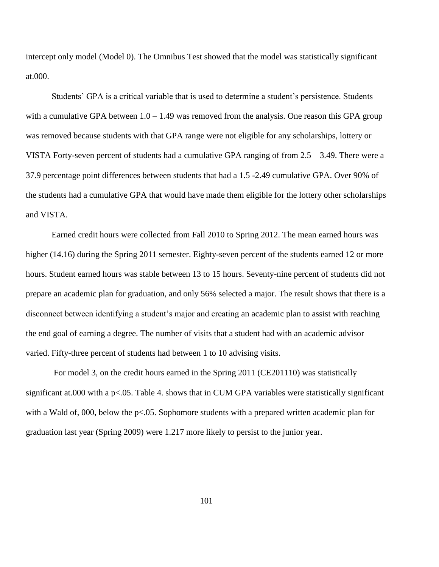intercept only model (Model 0). The Omnibus Test showed that the model was statistically significant at.000.

Students' GPA is a critical variable that is used to determine a student's persistence. Students with a cumulative GPA between  $1.0 - 1.49$  was removed from the analysis. One reason this GPA group was removed because students with that GPA range were not eligible for any scholarships, lottery or VISTA Forty-seven percent of students had a cumulative GPA ranging of from 2.5 – 3.49. There were a 37.9 percentage point differences between students that had a 1.5 -2.49 cumulative GPA. Over 90% of the students had a cumulative GPA that would have made them eligible for the lottery other scholarships and VISTA.

Earned credit hours were collected from Fall 2010 to Spring 2012. The mean earned hours was higher (14.16) during the Spring 2011 semester. Eighty-seven percent of the students earned 12 or more hours. Student earned hours was stable between 13 to 15 hours. Seventy-nine percent of students did not prepare an academic plan for graduation, and only 56% selected a major. The result shows that there is a disconnect between identifying a student's major and creating an academic plan to assist with reaching the end goal of earning a degree. The number of visits that a student had with an academic advisor varied. Fifty-three percent of students had between 1 to 10 advising visits.

For model 3, on the credit hours earned in the Spring 2011 (CE201110) was statistically significant at.000 with a p<.05. Table 4. shows that in CUM GPA variables were statistically significant with a Wald of, 000, below the p<.05. Sophomore students with a prepared written academic plan for graduation last year (Spring 2009) were 1.217 more likely to persist to the junior year.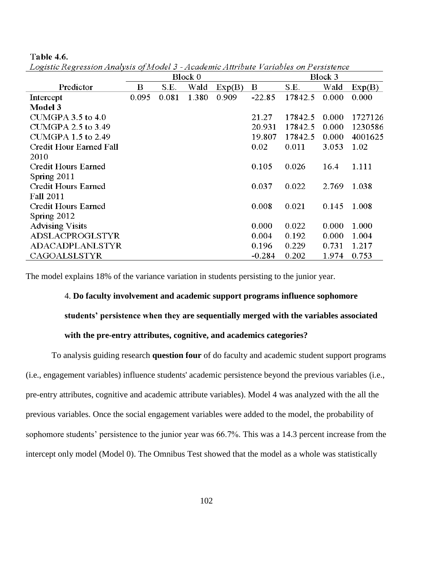|                            |          |       | Block 0 |        | Block 3  |         |       |         |  |  |  |
|----------------------------|----------|-------|---------|--------|----------|---------|-------|---------|--|--|--|
| Predictor                  | $\bf{B}$ | S.E.  | Wald    | Exp(B) | $\bf{B}$ | S.E.    | Wald  | Exp(B)  |  |  |  |
| Intercept                  | 0.095    | 0.081 | 1.380   | 0.909  | $-22.85$ | 17842.5 | 0.000 | 0.000   |  |  |  |
| Model 3                    |          |       |         |        |          |         |       |         |  |  |  |
| $CUMGPA$ 3.5 to 4.0        |          |       |         |        | 21.27    | 17842.5 | 0.000 | 1727126 |  |  |  |
| <b>CUMGPA 2.5 to 3.49</b>  |          |       |         |        | 20.931   | 17842.5 | 0.000 | 1230586 |  |  |  |
| <b>CUMGPA 1.5 to 2.49</b>  |          |       |         |        | 19.807   | 17842.5 | 0.000 | 4001625 |  |  |  |
| Credit Hour Earned Fall    |          |       |         |        | 0.02     | 0.011   | 3.053 | 1.02    |  |  |  |
| 2010                       |          |       |         |        |          |         |       |         |  |  |  |
| Credit Hours Earned        |          |       |         |        | 0.105    | 0.026   | 16.4  | 1.111   |  |  |  |
| Spring 2011                |          |       |         |        |          |         |       |         |  |  |  |
| <b>Credit Hours Earned</b> |          |       |         |        | 0.037    | 0.022   | 2.769 | 1.038   |  |  |  |
| Fall 2011                  |          |       |         |        |          |         |       |         |  |  |  |
| Credit Hours Earned        |          |       |         |        | 0.008    | 0.021   | 0.145 | 1.008   |  |  |  |
| Spring 2012                |          |       |         |        |          |         |       |         |  |  |  |
| <b>Advising Visits</b>     |          |       |         |        | 0.000    | 0.022   | 0.000 | 1.000   |  |  |  |
| <b>ADSLACPROGLSTYR</b>     |          |       |         |        | 0.004    | 0.192   | 0.000 | 1.004   |  |  |  |
| <b>ADACADPLANLSTYR</b>     |          |       |         |        | 0.196    | 0.229   | 0.731 | 1.217   |  |  |  |
| CAGOALSLSTYR               |          |       |         |        | $-0.284$ | 0.202   | 1.974 | 0.753   |  |  |  |

Logistic Regression Analysis of Model 3 - Academic Attribute Variables on Persistence

**Table 4.6.** 

The model explains 18% of the variance variation in students persisting to the junior year.

## 4. **Do faculty involvement and academic support programs influence sophomore**

**students' persistence when they are sequentially merged with the variables associated** 

## **with the pre-entry attributes, cognitive, and academics categories?**

To analysis guiding research **question four** of do faculty and academic student support programs (i.e., engagement variables) influence students' academic persistence beyond the previous variables (i.e., pre-entry attributes, cognitive and academic attribute variables). Model 4 was analyzed with the all the previous variables. Once the social engagement variables were added to the model, the probability of sophomore students' persistence to the junior year was 66.7%. This was a 14.3 percent increase from the intercept only model (Model 0). The Omnibus Test showed that the model as a whole was statistically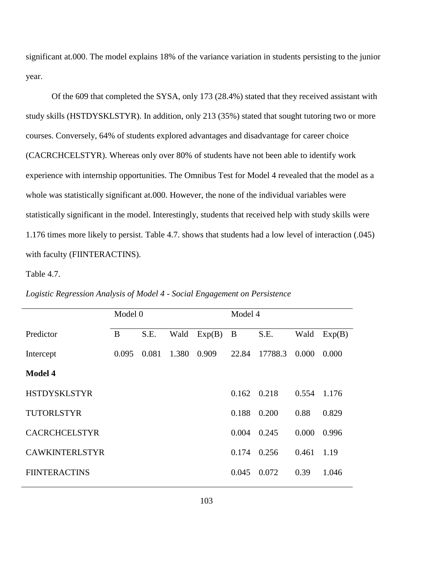significant at.000. The model explains 18% of the variance variation in students persisting to the junior year.

Of the 609 that completed the SYSA, only 173 (28.4%) stated that they received assistant with study skills (HSTDYSKLSTYR). In addition, only 213 (35%) stated that sought tutoring two or more courses. Conversely, 64% of students explored advantages and disadvantage for career choice (CACRCHCELSTYR). Whereas only over 80% of students have not been able to identify work experience with internship opportunities. The Omnibus Test for Model 4 revealed that the model as a whole was statistically significant at.000. However, the none of the individual variables were statistically significant in the model. Interestingly, students that received help with study skills were 1.176 times more likely to persist. Table 4.7. shows that students had a low level of interaction (.045) with faculty (FIINTERACTINS).

Table 4.7.

|                       | Model 0 |       |       |        | Model 4 |         |       |        |  |  |  |
|-----------------------|---------|-------|-------|--------|---------|---------|-------|--------|--|--|--|
| Predictor             | B       | S.E.  | Wald  | Exp(B) | B       | S.E.    | Wald  | Exp(B) |  |  |  |
| Intercept             | 0.095   | 0.081 | 1.380 | 0.909  | 22.84   | 17788.3 | 0.000 | 0.000  |  |  |  |
| <b>Model 4</b>        |         |       |       |        |         |         |       |        |  |  |  |
| <b>HSTDYSKLSTYR</b>   |         |       |       |        | 0.162   | 0.218   | 0.554 | 1.176  |  |  |  |
| <b>TUTORLSTYR</b>     |         |       |       |        | 0.188   | 0.200   | 0.88  | 0.829  |  |  |  |
| <b>CACRCHCELSTYR</b>  |         |       |       |        | 0.004   | 0.245   | 0.000 | 0.996  |  |  |  |
| <b>CAWKINTERLSTYR</b> |         |       |       |        | 0.174   | 0.256   | 0.461 | 1.19   |  |  |  |
| <b>FIINTERACTINS</b>  |         |       |       |        | 0.045   | 0.072   | 0.39  | 1.046  |  |  |  |
|                       |         |       |       |        |         |         |       |        |  |  |  |

*Logistic Regression Analysis of Model 4 - Social Engagement on Persistence*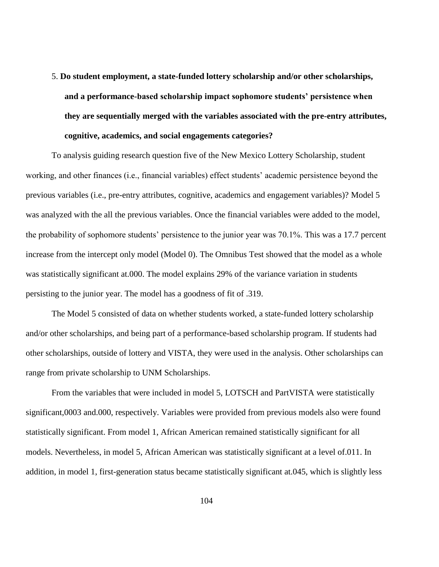5. **Do student employment, a state-funded lottery scholarship and/or other scholarships, and a performance-based scholarship impact sophomore students' persistence when they are sequentially merged with the variables associated with the pre-entry attributes, cognitive, academics, and social engagements categories?**

To analysis guiding research question five of the New Mexico Lottery Scholarship, student working, and other finances (i.e., financial variables) effect students' academic persistence beyond the previous variables (i.e., pre-entry attributes, cognitive, academics and engagement variables)? Model 5 was analyzed with the all the previous variables. Once the financial variables were added to the model, the probability of sophomore students' persistence to the junior year was 70.1%. This was a 17.7 percent increase from the intercept only model (Model 0). The Omnibus Test showed that the model as a whole was statistically significant at.000. The model explains 29% of the variance variation in students persisting to the junior year. The model has a goodness of fit of .319.

The Model 5 consisted of data on whether students worked, a state-funded lottery scholarship and/or other scholarships, and being part of a performance-based scholarship program. If students had other scholarships, outside of lottery and VISTA, they were used in the analysis. Other scholarships can range from private scholarship to UNM Scholarships.

From the variables that were included in model 5, LOTSCH and PartVISTA were statistically significant,0003 and.000, respectively. Variables were provided from previous models also were found statistically significant. From model 1, African American remained statistically significant for all models. Nevertheless, in model 5, African American was statistically significant at a level of.011. In addition, in model 1, first-generation status became statistically significant at.045, which is slightly less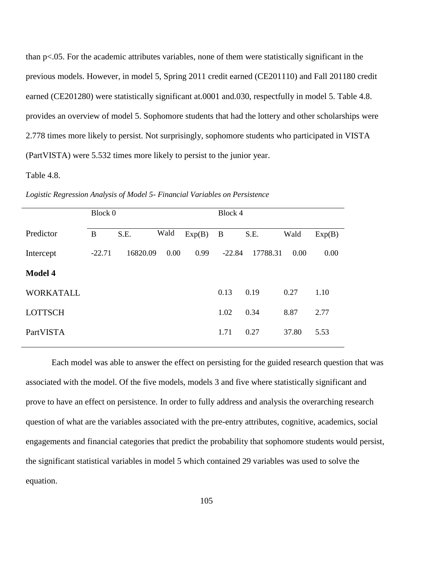than p<.05. For the academic attributes variables, none of them were statistically significant in the previous models. However, in model 5, Spring 2011 credit earned (CE201110) and Fall 201180 credit earned (CE201280) were statistically significant at.0001 and.030, respectfully in model 5. Table 4.8. provides an overview of model 5. Sophomore students that had the lottery and other scholarships were 2.778 times more likely to persist. Not surprisingly, sophomore students who participated in VISTA (PartVISTA) were 5.532 times more likely to persist to the junior year.

Table 4.8.

|                  | Block 0  |          |      |        | Block 4  |          |       |        |  |  |  |  |
|------------------|----------|----------|------|--------|----------|----------|-------|--------|--|--|--|--|
| Predictor        | B        | S.E.     | Wald | Exp(B) | B        | S.E.     | Wald  | Exp(B) |  |  |  |  |
| Intercept        | $-22.71$ | 16820.09 | 0.00 | 0.99   | $-22.84$ | 17788.31 | 0.00  | 0.00   |  |  |  |  |
| <b>Model 4</b>   |          |          |      |        |          |          |       |        |  |  |  |  |
| <b>WORKATALL</b> |          |          |      |        | 0.13     | 0.19     | 0.27  | 1.10   |  |  |  |  |
| <b>LOTTSCH</b>   |          |          |      |        | 1.02     | 0.34     | 8.87  | 2.77   |  |  |  |  |
| PartVISTA        |          |          |      |        | 1.71     | 0.27     | 37.80 | 5.53   |  |  |  |  |
|                  |          |          |      |        |          |          |       |        |  |  |  |  |

*Logistic Regression Analysis of Model 5- Financial Variables on Persistence*

Each model was able to answer the effect on persisting for the guided research question that was associated with the model. Of the five models, models 3 and five where statistically significant and prove to have an effect on persistence. In order to fully address and analysis the overarching research question of what are the variables associated with the pre-entry attributes, cognitive, academics, social engagements and financial categories that predict the probability that sophomore students would persist, the significant statistical variables in model 5 which contained 29 variables was used to solve the equation.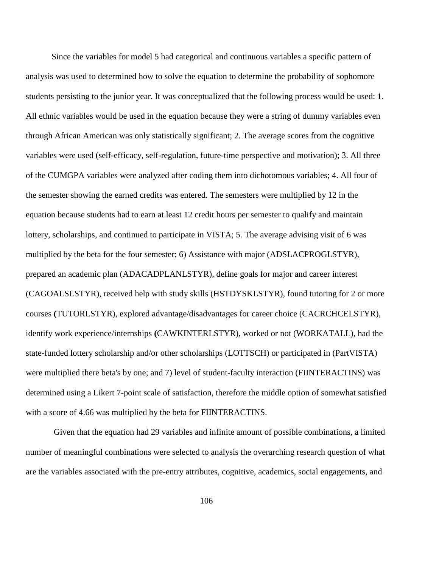Since the variables for model 5 had categorical and continuous variables a specific pattern of analysis was used to determined how to solve the equation to determine the probability of sophomore students persisting to the junior year. It was conceptualized that the following process would be used: 1. All ethnic variables would be used in the equation because they were a string of dummy variables even through African American was only statistically significant; 2. The average scores from the cognitive variables were used (self-efficacy, self-regulation, future-time perspective and motivation); 3. All three of the CUMGPA variables were analyzed after coding them into dichotomous variables; 4. All four of the semester showing the earned credits was entered. The semesters were multiplied by 12 in the equation because students had to earn at least 12 credit hours per semester to qualify and maintain lottery, scholarships, and continued to participate in VISTA; 5. The average advising visit of 6 was multiplied by the beta for the four semester; 6) Assistance with major (ADSLACPROGLSTYR), prepared an academic plan (ADACADPLANLSTYR), define goals for major and career interest (CAGOALSLSTYR), received help with study skills (HSTDYSKLSTYR), found tutoring for 2 or more courses **(**TUTORLSTYR), explored advantage/disadvantages for career choice (CACRCHCELSTYR), identify work experience/internships **(**CAWKINTERLSTYR), worked or not (WORKATALL), had the state-funded lottery scholarship and/or other scholarships (LOTTSCH) or participated in (PartVISTA) were multiplied there beta's by one; and 7) level of student-faculty interaction (FIINTERACTINS) was determined using a Likert 7-point scale of satisfaction, therefore the middle option of somewhat satisfied with a score of 4.66 was multiplied by the beta for FIINTERACTINS.

Given that the equation had 29 variables and infinite amount of possible combinations, a limited number of meaningful combinations were selected to analysis the overarching research question of what are the variables associated with the pre-entry attributes, cognitive, academics, social engagements, and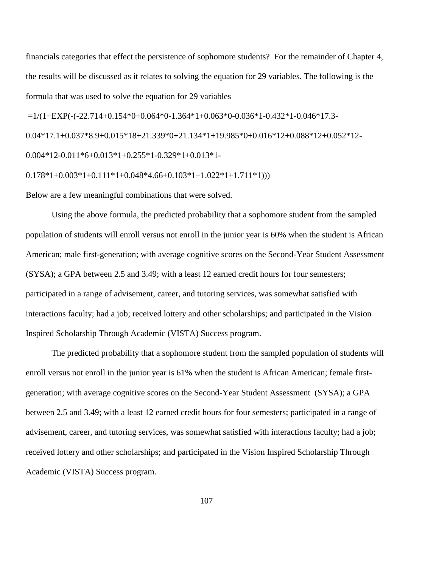financials categories that effect the persistence of sophomore students? For the remainder of Chapter 4, the results will be discussed as it relates to solving the equation for 29 variables. The following is the formula that was used to solve the equation for 29 variables

 $=1/(1+EXP(-(22.714+0.154*0+0.064*0-1.364*1+0.063*0-0.036*1-0.432*1-0.046*17.3-$ 

0.04\*17.1+0.037\*8.9+0.015\*18+21.339\*0+21.134\*1+19.985\*0+0.016\*12+0.088\*12+0.052\*12-

0.004\*12-0.011\*6+0.013\*1+0.255\*1-0.329\*1+0.013\*1-

 $0.178*1+0.003*1+0.111*1+0.048*4.66+0.103*1+1.022*1+1.711*1))$ 

Below are a few meaningful combinations that were solved.

Using the above formula, the predicted probability that a sophomore student from the sampled population of students will enroll versus not enroll in the junior year is 60% when the student is African American; male first-generation; with average cognitive scores on the Second-Year Student Assessment (SYSA); a GPA between 2.5 and 3.49; with a least 12 earned credit hours for four semesters; participated in a range of advisement, career, and tutoring services, was somewhat satisfied with interactions faculty; had a job; received lottery and other scholarships; and participated in the Vision Inspired Scholarship Through Academic (VISTA) Success program.

The predicted probability that a sophomore student from the sampled population of students will enroll versus not enroll in the junior year is 61% when the student is African American; female firstgeneration; with average cognitive scores on the Second-Year Student Assessment (SYSA); a GPA between 2.5 and 3.49; with a least 12 earned credit hours for four semesters; participated in a range of advisement, career, and tutoring services, was somewhat satisfied with interactions faculty; had a job; received lottery and other scholarships; and participated in the Vision Inspired Scholarship Through Academic (VISTA) Success program.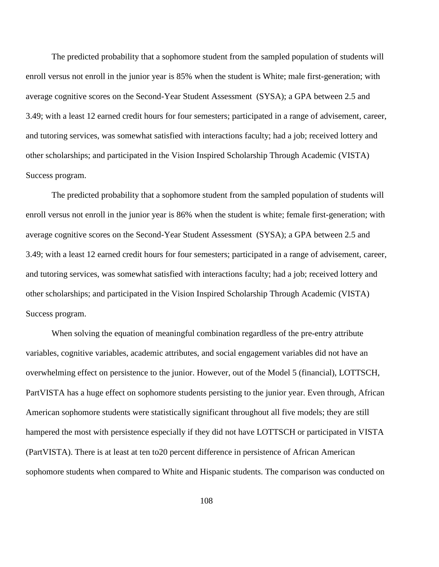The predicted probability that a sophomore student from the sampled population of students will enroll versus not enroll in the junior year is 85% when the student is White; male first-generation; with average cognitive scores on the Second-Year Student Assessment (SYSA); a GPA between 2.5 and 3.49; with a least 12 earned credit hours for four semesters; participated in a range of advisement, career, and tutoring services, was somewhat satisfied with interactions faculty; had a job; received lottery and other scholarships; and participated in the Vision Inspired Scholarship Through Academic (VISTA) Success program.

The predicted probability that a sophomore student from the sampled population of students will enroll versus not enroll in the junior year is 86% when the student is white; female first-generation; with average cognitive scores on the Second-Year Student Assessment (SYSA); a GPA between 2.5 and 3.49; with a least 12 earned credit hours for four semesters; participated in a range of advisement, career, and tutoring services, was somewhat satisfied with interactions faculty; had a job; received lottery and other scholarships; and participated in the Vision Inspired Scholarship Through Academic (VISTA) Success program.

When solving the equation of meaningful combination regardless of the pre-entry attribute variables, cognitive variables, academic attributes, and social engagement variables did not have an overwhelming effect on persistence to the junior. However, out of the Model 5 (financial), LOTTSCH, PartVISTA has a huge effect on sophomore students persisting to the junior year. Even through, African American sophomore students were statistically significant throughout all five models; they are still hampered the most with persistence especially if they did not have LOTTSCH or participated in VISTA (PartVISTA). There is at least at ten to20 percent difference in persistence of African American sophomore students when compared to White and Hispanic students. The comparison was conducted on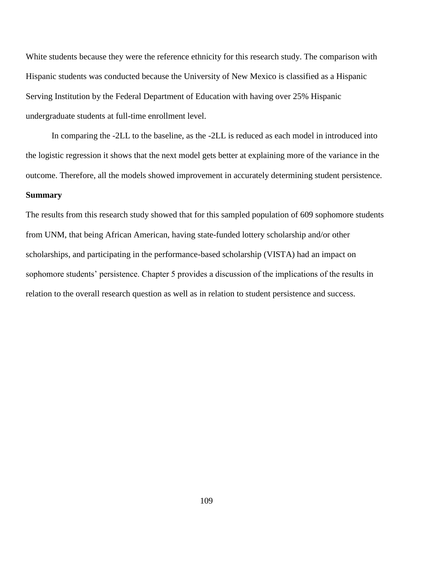White students because they were the reference ethnicity for this research study. The comparison with Hispanic students was conducted because the University of New Mexico is classified as a Hispanic Serving Institution by the Federal Department of Education with having over 25% Hispanic undergraduate students at full-time enrollment level.

In comparing the -2LL to the baseline, as the -2LL is reduced as each model in introduced into the logistic regression it shows that the next model gets better at explaining more of the variance in the outcome. Therefore, all the models showed improvement in accurately determining student persistence. **Summary**

The results from this research study showed that for this sampled population of 609 sophomore students from UNM, that being African American, having state-funded lottery scholarship and/or other scholarships, and participating in the performance-based scholarship (VISTA) had an impact on sophomore students' persistence. Chapter 5 provides a discussion of the implications of the results in relation to the overall research question as well as in relation to student persistence and success.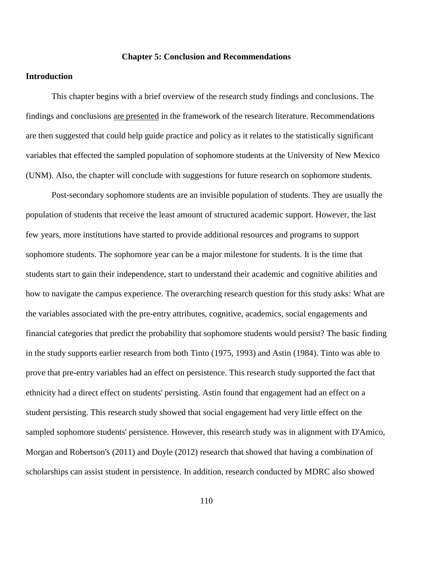## **Chapter 5: Conclusion and Recommendations**

## **Introduction**

This chapter begins with a brief overview of the research study findings and conclusions. The findings and conclusions are presented in the framework of the research literature. Recommendations are then suggested that could help guide practice and policy as it relates to the statistically significant variables that effected the sampled population of sophomore students at the University of New Mexico (UNM). Also, the chapter will conclude with suggestions for future research on sophomore students.

Post-secondary sophomore students are an invisible population of students. They are usually the population of students that receive the least amount of structured academic support. However, the last few years, more institutions have started to provide additional resources and programs to support sophomore students. The sophomore year can be a major milestone for students. It is the time that students start to gain their independence, start to understand their academic and cognitive abilities and how to navigate the campus experience. The overarching research question for this study asks: What are the variables associated with the pre-entry attributes, cognitive, academics, social engagements and financial categories that predict the probability that sophomore students would persist? The basic finding in the study supports earlier research from both Tinto (1975, 1993) and Astin (1984). Tinto was able to prove that pre-entry variables had an effect on persistence. This research study supported the fact that ethnicity had a direct effect on students' persisting. Astin found that engagement had an effect on a student persisting. This research study showed that social engagement had very little effect on the sampled sophomore students' persistence. However, this research study was in alignment with D'Amico, Morgan and Robertson's (2011) and Doyle (2012) research that showed that having a combination of scholarships can assist student in persistence. In addition, research conducted by MDRC also showed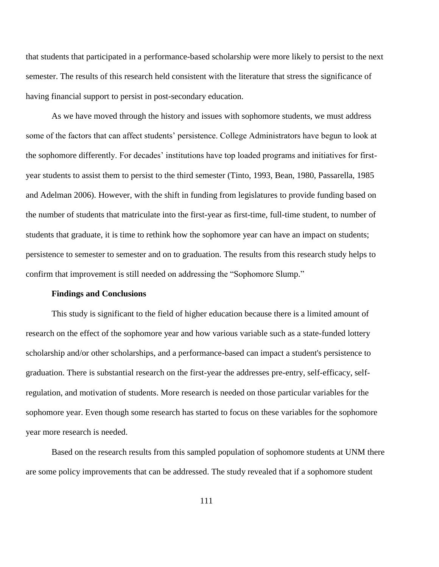that students that participated in a performance-based scholarship were more likely to persist to the next semester. The results of this research held consistent with the literature that stress the significance of having financial support to persist in post-secondary education.

As we have moved through the history and issues with sophomore students, we must address some of the factors that can affect students' persistence. College Administrators have begun to look at the sophomore differently. For decades' institutions have top loaded programs and initiatives for firstyear students to assist them to persist to the third semester (Tinto, 1993, Bean, 1980, Passarella, 1985 and Adelman 2006). However, with the shift in funding from legislatures to provide funding based on the number of students that matriculate into the first-year as first-time, full-time student, to number of students that graduate, it is time to rethink how the sophomore year can have an impact on students; persistence to semester to semester and on to graduation. The results from this research study helps to confirm that improvement is still needed on addressing the "Sophomore Slump."

#### **Findings and Conclusions**

This study is significant to the field of higher education because there is a limited amount of research on the effect of the sophomore year and how various variable such as a state-funded lottery scholarship and/or other scholarships, and a performance-based can impact a student's persistence to graduation. There is substantial research on the first-year the addresses pre-entry, self-efficacy, selfregulation, and motivation of students. More research is needed on those particular variables for the sophomore year. Even though some research has started to focus on these variables for the sophomore year more research is needed.

Based on the research results from this sampled population of sophomore students at UNM there are some policy improvements that can be addressed. The study revealed that if a sophomore student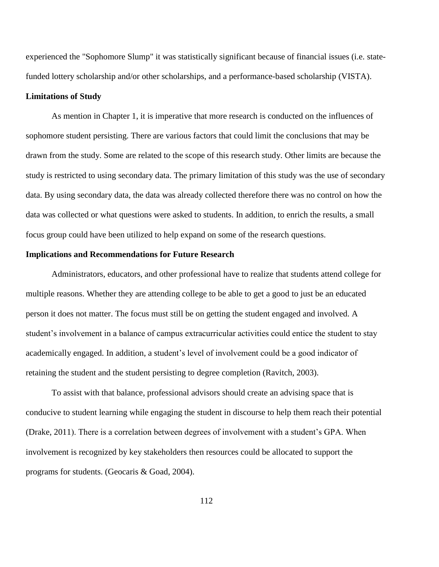experienced the "Sophomore Slump" it was statistically significant because of financial issues (i.e. statefunded lottery scholarship and/or other scholarships, and a performance-based scholarship (VISTA).

## **Limitations of Study**

As mention in Chapter 1, it is imperative that more research is conducted on the influences of sophomore student persisting. There are various factors that could limit the conclusions that may be drawn from the study. Some are related to the scope of this research study. Other limits are because the study is restricted to using secondary data. The primary limitation of this study was the use of secondary data. By using secondary data, the data was already collected therefore there was no control on how the data was collected or what questions were asked to students. In addition, to enrich the results, a small focus group could have been utilized to help expand on some of the research questions.

## **Implications and Recommendations for Future Research**

Administrators, educators, and other professional have to realize that students attend college for multiple reasons. Whether they are attending college to be able to get a good to just be an educated person it does not matter. The focus must still be on getting the student engaged and involved. A student's involvement in a balance of campus extracurricular activities could entice the student to stay academically engaged. In addition, a student's level of involvement could be a good indicator of retaining the student and the student persisting to degree completion (Ravitch, 2003).

To assist with that balance, professional advisors should create an advising space that is conducive to student learning while engaging the student in discourse to help them reach their potential (Drake, 2011). There is a correlation between degrees of involvement with a student's GPA. When involvement is recognized by key stakeholders then resources could be allocated to support the programs for students. (Geocaris & Goad, 2004).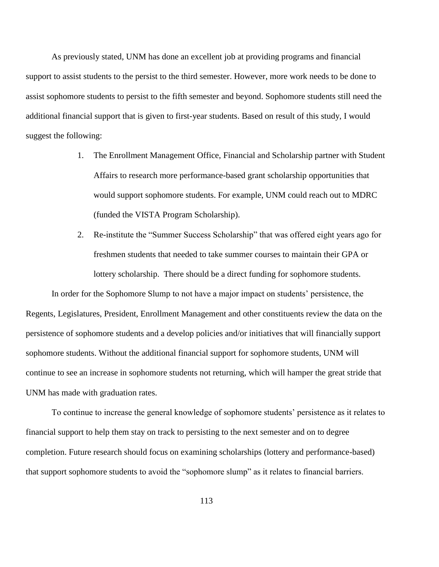As previously stated, UNM has done an excellent job at providing programs and financial support to assist students to the persist to the third semester. However, more work needs to be done to assist sophomore students to persist to the fifth semester and beyond. Sophomore students still need the additional financial support that is given to first-year students. Based on result of this study, I would suggest the following:

- 1. The Enrollment Management Office, Financial and Scholarship partner with Student Affairs to research more performance-based grant scholarship opportunities that would support sophomore students. For example, UNM could reach out to MDRC (funded the VISTA Program Scholarship).
- 2. Re-institute the "Summer Success Scholarship" that was offered eight years ago for freshmen students that needed to take summer courses to maintain their GPA or lottery scholarship. There should be a direct funding for sophomore students.

In order for the Sophomore Slump to not have a major impact on students' persistence, the Regents, Legislatures, President, Enrollment Management and other constituents review the data on the persistence of sophomore students and a develop policies and/or initiatives that will financially support sophomore students. Without the additional financial support for sophomore students, UNM will continue to see an increase in sophomore students not returning, which will hamper the great stride that UNM has made with graduation rates.

To continue to increase the general knowledge of sophomore students' persistence as it relates to financial support to help them stay on track to persisting to the next semester and on to degree completion. Future research should focus on examining scholarships (lottery and performance-based) that support sophomore students to avoid the "sophomore slump" as it relates to financial barriers.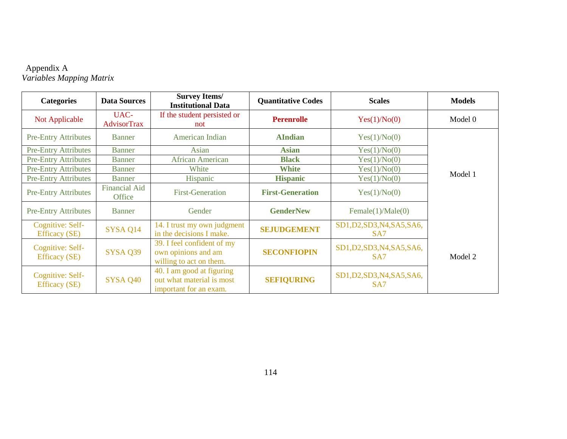## Appendix A *Variables Mapping Matrix*

| <b>Categories</b>                        | <b>Data Sources</b>                   | <b>Survey Items/</b><br><b>Institutional Data</b>                                | <b>Quantitative Codes</b> | <b>Scales</b>                                  | <b>Models</b> |
|------------------------------------------|---------------------------------------|----------------------------------------------------------------------------------|---------------------------|------------------------------------------------|---------------|
| Not Applicable                           | UAC-<br><b>AdvisorTrax</b>            | If the student persisted or<br>not                                               | <b>Perenrolle</b>         | Yes(1)/No(0)                                   | Model 0       |
| <b>Pre-Entry Attributes</b>              | <b>Banner</b>                         | American Indian                                                                  | <b>AIndian</b>            | Yes(1)/No(0)                                   |               |
| <b>Pre-Entry Attributes</b>              | <b>Banner</b>                         | Asian                                                                            | <b>Asian</b>              | Yes(1)/No(0)                                   |               |
| <b>Pre-Entry Attributes</b>              | <b>Banner</b>                         | <b>African American</b>                                                          | <b>Black</b>              | Yes(1)/No(0)                                   |               |
| <b>Pre-Entry Attributes</b>              | <b>Banner</b>                         | White                                                                            | <b>White</b>              | Yes(1)/No(0)                                   |               |
| <b>Pre-Entry Attributes</b>              | <b>Banner</b>                         | Hispanic                                                                         | <b>Hispanic</b>           | Yes(1)/No(0)                                   | Model 1       |
| <b>Pre-Entry Attributes</b>              | <b>Financial Aid</b><br><b>Office</b> | <b>First-Generation</b>                                                          | <b>First-Generation</b>   | Yes(1)/No(0)                                   |               |
| <b>Pre-Entry Attributes</b>              | Banner                                | Gender                                                                           | <b>GenderNew</b>          | Female(1)/Male(0)                              |               |
| Cognitive: Self-<br><b>Efficacy</b> (SE) | SYSA Q14                              | 14. I trust my own judgment<br>in the decisions I make.                          | <b>SEJUDGEMENT</b>        | SD1, D2, SD3, N4, SA5, SA6,<br>SA <sub>7</sub> |               |
| Cognitive: Self-<br><b>Efficacy</b> (SE) | <b>SYSA Q39</b>                       | 39. I feel confident of my<br>own opinions and am<br>willing to act on them.     | <b>SECONFIOPIN</b>        | SD1, D2, SD3, N4, SA5, SA6,<br>SA <sub>7</sub> | Model 2       |
| Cognitive: Self-<br><b>Efficacy</b> (SE) | SYSA Q40                              | 40. I am good at figuring<br>out what material is most<br>important for an exam. | <b>SEFIQURING</b>         | SD1, D2, SD3, N4, SA5, SA6,<br>SA <sub>7</sub> |               |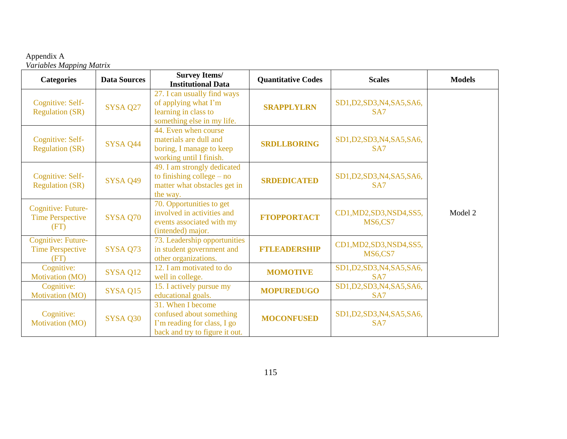## Appendix A *Variables Mapping Matrix*

| <b>Categories</b>                                            | <b>Data Sources</b> | <b>Survey Items/</b><br><b>Institutional Data</b>                                                              | <b>Quantitative Codes</b> | <b>Scales</b>                                  | <b>Models</b> |
|--------------------------------------------------------------|---------------------|----------------------------------------------------------------------------------------------------------------|---------------------------|------------------------------------------------|---------------|
| Cognitive: Self-<br><b>Regulation (SR)</b>                   | SYSA Q27            | 27. I can usually find ways<br>of applying what I'm<br>learning in class to<br>something else in my life.      | <b>SRAPPLYLRN</b>         | SD1, D2, SD3, N4, SA5, SA6,<br>SA <sub>7</sub> |               |
| Cognitive: Self-<br><b>Regulation (SR)</b>                   | SYSA Q44            | 44. Even when course<br>materials are dull and<br>boring, I manage to keep<br>working until I finish.          | <b>SRDLLBORING</b>        | SD1, D2, SD3, N4, SA5, SA6,<br>SA <sub>7</sub> |               |
| Cognitive: Self-<br><b>Regulation (SR)</b>                   | <b>SYSA Q49</b>     | 49. I am strongly dedicated<br>to finishing college $-$ no<br>matter what obstacles get in<br>the way.         | <b>SRDEDICATED</b>        | SD1, D2, SD3, N4, SA5, SA6,<br>SA <sub>7</sub> |               |
| <b>Cognitive: Future-</b><br><b>Time Perspective</b><br>(FT) | SYSA Q70            | 70. Opportunities to get<br>involved in activities and<br>events associated with my<br>(intended) major.       | <b>FTOPPORTACT</b>        | CD1, MD2, SD3, NSD4, SS5,<br><b>MS6,CS7</b>    | Model 2       |
| Cognitive: Future-<br><b>Time Perspective</b><br>(FT)        | SYSA Q73            | 73. Leadership opportunities<br>in student government and<br>other organizations.                              | <b>FTLEADERSHIP</b>       | CD1, MD2, SD3, NSD4, SS5,<br><b>MS6,CS7</b>    |               |
| Cognitive:<br>Motivation (MO)                                | SYSA Q12            | 12. I am motivated to do<br>well in college.                                                                   | <b>MOMOTIVE</b>           | SD1, D2, SD3, N4, SA5, SA6,<br>SA7             |               |
| Cognitive:<br>Motivation (MO)                                | SYSA Q15            | 15. I actively pursue my<br>educational goals.                                                                 | <b>MOPUREDUGO</b>         | SD1, D2, SD3, N4, SA5, SA6,<br>SA7             |               |
| Cognitive:<br>Motivation (MO)                                | SYSA Q30            | 31. When I become<br>confused about something<br>I'm reading for class, I go<br>back and try to figure it out. | <b>MOCONFUSED</b>         | SD1, D2, SD3, N4, SA5, SA6,<br>SA7             |               |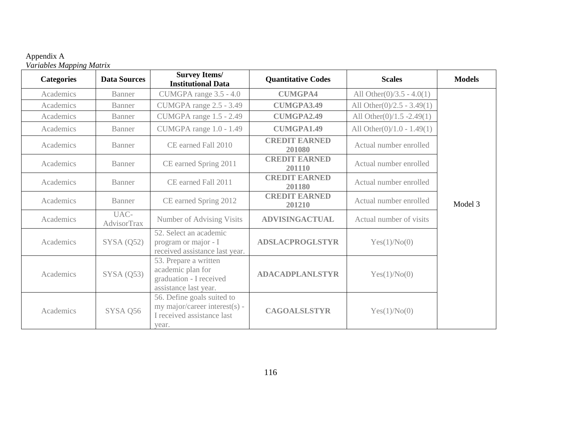| Appendix A |                          |
|------------|--------------------------|
|            | Variables Mapping Matrix |

| <b>Categories</b> | <b>Data Sources</b> | <b>Survey Items/</b><br><b>Institutional Data</b>                                                  | <b>Quantitative Codes</b>      | <b>Scales</b>                 | <b>Models</b> |
|-------------------|---------------------|----------------------------------------------------------------------------------------------------|--------------------------------|-------------------------------|---------------|
| Academics         | Banner              | CUMGPA range 3.5 - 4.0                                                                             | <b>CUMGPA4</b>                 | All Other $(0)/3.5 - 4.0(1)$  |               |
| Academics         | Banner              | CUMGPA range 2.5 - 3.49                                                                            | <b>CUMGPA3.49</b>              | All Other $(0)/2.5 - 3.49(1)$ |               |
| Academics         | <b>Banner</b>       | CUMGPA range 1.5 - 2.49                                                                            | <b>CUMGPA2.49</b>              | All Other $(0)/1.5 - 2.49(1)$ |               |
| Academics         | Banner              | CUMGPA range 1.0 - 1.49                                                                            | <b>CUMGPA1.49</b>              | All Other $(0)/1.0 - 1.49(1)$ |               |
| Academics         | Banner              | CE earned Fall 2010                                                                                | <b>CREDIT EARNED</b><br>201080 | Actual number enrolled        |               |
| Academics         | Banner              | CE earned Spring 2011                                                                              | <b>CREDIT EARNED</b><br>201110 | Actual number enrolled        |               |
| Academics         | Banner              | CE earned Fall 2011                                                                                | <b>CREDIT EARNED</b><br>201180 | Actual number enrolled        |               |
| Academics         | <b>Banner</b>       | CE earned Spring 2012                                                                              | <b>CREDIT EARNED</b><br>201210 | Actual number enrolled        | Model 3       |
| Academics         | UAC-<br>AdvisorTrax | Number of Advising Visits                                                                          | <b>ADVISINGACTUAL</b>          | Actual number of visits       |               |
| Academics         | SYSA(Q52)           | 52. Select an academic<br>program or major - I<br>received assistance last year.                   | <b>ADSLACPROGLSTYR</b>         | Yes(1)/No(0)                  |               |
| Academics         | SYSA(Q53)           | 53. Prepare a written<br>academic plan for<br>graduation - I received<br>assistance last year.     | <b>ADACADPLANLSTYR</b>         | Yes(1)/No(0)                  |               |
| Academics         | SYSA Q56            | 56. Define goals suited to<br>my major/career interest(s) -<br>I received assistance last<br>year. | <b>CAGOALSLSTYR</b>            | Yes(1)/No(0)                  |               |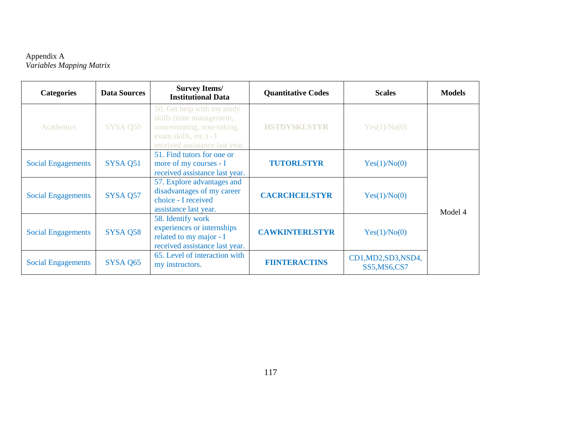## Appendix A *Variables Mapping Matrix*

| <b>Categories</b>         | <b>Data Sources</b> | <b>Survey Items/</b><br><b>Institutional Data</b>                                                                                                 | <b>Quantitative Codes</b> | <b>Scales</b>                         | <b>Models</b> |
|---------------------------|---------------------|---------------------------------------------------------------------------------------------------------------------------------------------------|---------------------------|---------------------------------------|---------------|
| Academics                 | SYSA Q50            | 50. Get help with my study<br>skills (time management,<br>concentrating, note-taking,<br>exam skills, etc.) - I<br>received assistance last year. | <b>HSTDYSKLSTYR</b>       | Yes(1)/No(0)                          |               |
| <b>Social Engagements</b> | SYSA Q51            | 51. Find tutors for one or<br>more of my courses - I<br>received assistance last year.                                                            | <b>TUTORLSTYR</b>         | Yes(1)/No(0)                          |               |
| <b>Social Engagements</b> | SYSA Q57            | 57. Explore advantages and<br>disadvantages of my career<br>choice - I received<br>assistance last year.                                          | <b>CACRCHCELSTYR</b>      | Yes(1)/No(0)                          | Model 4       |
| <b>Social Engagements</b> | SYSA Q58            | 58. Identify work<br>experiences or internships<br>related to my major - I<br>received assistance last year.                                      | <b>CAWKINTERLSTYR</b>     | Yes(1)/No(0)                          |               |
| <b>Social Engagements</b> | SYSA Q65            | 65. Level of interaction with<br>my instructors.                                                                                                  | <b>FIINTERACTINS</b>      | CD1, MD2, SD3, NSD4,<br>SS5, MS6, CS7 |               |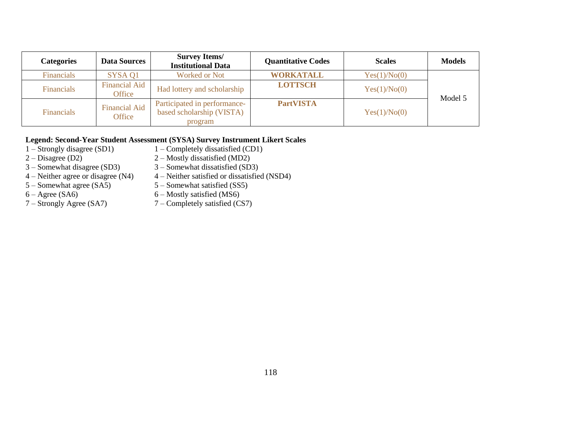| <b>Categories</b> | <b>Data Sources</b>            | <b>Survey Items/</b><br><b>Institutional Data</b>                    | <b>Quantitative Codes</b> | <b>Scales</b> | <b>Models</b> |
|-------------------|--------------------------------|----------------------------------------------------------------------|---------------------------|---------------|---------------|
| Financials        | SYSA 01                        | <b>Worked or Not</b>                                                 | <b>WORKATALL</b>          | Yes(1)/No(0)  |               |
| Financials        | <b>Financial Aid</b><br>Office | Had lottery and scholarship                                          | <b>LOTTSCH</b>            | Yes(1)/No(0)  | Model 5       |
| <b>Financials</b> | <b>Financial Aid</b><br>Office | Participated in performance-<br>based scholarship (VISTA)<br>program | <b>PartVISTA</b>          | Yes(1)/No(0)  |               |

# **Legend: Second-Year Student Assessment (SYSA) Survey Instrument Likert Scales** 1 – Strongly disagree (SD1) 1 – Completely disatisfied (CD1)

- 
- 1 Strongly disagree (SD1) 1 Completely dissatisfied (CD1)<br>2 Disagree (D2) 2 Mostly dissatisfied (MD2)
- 
- 2 Disagree (D2)  $2 -$  Mostly dissatisfied (MD2)<br>3 Somewhat disagree (SD3)  $3 -$  Somewhat dissatisfied (SD 3 – Somewhat disagree (SD3)  $3$  – Somewhat dissatisfied (SD3)<br>4 – Neither agree or disagree (N4)  $4$  – Neither satisfied or dissatisfied
- 4 Neither agree or disagree (N4)  $4$  Neither satisfied or dissatisfied (NSD4)<br>5 Somewhat agree (SA5)  $5$  Somewhat satisfied (SS5)
- 
- 5 Somewhat agree (SA5) 5 Somewhat satisfied (SS5)<br>6 Agree (SA6) 6 Mostly satisfied (MS6)
- 
- 6 Agree (SA6)<br>
7 Strongly Agree (SA7)<br>
7 Completely satisfied (C.  $7$  – Completely satisfied (CS7)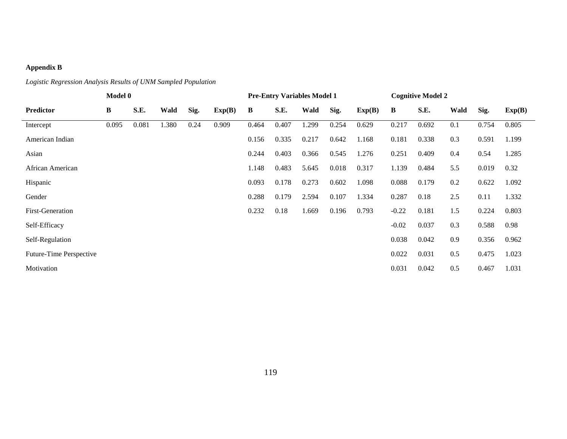## **Appendix B**

## *Logistic Regression Analysis Results of UNM Sampled Population*

|                         | Model 0  |       |       |      |        |       | <b>Pre-Entry Variables Model 1</b> |       |       |        |         | <b>Cognitive Model 2</b> |      |       |        |
|-------------------------|----------|-------|-------|------|--------|-------|------------------------------------|-------|-------|--------|---------|--------------------------|------|-------|--------|
| <b>Predictor</b>        | $\bf{B}$ | S.E.  | Wald  | Sig. | Exp(B) | B     | S.E.                               | Wald  | Sig.  | Exp(B) | B       | S.E.                     | Wald | Sig.  | Exp(B) |
| Intercept               | 0.095    | 0.081 | 1.380 | 0.24 | 0.909  | 0.464 | 0.407                              | 1.299 | 0.254 | 0.629  | 0.217   | 0.692                    | 0.1  | 0.754 | 0.805  |
| American Indian         |          |       |       |      |        | 0.156 | 0.335                              | 0.217 | 0.642 | 1.168  | 0.181   | 0.338                    | 0.3  | 0.591 | 1.199  |
| Asian                   |          |       |       |      |        | 0.244 | 0.403                              | 0.366 | 0.545 | 1.276  | 0.251   | 0.409                    | 0.4  | 0.54  | 1.285  |
| African American        |          |       |       |      |        | 1.148 | 0.483                              | 5.645 | 0.018 | 0.317  | 1.139   | 0.484                    | 5.5  | 0.019 | 0.32   |
| Hispanic                |          |       |       |      |        | 0.093 | 0.178                              | 0.273 | 0.602 | 1.098  | 0.088   | 0.179                    | 0.2  | 0.622 | 1.092  |
| Gender                  |          |       |       |      |        | 0.288 | 0.179                              | 2.594 | 0.107 | 1.334  | 0.287   | 0.18                     | 2.5  | 0.11  | 1.332  |
| <b>First-Generation</b> |          |       |       |      |        | 0.232 | 0.18                               | 1.669 | 0.196 | 0.793  | $-0.22$ | 0.181                    | 1.5  | 0.224 | 0.803  |
| Self-Efficacy           |          |       |       |      |        |       |                                    |       |       |        | $-0.02$ | 0.037                    | 0.3  | 0.588 | 0.98   |
| Self-Regulation         |          |       |       |      |        |       |                                    |       |       |        | 0.038   | 0.042                    | 0.9  | 0.356 | 0.962  |
| Future-Time Perspective |          |       |       |      |        |       |                                    |       |       |        | 0.022   | 0.031                    | 0.5  | 0.475 | 1.023  |
| Motivation              |          |       |       |      |        |       |                                    |       |       |        | 0.031   | 0.042                    | 0.5  | 0.467 | 1.031  |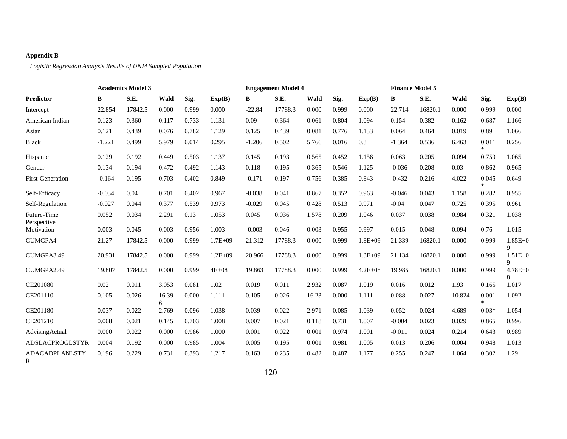## **Appendix B**

*Logistic Regression Analysis Results of UNM Sampled Population*

|                            | <b>Academics Model 3</b> |         |            |       |             | <b>Engagement Model 4</b> |         |       |       |             |          | <b>Finance Model 5</b> |        |                 |                  |  |
|----------------------------|--------------------------|---------|------------|-------|-------------|---------------------------|---------|-------|-------|-------------|----------|------------------------|--------|-----------------|------------------|--|
| <b>Predictor</b>           | B                        | S.E.    | Wald       | Sig.  | Exp(B)      | B                         | S.E.    | Wald  | Sig.  | Exp(B)      | B        | S.E.                   | Wald   | Sig.            | Exp(B)           |  |
| Intercept                  | 22.854                   | 17842.5 | 0.000      | 0.999 | 0.000       | $-22.84$                  | 17788.3 | 0.000 | 0.999 | 0.000       | 22.714   | 16820.1                | 0.000  | 0.999           | 0.000            |  |
| American Indian            | 0.123                    | 0.360   | 0.117      | 0.733 | 1.131       | 0.09                      | 0.364   | 0.061 | 0.804 | 1.094       | 0.154    | 0.382                  | 0.162  | 0.687           | 1.166            |  |
| Asian                      | 0.121                    | 0.439   | 0.076      | 0.782 | 1.129       | 0.125                     | 0.439   | 0.081 | 0.776 | 1.133       | 0.064    | 0.464                  | 0.019  | 0.89            | 1.066            |  |
| <b>Black</b>               | $-1.221$                 | 0.499   | 5.979      | 0.014 | 0.295       | $-1.206$                  | 0.502   | 5.766 | 0.016 | 0.3         | $-1.364$ | 0.536                  | 6.463  | 0.011<br>÷      | 0.256            |  |
| Hispanic                   | 0.129                    | 0.192   | 0.449      | 0.503 | 1.137       | 0.145                     | 0.193   | 0.565 | 0.452 | 1.156       | 0.063    | 0.205                  | 0.094  | 0.759           | 1.065            |  |
| Gender                     | 0.134                    | 0.194   | 0.472      | 0.492 | 1.143       | 0.118                     | 0.195   | 0.365 | 0.546 | 1.125       | $-0.036$ | 0.208                  | 0.03   | 0.862           | 0.965            |  |
| <b>First-Generation</b>    | $-0.164$                 | 0.195   | 0.703      | 0.402 | 0.849       | $-0.171$                  | 0.197   | 0.756 | 0.385 | 0.843       | $-0.432$ | 0.216                  | 4.022  | 0.045<br>$\ast$ | 0.649            |  |
| Self-Efficacy              | $-0.034$                 | 0.04    | 0.701      | 0.402 | 0.967       | $-0.038$                  | 0.041   | 0.867 | 0.352 | 0.963       | $-0.046$ | 0.043                  | 1.158  | 0.282           | 0.955            |  |
| Self-Regulation            | $-0.027$                 | 0.044   | 0.377      | 0.539 | 0.973       | $-0.029$                  | 0.045   | 0.428 | 0.513 | 0.971       | $-0.04$  | 0.047                  | 0.725  | 0.395           | 0.961            |  |
| Future-Time<br>Perspective | 0.052                    | 0.034   | 2.291      | 0.13  | 1.053       | 0.045                     | 0.036   | 1.578 | 0.209 | 1.046       | 0.037    | 0.038                  | 0.984  | 0.321           | 1.038            |  |
| Motivation                 | 0.003                    | 0.045   | 0.003      | 0.956 | 1.003       | $-0.003$                  | 0.046   | 0.003 | 0.955 | 0.997       | 0.015    | 0.048                  | 0.094  | 0.76            | 1.015            |  |
| <b>CUMGPA4</b>             | 21.27                    | 17842.5 | 0.000      | 0.999 | $1.7E + 09$ | 21.312                    | 17788.3 | 0.000 | 0.999 | $1.8E + 09$ | 21.339   | 16820.1                | 0.000  | 0.999           | $1.85E + 0$<br>9 |  |
| CUMGPA3.49                 | 20.931                   | 17842.5 | 0.000      | 0.999 | $1.2E + 09$ | 20.966                    | 17788.3 | 0.000 | 0.999 | $1.3E + 09$ | 21.134   | 16820.1                | 0.000  | 0.999           | $1.51E + 0$<br>9 |  |
| CUMGPA2.49                 | 19.807                   | 17842.5 | 0.000      | 0.999 | $4E + 08$   | 19.863                    | 17788.3 | 0.000 | 0.999 | $4.2E + 08$ | 19.985   | 16820.1                | 0.000  | 0.999           | $4.78E + 0$<br>8 |  |
| CE201080                   | 0.02                     | 0.011   | 3.053      | 0.081 | 1.02        | 0.019                     | 0.011   | 2.932 | 0.087 | 1.019       | 0.016    | 0.012                  | 1.93   | 0.165           | 1.017            |  |
| CE201110                   | 0.105                    | 0.026   | 16.39<br>6 | 0.000 | 1.111       | 0.105                     | 0.026   | 16.23 | 0.000 | 1.111       | 0.088    | 0.027                  | 10.824 | 0.001<br>$*$    | 1.092            |  |
| CE201180                   | 0.037                    | 0.022   | 2.769      | 0.096 | 1.038       | 0.039                     | 0.022   | 2.971 | 0.085 | 1.039       | 0.052    | 0.024                  | 4.689  | $0.03*$         | 1.054            |  |
| CE201210                   | 0.008                    | 0.021   | 0.145      | 0.703 | 1.008       | 0.007                     | 0.021   | 0.118 | 0.731 | 1.007       | $-0.004$ | 0.023                  | 0.029  | 0.865           | 0.996            |  |
| AdvisingActual             | 0.000                    | 0.022   | 0.000      | 0.986 | 1.000       | 0.001                     | 0.022   | 0.001 | 0.974 | 1.001       | $-0.011$ | 0.024                  | 0.214  | 0.643           | 0.989            |  |
| ADSLACPROGLSTYR            | 0.004                    | 0.192   | 0.000      | 0.985 | 1.004       | 0.005                     | 0.195   | 0.001 | 0.981 | 1.005       | 0.013    | 0.206                  | 0.004  | 0.948           | 1.013            |  |
| <b>ADACADPLANLSTY</b><br>R | 0.196                    | 0.229   | 0.731      | 0.393 | 1.217       | 0.163                     | 0.235   | 0.482 | 0.487 | 1.177       | 0.255    | 0.247                  | 1.064  | 0.302           | 1.29             |  |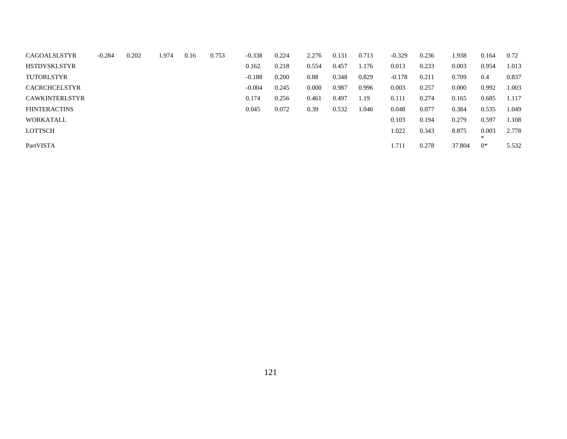| <b>CAGOALSLSTYR</b>   | $-0.284$ | 0.202 | 1.974 | 0.16 | 0.753 | $-0.338$ | 0.224 | 2.276 | 0.131 | 0.713 | $-0.329$ | 0.236 | 1.938  | 0.164     | 0.72  |
|-----------------------|----------|-------|-------|------|-------|----------|-------|-------|-------|-------|----------|-------|--------|-----------|-------|
| <b>HSTDYSKLSTYR</b>   |          |       |       |      |       | 0.162    | 0.218 | 0.554 | 0.457 | 1.176 | 0.013    | 0.233 | 0.003  | 0.954     | 1.013 |
| <b>TUTORLSTYR</b>     |          |       |       |      |       | $-0.188$ | 0.200 | 0.88  | 0.348 | 0.829 | $-0.178$ | 0.211 | 0.709  | 0.4       | 0.837 |
| <b>CACRCHCELSTYR</b>  |          |       |       |      |       | $-0.004$ | 0.245 | 0.000 | 0.987 | 0.996 | 0.003    | 0.257 | 0.000  | 0.992     | 1.003 |
| <b>CAWKINTERLSTYR</b> |          |       |       |      |       | 0.174    | 0.256 | 0.461 | 0.497 | 1.19  | 0.111    | 0.274 | 0.165  | 0.685     | 1.117 |
| <b>FIINTERACTINS</b>  |          |       |       |      |       | 0.045    | 0.072 | 0.39  | 0.532 | 1.046 | 0.048    | 0.077 | 0.384  | 0.535     | 1.049 |
| WORKATALL             |          |       |       |      |       |          |       |       |       |       | 0.103    | 0.194 | 0.279  | 0.597     | 1.108 |
| <b>LOTTSCH</b>        |          |       |       |      |       |          |       |       |       |       | 1.022    | 0.343 | 8.875  | 0.003     | 2.778 |
| PartVISTA             |          |       |       |      |       |          |       |       |       |       | 1.711    | 0.278 | 37.804 | ∗<br>$0*$ | 5.532 |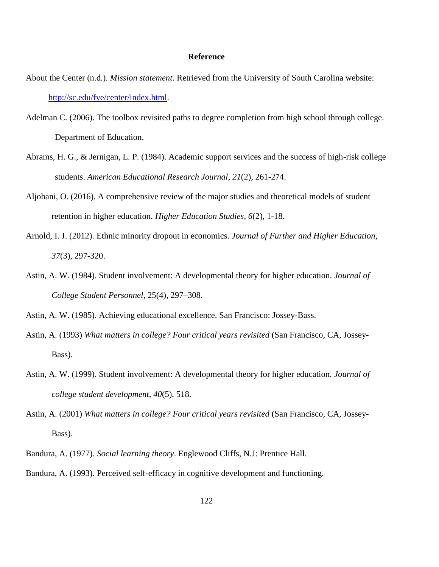#### **Reference**

- About the Center (n.d.). *Mission statement*. Retrieved from the University of South Carolina website: [http://sc.edu/fye/center/index.html.](http://sc.edu/fye/center/index.html)
- Adelman C. (2006). The toolbox revisited paths to degree completion from high school through college. Department of Education.
- Abrams, H. G., & Jernigan, L. P. (1984). Academic support services and the success of high-risk college students. *American Educational Research Journal*, *21*(2), 261-274.
- Aljohani, O. (2016). A comprehensive review of the major studies and theoretical models of student retention in higher education. *Higher Education Studies, 6*(2), 1-18.
- Arnold, I. J. (2012). Ethnic minority dropout in economics. *Journal of Further and Higher Education, 37*(3), 297-320.
- Astin, A. W. (1984). Student involvement: A developmental theory for higher education. *Journal of College Student Personnel*, 25(4), 297–308.

Astin, A. W. (1985). Achieving educational excellence. San Francisco: Jossey-Bass.

- Astin, A. (1993) *What matters in college? Four critical years revisited* (San Francisco, CA, Jossey-Bass).
- Astin, A. W. (1999). Student involvement: A developmental theory for higher education. *Journal of college student development*, *40*(5), 518.
- Astin, A. (2001) *What matters in college? Four critical years revisited* (San Francisco, CA, Jossey-Bass).
- Bandura, A. (1977). *Social learning theory*. Englewood Cliffs, N.J: Prentice Hall.

Bandura, A. (1993). Perceived self-efficacy in cognitive development and functioning.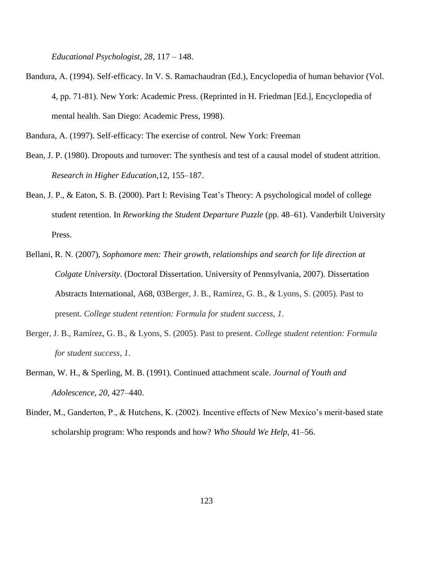*Educational Psychologist, 28*, 117 – 148.

Bandura, A. (1994). Self-efficacy. In V. S. Ramachaudran (Ed.), Encyclopedia of human behavior (Vol. 4, pp. 71-81). New York: Academic Press. (Reprinted in H. Friedman [Ed.], Encyclopedia of mental health. San Diego: Academic Press, 1998).

Bandura, A. (1997). Self-efficacy: The exercise of control. New York: Freeman

- Bean, J. P. (1980). Dropouts and turnover: The synthesis and test of a causal model of student attrition. *Research in Higher Education,*12, 155–187.
- Bean, J. P., & Eaton, S. B. (2000). Part I: Revising Teat's Theory: A psychological model of college student retention. In *Reworking the Student Departure Puzzle* (pp. 48–61). Vanderbilt University Press.
- Bellani, R. N. (2007), *Sophomore men: Their growth, relationships and search for life direction at Colgate University*. (Doctoral Dissertation. University of Pennsylvania, 2007). Dissertation Abstracts International, A68, 03Berger, J. B., Ramírez, G. B., & Lyons, S. (2005). Past to present. *College student retention: Formula for student success*, *1*.
- Berger, J. B., Ramírez, G. B., & Lyons, S. (2005). Past to present. *College student retention: Formula for student success*, *1*.
- Berman, W. H., & Sperling, M. B. (1991). Continued attachment scale. *Journal of Youth and Adolescence*, *20*, 427–440.
- Binder, M., Ganderton, P., & Hutchens, K. (2002). Incentive effects of New Mexico's merit-based state scholarship program: Who responds and how? *Who Should We Help*, 41–56.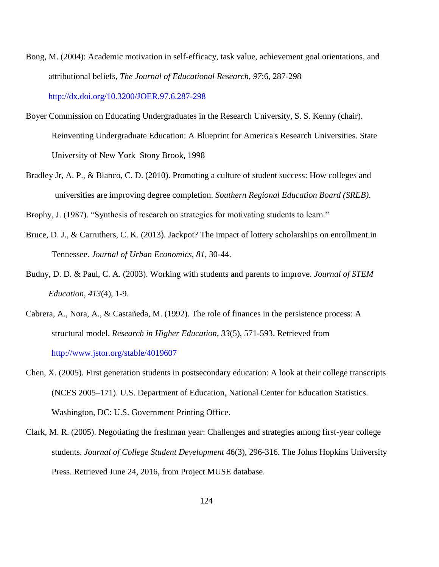- Bong, M. (2004): Academic motivation in self-efficacy, task value, achievement goal orientations, and attributional beliefs, *The Journal of Educational Research, 97*:6, 287-298 http://dx.doi.org/10.3200/JOER.97.6.287-298
- Boyer Commission on Educating Undergraduates in the Research University, S. S. Kenny (chair). Reinventing Undergraduate Education: A Blueprint for America's Research Universities. State University of New York–Stony Brook, 1998
- Bradley Jr, A. P., & Blanco, C. D. (2010). Promoting a culture of student success: How colleges and universities are improving degree completion. *Southern Regional Education Board (SREB)*.

Brophy, J. (1987). "Synthesis of research on strategies for motivating students to learn."

- Bruce, D. J., & Carruthers, C. K. (2013). Jackpot? The impact of lottery scholarships on enrollment in Tennessee. *Journal of Urban Economics*, *81*, 30-44.
- Budny, D. D. & Paul, C. A. (2003). Working with students and parents to improve. *Journal of STEM Education*, *413*(4), 1-9.
- Cabrera, A., Nora, A., & Castañeda, M. (1992). The role of finances in the persistence process: A structural model. *Research in Higher Education, 33*(5), 571-593. Retrieved from <http://www.jstor.org/stable/4019607>
- Chen, X. (2005). First generation students in postsecondary education: A look at their college transcripts (NCES 2005–171). U.S. Department of Education, National Center for Education Statistics. Washington, DC: U.S. Government Printing Office.
- Clark, M. R. (2005). Negotiating the freshman year: Challenges and strategies among first-year college students. *Journal of College Student Development* 46(3), 296-316. The Johns Hopkins University Press. Retrieved June 24, 2016, from Project MUSE database.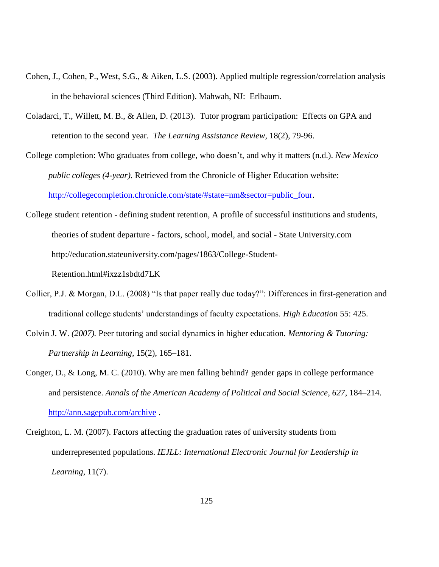- Cohen, J., Cohen, P., West, S.G., & Aiken, L.S. (2003). Applied multiple regression/correlation analysis in the behavioral sciences (Third Edition). Mahwah, NJ: Erlbaum.
- Coladarci, T., Willett, M. B., & Allen, D. (2013). Tutor program participation: Effects on GPA and retention to the second year. *The Learning Assistance Review*, 18(2), 79-96.
- College completion: Who graduates from college, who doesn't, and why it matters (n.d.). *New Mexico public colleges (4-year)*. Retrieved from the Chronicle of Higher Education website: [http://collegecompletion.chronicle.com/state/#state=nm&sector=public\\_four.](http://collegecompletion.chronicle.com/state/#state=nm§or=public_four)
- College student retention defining student retention, A profile of successful institutions and students, theories of student departure - factors, school, model, and social - State University.com http://education.stateuniversity.com/pages/1863/College-Student-

Retention.html#ixzz1sbdtd7LK

- Collier, P.J. & Morgan, D.L. (2008) "Is that paper really due today?": Differences in first-generation and traditional college students' understandings of faculty expectations. *High Education* 55: 425.
- Colvin J. W. *(2007).* Peer tutoring and social dynamics in higher education*. Mentoring & Tutoring: Partnership in Learning,* 15(2), 165–181.
- Conger, D., & Long, M. C. (2010). Why are men falling behind? gender gaps in college performance and persistence. *Annals of the American Academy of Political and Social Science*, *627*, 184–214. <http://ann.sagepub.com/archive> .
- Creighton, L. M. (2007). Factors affecting the graduation rates of university students from underrepresented populations. *IEJLL: International Electronic Journal for Leadership in Learning*, 11(7).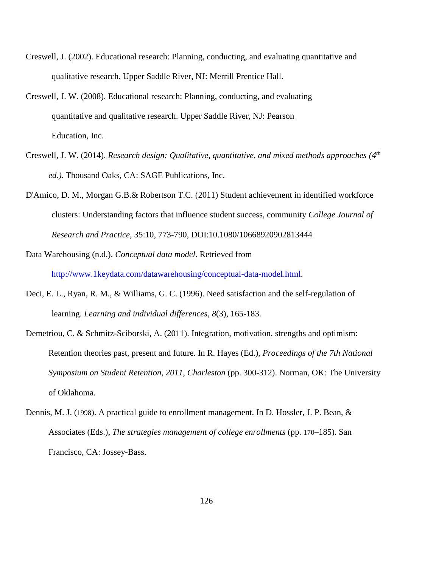- Creswell, J. (2002). Educational research: Planning, conducting, and evaluating quantitative and qualitative research. Upper Saddle River, NJ: Merrill Prentice Hall.
- Creswell, J. W. (2008). Educational research: Planning, conducting, and evaluating quantitative and qualitative research. Upper Saddle River, NJ: Pearson Education, Inc.
- Creswell, J. W. (2014). *Research design: Qualitative, quantitative, and mixed methods approaches (4th ed.)*. Thousand Oaks, CA: SAGE Publications, Inc.
- D'Amico, D. M., Morgan G.B.& Robertson T.C. (2011) Student achievement in identified workforce clusters: Understanding factors that influence student success, community *College Journal of Research and Practice*, 35:10, 773-790, DOI:10.1080/10668920902813444
- Data Warehousing (n.d.). *Conceptual data model*. Retrieved from [http://www.1keydata.com/datawarehousing/conceptual-data-model.html.](http://www.1keydata.com/datawarehousing/conceptual-data-model.html)
- Deci, E. L., Ryan, R. M., & Williams, G. C. (1996). Need satisfaction and the self-regulation of learning. *Learning and individual differences*, *8*(3), 165-183.
- Demetriou, C. & Schmitz-Sciborski, A. (2011). Integration, motivation, strengths and optimism: Retention theories past, present and future. In R. Hayes (Ed.), *Proceedings of the 7th National Symposium on Student Retention, 2011, Charleston* (pp. 300-312). Norman, OK: The University of Oklahoma.
- Dennis, M. J. (1998). A practical guide to enrollment management. In D. Hossler, J. P. Bean, & Associates (Eds.), *The strategies management of college enrollments* (pp. 170–185). San Francisco, CA: Jossey-Bass.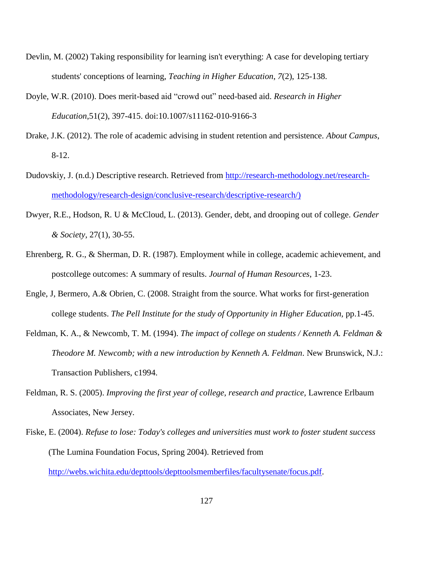- Devlin, M. (2002) Taking responsibility for learning isn't everything: A case for developing tertiary students' conceptions of learning, *Teaching in Higher Education*, *7*(2), 125-138.
- Doyle, W.R. (2010). Does merit-based aid "crowd out" need-based aid. *Research in Higher Education*,51(2), 397-415. doi:10.1007/s11162-010-9166-3
- Drake, J.K. (2012). The role of academic advising in student retention and persistence. *About Campus*, 8-12.
- Dudovskiy, J. (n.d.) Descriptive research. Retrieved from [http://research-methodology.net/research](http://research-methodology.net/research-methodology/research-design/conclusive-research/descriptive-research/)[methodology/research-design/conclusive-research/descriptive-research/\)](http://research-methodology.net/research-methodology/research-design/conclusive-research/descriptive-research/)
- Dwyer, R.E., Hodson, R. U & McCloud, L. (2013). Gender, debt, and drooping out of college. *Gender & Society*, 27(1), 30-55.
- Ehrenberg, R. G., & Sherman, D. R. (1987). Employment while in college, academic achievement, and postcollege outcomes: A summary of results. *Journal of Human Resources*, 1-23.
- Engle, J, Bermero, A.& Obrien, C. (2008. Straight from the source. What works for first-generation college students. *The Pell Institute for the study of Opportunity in Higher Education,* pp.1-45.
- Feldman, K. A., & Newcomb, T. M. (1994). *The impact of college on students / Kenneth A. Feldman & Theodore M. Newcomb; with a new introduction by Kenneth A. Feldman*. New Brunswick, N.J.: Transaction Publishers, c1994.
- Feldman, R. S. (2005). *Improving the first year of college, research and practice,* Lawrence Erlbaum Associates, New Jersey.
- Fiske, E. (2004). *Refuse to lose: Today's colleges and universities must work to foster student success* (The Lumina Foundation Focus, Spring 2004). Retrieved from [http://webs.wichita.edu/depttools/depttoolsmemberfiles/facultysenate/focus.pdf.](http://webs.wichita.edu/depttools/depttoolsmemberfiles/facultysenate/focus.pdf)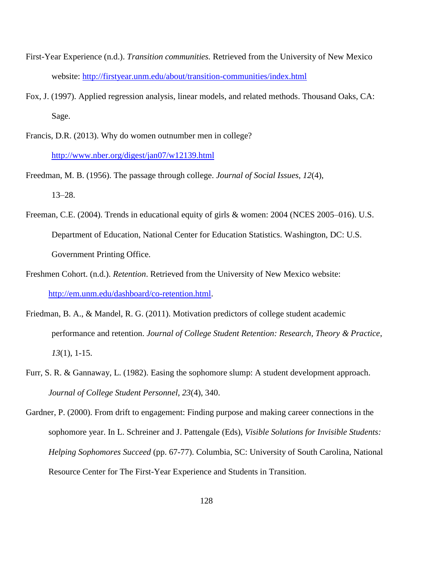- First-Year Experience (n.d.). *Transition communities.* Retrieved from the University of New Mexico website:<http://firstyear.unm.edu/about/transition-communities/index.html>
- Fox, J. (1997). Applied regression analysis, linear models, and related methods. Thousand Oaks, CA: Sage.
- Francis, D.R. (2013). Why do women outnumber men in college? <http://www.nber.org/digest/jan07/w12139.html>
- Freedman, M. B. (1956). The passage through college. *Journal of Social Issues, 12*(4), 13–28.
- Freeman, C.E. (2004). Trends in educational equity of girls & women: 2004 (NCES 2005–016). U.S. Department of Education, National Center for Education Statistics. Washington, DC: U.S. Government Printing Office.
- Freshmen Cohort. (n.d.). *Retention*. Retrieved from the University of New Mexico website: [http://em.unm.edu/dashboard/co-retention.html.](http://em.unm.edu/dashboard/co-retention.html)
- Friedman, B. A., & Mandel, R. G. (2011). Motivation predictors of college student academic performance and retention. *Journal of College Student Retention: Research, Theory & Practice*, *13*(1), 1-15.
- Furr, S. R. & Gannaway, L. (1982). Easing the sophomore slump: A student development approach. *Journal of College Student Personnel, 23*(4), 340.
- Gardner, P. (2000). From drift to engagement: Finding purpose and making career connections in the sophomore year. In L. Schreiner and J. Pattengale (Eds), *Visible Solutions for Invisible Students: Helping Sophomores Succeed* (pp. 67-77). Columbia, SC: University of South Carolina, National Resource Center for The First-Year Experience and Students in Transition.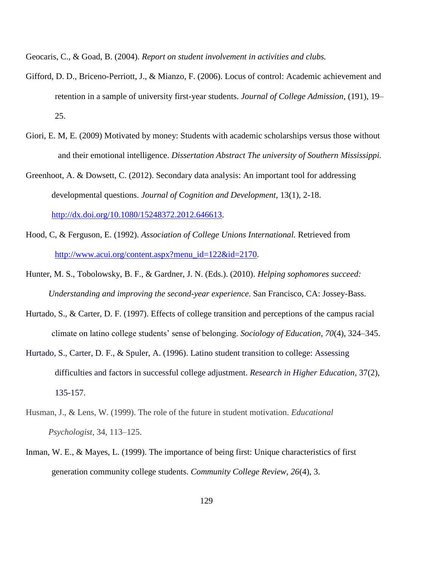Geocaris, C., & Goad, B. (2004). *Report on student involvement in activities and clubs.* 

- Gifford, D. D., Briceno-Perriott, J., & Mianzo, F. (2006). Locus of control: Academic achievement and retention in a sample of university first-year students. *Journal of College Admission*, (191), 19– 25.
- Giori, E. M, E. (2009) Motivated by money: Students with academic scholarships versus those without and their emotional intelligence. *Dissertation Abstract The university of Southern Mississippi.*
- Greenhoot, A. & Dowsett, C. (2012). Secondary data analysis: An important tool for addressing developmental questions. *Journal of Cognition and Development*, 13(1), 2-18. [http://dx.doi.org/10.1080/15248372.2012.646613.](http://dx.doi.org/10.1080/15248372.2012.646613)
- Hood, C, & Ferguson, E. (1992). *Association of College Unions International.* Retrieved from [http://www.acui.org/content.aspx?menu\\_id=122&id=2170.](http://www.acui.org/content.aspx?menu_id=122&id=2170)
- Hunter, M. S., Tobolowsky, B. F., & Gardner, J. N. (Eds.). (2010). *Helping sophomores succeed: Understanding and improving the second-year experience*. San Francisco, CA: Jossey-Bass.
- Hurtado, S., & Carter, D. F. (1997). Effects of college transition and perceptions of the campus racial climate on latino college students' sense of belonging. *Sociology of Education*, *70*(4), 324–345.
- Hurtado, S., Carter, D. F., & Spuler, A. (1996). Latino student transition to college: Assessing difficulties and factors in successful college adjustment. *Research in Higher Education*, 37(2), 135-157.
- Husman, J., & Lens, W. (1999). The role of the future in student motivation. *Educational Psychologist*, 34, 113–125.
- Inman, W. E., & Mayes, L. (1999). The importance of being first: Unique characteristics of first generation community college students. *Community College Review*, *26*(4), 3.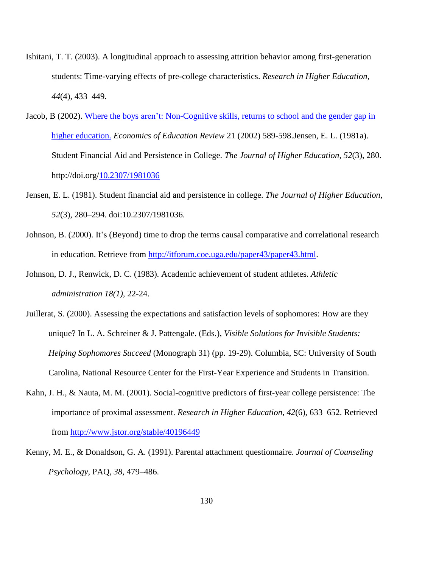- Ishitani, T. T. (2003). A longitudinal approach to assessing attrition behavior among first-generation students: Time-varying effects of pre-college characteristics. *Research in Higher Education*, *44*(4), 433–449.
- Jacob, B (2002). [Where the boys aren't: Non-Cognitive skills, returns to school and the gender gap in](http://doi.org/10.1016/S0272-7757%2801%2900051-6)  [higher education.](http://doi.org/10.1016/S0272-7757%2801%2900051-6) *Economics of Education Review* 21 (2002) 589-598.Jensen, E. L. (1981a). Student Financial Aid and Persistence in College. *The Journal of Higher Education*, *52*(3), 280. http://doi.org[/10.2307/1981036](http://dx.doi.org/10.2307/1981036)
- Jensen, E. L. (1981). Student financial aid and persistence in college. *The Journal of Higher Education*, *52*(3), 280–294. doi:10.2307/1981036.
- Johnson, B. (2000). It's (Beyond) time to drop the terms causal comparative and correlational research in education. Retrieve from [http://itforum.coe.uga.edu/paper43/paper43.html.](http://itforum.coe.uga.edu/paper43/paper43.html)
- Johnson, D. J., Renwick, D. C. (1983). Academic achievement of student athletes. *Athletic administration 18(1),* 22-24.
- Juillerat, S. (2000). Assessing the expectations and satisfaction levels of sophomores: How are they unique? In L. A. Schreiner & J. Pattengale. (Eds.), *Visible Solutions for Invisible Students: Helping Sophomores Succeed* (Monograph 31) (pp. 19-29). Columbia, SC: University of South Carolina, National Resource Center for the First-Year Experience and Students in Transition.
- Kahn, J. H., & Nauta, M. M. (2001). Social-cognitive predictors of first-year college persistence: The importance of proximal assessment. *Research in Higher Education*, *42*(6), 633–652. Retrieved from<http://www.jstor.org/stable/40196449>
- Kenny, M. E., & Donaldson, G. A. (1991). Parental attachment questionnaire. *Journal of Counseling Psychology*, PAQ, *38*, 479–486.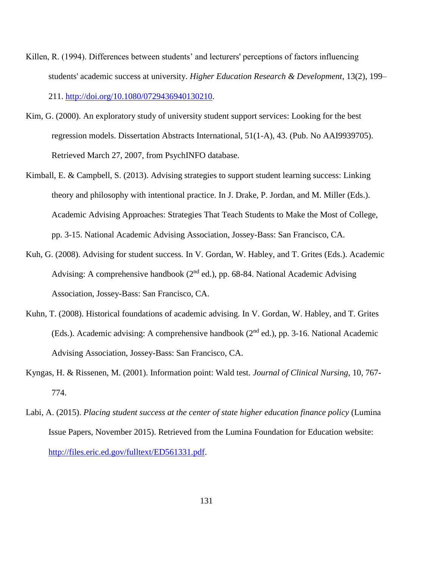- Killen, R. (1994). Differences between students' and lecturers' perceptions of factors influencing students' academic success at university. *Higher Education Research & Development*, 13(2), 199– 211. [http://doi.org/10.1080/0729436940130210.](http://doi.org/10.1080/0729436940130210)
- Kim, G. (2000). An exploratory study of university student support services: Looking for the best regression models. Dissertation Abstracts International, 51(1-A), 43. (Pub. No AAI9939705). Retrieved March 27, 2007, from PsychINFO database.
- Kimball, E. & Campbell, S. (2013). Advising strategies to support student learning success: Linking theory and philosophy with intentional practice. In J. Drake, P. Jordan, and M. Miller (Eds.). Academic Advising Approaches: Strategies That Teach Students to Make the Most of College, pp. 3-15. National Academic Advising Association, Jossey-Bass: San Francisco, CA.
- Kuh, G. (2008). Advising for student success. In V. Gordan, W. Habley, and T. Grites (Eds.). Academic Advising: A comprehensive handbook  $(2<sup>nd</sup> ed.)$ , pp. 68-84. National Academic Advising Association, Jossey-Bass: San Francisco, CA.
- Kuhn, T. (2008). Historical foundations of academic advising. In V. Gordan, W. Habley, and T. Grites (Eds.). Academic advising: A comprehensive handbook (2nd ed.), pp. 3-16. National Academic Advising Association, Jossey-Bass: San Francisco, CA.
- Kyngas, H. & Rissenen, M. (2001). Information point: Wald test. *Journal of Clinical Nursing*, 10, 767- 774.
- Labi, A. (2015). *Placing student success at the center of state higher education finance policy* (Lumina Issue Papers, November 2015). Retrieved from the Lumina Foundation for Education website: [http://files.eric.ed.gov/fulltext/ED561331.pdf.](http://files.eric.ed.gov/fulltext/ED561331.pdf)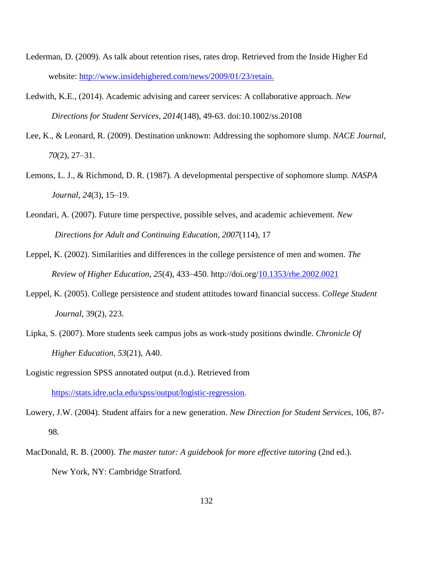- Lederman, D. (2009). As talk about retention rises, rates drop. Retrieved from the Inside Higher Ed website: [http://www.insidehighered.com/news/2009/01/23/retain.](http://www.insidehighered.com/news/2009/01/23/retain)
- Ledwith, K.E., (2014). Academic advising and career services: A collaborative approach. *New Directions for Student Services, 2014*(148), 49-63. doi:10.1002/ss.20108
- Lee, K., & Leonard, R. (2009). Destination unknown: Addressing the sophomore slump. *NACE Journal*, *70*(2), 27–31.
- Lemons, L. J., & Richmond, D. R. (1987). A developmental perspective of sophomore slump. *NASPA Journal*, *24*(3), 15–19.
- Leondari, A. (2007). Future time perspective, possible selves, and academic achievement. *New Directions for Adult and Continuing Education*, *2007*(114), 17
- Leppel, K. (2002). Similarities and differences in the college persistence of men and women. *The Review of Higher Education*, *25*(4), 433–450. http://doi.org/10.1353/rhe.2002.0021
- Leppel, K. (2005). College persistence and student attitudes toward financial success. *College Student Journal*, 39(2), 223.
- Lipka, S. (2007). More students seek campus jobs as work-study positions dwindle. *Chronicle Of Higher Education*, *53*(21), A40.
- Logistic regression SPSS annotated output (n.d.). Retrieved from

[https://stats.idre.ucla.edu/spss/output/logistic-regression.](https://stats.idre.ucla.edu/spss/output/logistic-regression)

- Lowery, J.W. (2004). Student affairs for a new generation. *New Direction for Student Services*, 106, 87- 98.
- MacDonald, R. B. (2000). *The master tutor: A guidebook for more effective tutoring* (2nd ed.). New York, NY: Cambridge Stratford.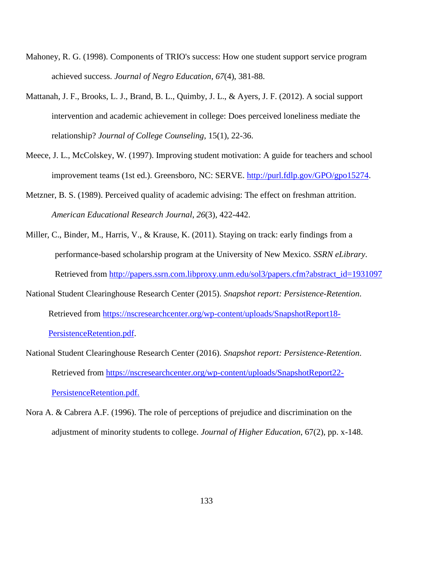- Mahoney, R. G. (1998). Components of TRIO's success: How one student support service program achieved success. *Journal of Negro Education*, *67*(4), 381-88.
- Mattanah, J. F., Brooks, L. J., Brand, B. L., Quimby, J. L., & Ayers, J. F. (2012). A social support intervention and academic achievement in college: Does perceived loneliness mediate the relationship? *Journal of College Counseling*, 15(1), 22-36.
- Meece, J. L., McColskey, W. (1997). Improving student motivation: A guide for teachers and school improvement teams (1st ed.). Greensboro, NC: SERVE. [http://purl.fdlp.gov/GPO/gpo15274.](http://purl.fdlp.gov/GPO/gpo15274)
- Metzner, B. S. (1989). Perceived quality of academic advising: The effect on freshman attrition. *American Educational Research Journal*, *26*(3), 422-442.
- Miller, C., Binder, M., Harris, V., & Krause, K. (2011). Staying on track: early findings from a performance-based scholarship program at the University of New Mexico. *SSRN eLibrary*. Retrieved from [http://papers.ssrn.com.libproxy.unm.edu/sol3/papers.cfm?abstract\\_id=1931097](http://papers.ssrn.com.libproxy.unm.edu/sol3/papers.cfm?abstract_id=1931097)
- National Student Clearinghouse Research Center (2015). *Snapshot report: Persistence-Retention*. Retrieved from [https://nscresearchcenter.org/wp-content/uploads/SnapshotReport18-](https://nscresearchcenter.org/wp-content/uploads/SnapshotReport18-PersistenceRetention.pdf) [PersistenceRetention.pdf.](https://nscresearchcenter.org/wp-content/uploads/SnapshotReport18-PersistenceRetention.pdf)
- National Student Clearinghouse Research Center (2016). *Snapshot report: Persistence-Retention*. Retrieved from [https://nscresearchcenter.org/wp-content/uploads/SnapshotReport22-](https://nscresearchcenter.org/wp-content/uploads/SnapshotReport22-PersistenceRetention.pdf) [PersistenceRetention.pdf.](https://nscresearchcenter.org/wp-content/uploads/SnapshotReport22-PersistenceRetention.pdf)
- Nora A. & Cabrera A.F. (1996). The role of perceptions of prejudice and discrimination on the adjustment of minority students to college. *Journal of Higher Education*, 67(2), pp. x-148.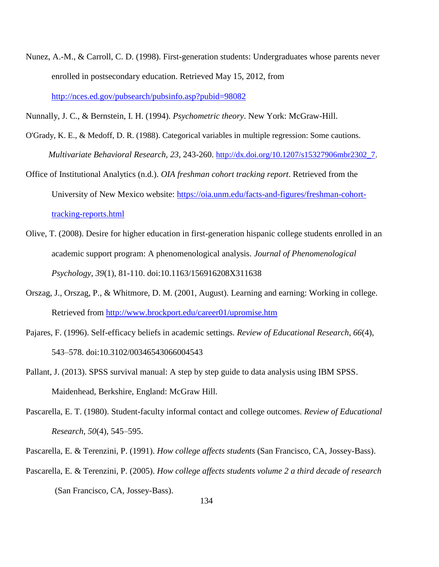Nunez, A.-M., & Carroll, C. D. (1998). First-generation students: Undergraduates whose parents never enrolled in postsecondary education. Retrieved May 15, 2012, from <http://nces.ed.gov/pubsearch/pubsinfo.asp?pubid=98082>

Nunnally, J. C., & Bernstein, I. H. (1994). *Psychometric theory*. New York: McGraw-Hill.

O'Grady, K. E., & Medoff, D. R. (1988). Categorical variables in multiple regression: Some cautions. *Multivariate Behavioral Research, 23,* 243-260. [http://dx.doi.org/10.1207/s15327906mbr2302\\_7.](http://dx.doi.org/10.1207/s15327906mbr2302_7)

Office of Institutional Analytics (n.d.). *OIA freshman cohort tracking report*. Retrieved from the University of New Mexico website: [https://oia.unm.edu/facts-and-figures/freshman-cohort](https://oia.unm.edu/facts-and-figures/freshman-cohort-tracking-reports.html)[tracking-reports.html](https://oia.unm.edu/facts-and-figures/freshman-cohort-tracking-reports.html)

- Olive, T. (2008). Desire for higher education in first-generation hispanic college students enrolled in an academic support program: A phenomenological analysis. *Journal of Phenomenological Psychology*, *39*(1), 81-110. doi:10.1163/156916208X311638
- Orszag, J., Orszag, P., & Whitmore, D. M. (2001, August). Learning and earning: Working in college. Retrieved from<http://www.brockport.edu/career01/upromise.htm>
- Pajares, F. (1996). Self-efficacy beliefs in academic settings. *Review of Educational Research*, *66*(4), 543–578. doi:10.3102/00346543066004543
- Pallant, J. (2013). SPSS survival manual: A step by step guide to data analysis using IBM SPSS. Maidenhead, Berkshire, England: McGraw Hill.
- Pascarella, E. T. (1980). Student-faculty informal contact and college outcomes. *Review of Educational Research*, *50*(4), 545–595.
- Pascarella, E. & Terenzini, P. (1991). *How college affects students* (San Francisco, CA, Jossey-Bass).
- Pascarella, E. & Terenzini, P. (2005). *How college affects students volume 2 a third decade of research*  (San Francisco, CA, Jossey-Bass).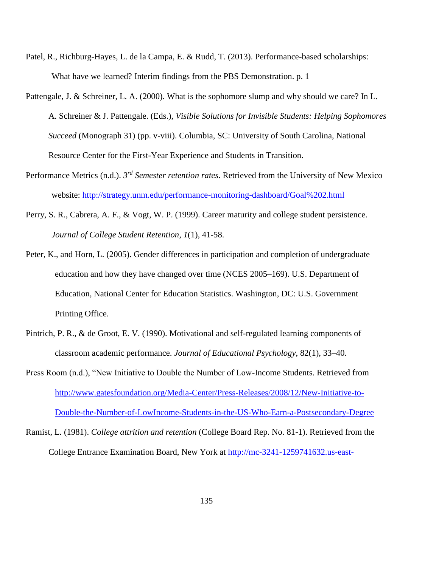- Patel, R., Richburg-Hayes, L. de la Campa, E. & Rudd, T. (2013). Performance-based scholarships: What have we learned? Interim findings from the PBS Demonstration. p. 1
- Pattengale, J. & Schreiner, L. A. (2000). What is the sophomore slump and why should we care? In L. A. Schreiner & J. Pattengale. (Eds.), *Visible Solutions for Invisible Students: Helping Sophomores Succeed* (Monograph 31) (pp. v-viii). Columbia, SC: University of South Carolina, National Resource Center for the First-Year Experience and Students in Transition.
- Performance Metrics (n.d.). *3 rd Semester retention rates*. Retrieved from the University of New Mexico website:<http://strategy.unm.edu/performance-monitoring-dashboard/Goal%202.html>
- Perry, S. R., Cabrera, A. F., & Vogt, W. P. (1999). Career maturity and college student persistence. *Journal of College Student Retention*, *1*(1), 41-58.
- Peter, K., and Horn, L. (2005). Gender differences in participation and completion of undergraduate education and how they have changed over time (NCES 2005–169). U.S. Department of Education, National Center for Education Statistics. Washington, DC: U.S. Government Printing Office.
- Pintrich, P. R., & de Groot, E. V. (1990). Motivational and self-regulated learning components of classroom academic performance. *Journal of Educational Psychology*, 82(1), 33–40.
- Press Room (n.d.), "New Initiative to Double the Number of Low-Income Students. Retrieved from [http://www.gatesfoundation.org/Media-Center/Press-Releases/2008/12/New-Initiative-to-](http://www.gatesfoundation.org/Media-Center/Press-Releases/2008/12/New-Initiative-to-Double-the-Number-of-LowIncome-Students-in-the-US-Who-Earn-a-Postsecondary-Degree)[Double-the-Number-of-LowIncome-Students-in-the-US-Who-Earn-a-Postsecondary-Degree](http://www.gatesfoundation.org/Media-Center/Press-Releases/2008/12/New-Initiative-to-Double-the-Number-of-LowIncome-Students-in-the-US-Who-Earn-a-Postsecondary-Degree)
- Ramist, L. (1981). *College attrition and retention* (College Board Rep. No. 81-1). Retrieved from the College Entrance Examination Board, New York at [http://mc-3241-1259741632.us-east-](http://mc-3241-1259741632.us-east-1.elb.amazonaws.com/sites/default/files/publications/2012/7/researchreport-1981-1-college-student-attrition-retention_0.pdf)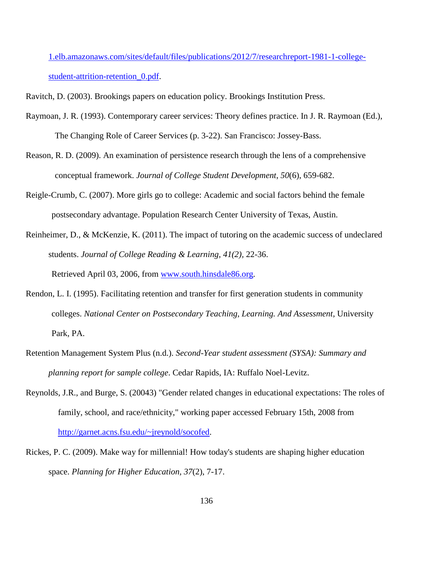[1.elb.amazonaws.com/sites/default/files/publications/2012/7/researchreport-1981-1-college](http://mc-3241-1259741632.us-east-1.elb.amazonaws.com/sites/default/files/publications/2012/7/researchreport-1981-1-college-student-attrition-retention_0.pdf)[student-attrition-retention\\_0.pdf.](http://mc-3241-1259741632.us-east-1.elb.amazonaws.com/sites/default/files/publications/2012/7/researchreport-1981-1-college-student-attrition-retention_0.pdf)

Ravitch, D. (2003). Brookings papers on education policy. Brookings Institution Press.

- Raymoan, J. R. (1993). Contemporary career services: Theory defines practice. In J. R. Raymoan (Ed.), The Changing Role of Career Services (p. 3-22). San Francisco: Jossey-Bass.
- Reason, R. D. (2009). An examination of persistence research through the lens of a comprehensive conceptual framework. *Journal of College Student Development*, *50*(6), 659-682.
- Reigle-Crumb, C. (2007). More girls go to college: Academic and social factors behind the female postsecondary advantage. Population Research Center University of Texas, Austin.
- Reinheimer, D., & McKenzie, K. (2011). The impact of tutoring on the academic success of undeclared students. *Journal of College Reading & Learning*, *41(2),* 22-36.

Retrieved April 03, 2006, from [www.south.hinsdale86.org.](http://www.south.hinsdale86.org/)

- Rendon, L. I. (1995). Facilitating retention and transfer for first generation students in community colleges. *National Center on Postsecondary Teaching, Learning. And Assessment,* University Park, PA.
- Retention Management System Plus (n.d.). *Second-Year student assessment (SYSA): Summary and planning report for sample college*. Cedar Rapids, IA: Ruffalo Noel-Levitz.
- Reynolds, J.R., and Burge, S. (20043) "Gender related changes in educational expectations: The roles of family, school, and race/ethnicity," working paper accessed February 15th, 2008 from [http://garnet.acns.fsu.edu/~jreynold/socofed.](http://garnet.acns.fsu.edu/~jreynold/socofed)
- Rickes, P. C. (2009). Make way for millennial! How today's students are shaping higher education space. *Planning for Higher Education, 37*(2), 7-17.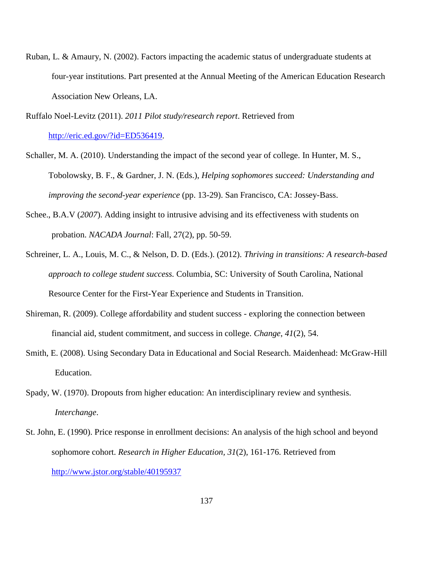Ruban, L. & Amaury, N. (2002). Factors impacting the academic status of undergraduate students at four-year institutions. Part presented at the Annual Meeting of the American Education Research Association New Orleans, LA.

Ruffalo Noel-Levitz (2011). *2011 Pilot study/research report*. Retrieved from [http://eric.ed.gov/?id=ED536419.](http://eric.ed.gov/?id=ED536419)

- Schaller, M. A. (2010). Understanding the impact of the second year of college. In Hunter, M. S., Tobolowsky, B. F., & Gardner, J. N. (Eds.), *Helping sophomores succeed: Understanding and improving the second-year experience* (pp. 13-29). San Francisco, CA: Jossey-Bass.
- Schee., B.A.V (*2007*). Adding insight to intrusive advising and its effectiveness with students on probation. *NACADA Journal*: Fall, 27(2), pp. 50-59.
- Schreiner, L. A., Louis, M. C., & Nelson, D. D. (Eds.). (2012). *Thriving in transitions: A research-based approach to college student success.* Columbia, SC: University of South Carolina, National Resource Center for the First-Year Experience and Students in Transition.
- Shireman, R. (2009). College affordability and student success exploring the connection between financial aid, student commitment, and success in college. *Change*, *41*(2), 54.
- Smith, E. (2008). Using Secondary Data in Educational and Social Research. Maidenhead: McGraw-Hill Education.
- Spady, W. (1970). Dropouts from higher education: An interdisciplinary review and synthesis. *Interchange*.
- St. John, E. (1990). Price response in enrollment decisions: An analysis of the high school and beyond sophomore cohort. *Research in Higher Education, 31*(2), 161-176. Retrieved from <http://www.jstor.org/stable/40195937>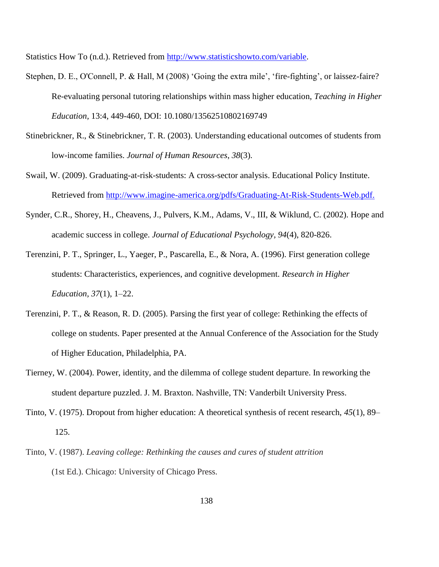Statistics How To (n.d.). Retrieved from [http://www.statisticshowto.com/variable.](http://www.statisticshowto.com/variable)

- Stephen, D. E., O'Connell, P. & Hall, M (2008) 'Going the extra mile', 'fire-fighting', or laissez-faire? Re-evaluating personal tutoring relationships within mass higher education, *Teaching in Higher Education,* 13:4, 449-460, DOI: 10.1080/13562510802169749
- Stinebrickner, R., & Stinebrickner, T. R. (2003). Understanding educational outcomes of students from low-income families. *Journal of Human Resources*, *38*(3).
- Swail, W. (2009). Graduating-at-risk-students: A cross-sector analysis. Educational Policy Institute. Retrieved from [http://www.imagine-america.org/pdfs/Graduating-At-Risk-Students-Web.pdf.](http://www.imagine-america.org/pdfs/Graduating-At-Risk-Students-Web.pdf)
- Synder, C.R., Shorey, H., Cheavens, J., Pulvers, K.M., Adams, V., III, & Wiklund, C. (2002). Hope and academic success in college. *Journal of Educational Psychology, 94*(4), 820-826.
- Terenzini, P. T., Springer, L., Yaeger, P., Pascarella, E., & Nora, A. (1996). First generation college students: Characteristics, experiences, and cognitive development. *Research in Higher Education, 37*(1), 1–22.
- Terenzini, P. T., & Reason, R. D. (2005). Parsing the first year of college: Rethinking the effects of college on students. Paper presented at the Annual Conference of the Association for the Study of Higher Education, Philadelphia, PA.
- Tierney, W. (2004). Power, identity, and the dilemma of college student departure. In reworking the student departure puzzled. J. M. Braxton. Nashville, TN: Vanderbilt University Press.
- Tinto, V. (1975). Dropout from higher education: A theoretical synthesis of recent research, *45*(1), 89– 125.
- Tinto, V. (1987). *Leaving college: Rethinking the causes and cures of student attrition* (1st Ed.). Chicago: University of Chicago Press.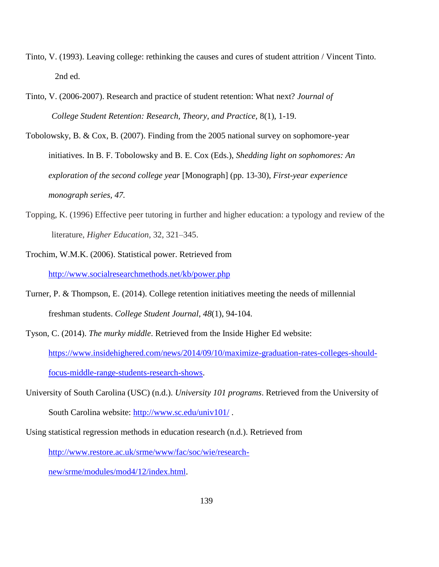- Tinto, V. (1993). Leaving college: rethinking the causes and cures of student attrition / Vincent Tinto. 2nd ed.
- Tinto, V. (2006-2007). Research and practice of student retention: What next? *Journal of College Student Retention: Research, Theory, and Practice,* 8(1), 1-19.
- Tobolowsky, B. & Cox, B. (2007). Finding from the 2005 national survey on sophomore-year initiatives. In B. F. Tobolowsky and B. E. Cox (Eds.), *Shedding light on sophomores: An exploration of the second college year* [Monograph] (pp. 13-30), *First-year experience monograph series, 47.*
- Topping, K. (1996) Effective peer tutoring in further and higher education: a typology and review of the literature, *Higher Education,* 32, 321–345.
- Trochim, W.M.K. (2006). Statistical power. Retrieved from <http://www.socialresearchmethods.net/kb/power.php>
- Turner, P. & Thompson, E. (2014). College retention initiatives meeting the needs of millennial freshman students. *College Student Journal*, *48*(1), 94-104.
- Tyson, C. (2014). *The murky middle*. Retrieved from the Inside Higher Ed website: [https://www.insidehighered.com/news/2014/09/10/maximize-graduation-rates-colleges-should](https://www.insidehighered.com/news/2014/09/10/maximize-graduation-rates-colleges-should-focus-middle-range-students-research-shows)[focus-middle-range-students-research-shows.](https://www.insidehighered.com/news/2014/09/10/maximize-graduation-rates-colleges-should-focus-middle-range-students-research-shows)
- University of South Carolina (USC) (n.d.). *University 101 programs*. Retrieved from the University of South Carolina website:<http://www.sc.edu/univ101/> .
- Using statistical regression methods in education research (n.d.). Retrieved from

[http://www.restore.ac.uk/srme/www/fac/soc/wie/research-](http://www.restore.ac.uk/srme/www/fac/soc/wie/research-new/srme/modules/mod4/12/index.html)

[new/srme/modules/mod4/12/index.html.](http://www.restore.ac.uk/srme/www/fac/soc/wie/research-new/srme/modules/mod4/12/index.html)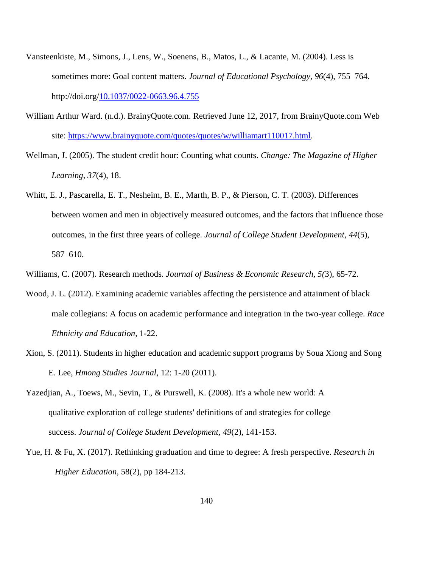- Vansteenkiste, M., Simons, J., Lens, W., Soenens, B., Matos, L., & Lacante, M. (2004). Less is sometimes more: Goal content matters. *Journal of Educational Psychology*, *96*(4), 755–764. http://doi.org[/10.1037/0022-0663.96.4.755](http://dx.doi.org/10.1037/0022-0663.96.4.755)
- William Arthur Ward. (n.d.). BrainyQuote.com. Retrieved June 12, 2017, from BrainyQuote.com Web site: [https://www.brainyquote.com/quotes/quotes/w/williamart110017.html.](https://www.brainyquote.com/quotes/quotes/w/williamart110017.html)
- Wellman, J. (2005). The student credit hour: Counting what counts. *Change: The Magazine of Higher Learning*, *37*(4), 18.
- Whitt, E. J., Pascarella, E. T., Nesheim, B. E., Marth, B. P., & Pierson, C. T. (2003). Differences between women and men in objectively measured outcomes, and the factors that influence those outcomes, in the first three years of college. *Journal of College Student Development*, *44*(5), 587–610.
- Williams, C. (2007). Research methods. *Journal of Business & Economic Research, 5(*3), 65-72.
- Wood, J. L. (2012). Examining academic variables affecting the persistence and attainment of black male collegians: A focus on academic performance and integration in the two-year college. *Race Ethnicity and Education,* 1-22.
- Xion, S. (2011). Students in higher education and academic support programs by Soua Xiong and Song E. Lee, *Hmong Studies Journal,* 12: 1-20 (2011).
- Yazedjian, A., Toews, M., Sevin, T., & Purswell, K. (2008). It's a whole new world: A qualitative exploration of college students' definitions of and strategies for college success. *Journal of College Student Development, 49*(2), 141-153.
- Yue, H. & Fu, X. (2017). Rethinking graduation and time to degree: A fresh perspective. *Research in Higher Education*, 58(2), pp 184-213.